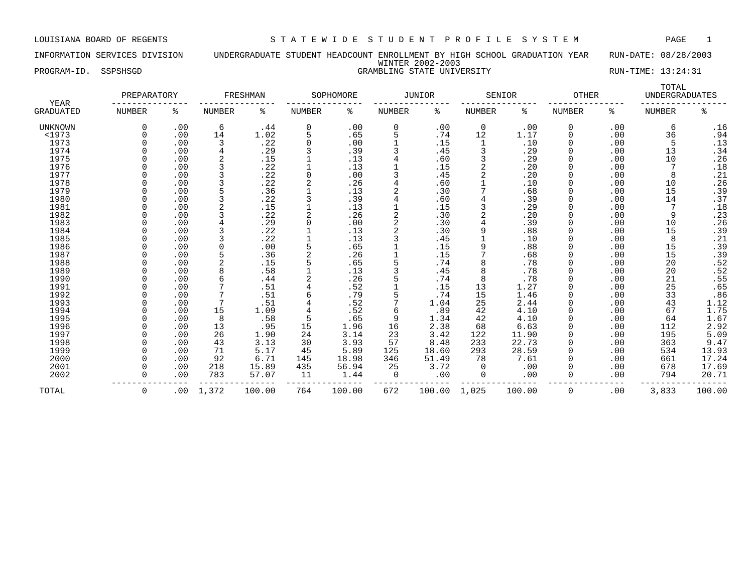INFORMATION SERVICES DIVISION UNDERGRADUATE STUDENT HEADCOUNT ENROLLMENT BY HIGH SCHOOL GRADUATION YEAR RUN-DATE: 08/28/2003 WINTER 2002-2003 PROGRAM-ID. SSPSHSGD GRAMBLING STATE UNIVERSITY RUN-TIME: 13:24:31

|                          | PREPARATORY   |     |                | FRESHMAN |               | SOPHOMORE |               | <b>JUNIOR</b> |               | SENIOR | <b>OTHER</b>  |     | TOTAL<br><b>UNDERGRADUATES</b> |                              |
|--------------------------|---------------|-----|----------------|----------|---------------|-----------|---------------|---------------|---------------|--------|---------------|-----|--------------------------------|------------------------------|
| YEAR<br><b>GRADUATED</b> | <b>NUMBER</b> | ႜ   | <b>NUMBER</b>  | နွ       | <b>NUMBER</b> | ႜ         | <b>NUMBER</b> | နွ            | <b>NUMBER</b> | နွ     | <b>NUMBER</b> | နွ  | <b>NUMBER</b>                  | နွ                           |
| UNKNOWN                  | 0             | .00 | 6              | .44      | 0             | .00       | 0             | .00           | $\mathbf 0$   | .00    | $\mathbf 0$   | .00 | 6                              | .16                          |
| <1973                    |               | .00 | 14             | 1.02     | 5             | .65       | 5             | .74           | 12            | 1.17   | $\Omega$      | .00 | 36                             | .94                          |
| 1973                     |               | .00 | 3              | .22      | 0             | .00       |               | .15           |               | .10    |               | .00 | 5                              |                              |
| 1974                     |               | .00 | 4              | .29      |               | .39       |               | .45           |               | .29    | $\Omega$      | .00 | 13                             | $.13$<br>$.34$               |
| 1975                     |               | .00 | $\overline{2}$ | .15      |               | .13       |               | .60           |               | .29    |               | .00 | 10                             | .26                          |
| 1976                     |               | .00 | 3              | .22      |               | .13       |               | .15           |               | .20    |               | .00 |                                | .18                          |
| 1977                     |               | .00 | 3              | .22      | $\Omega$      | .00       |               | .45           |               | .20    |               | .00 | 8                              | .21                          |
| 1978                     |               | .00 | 3              | .22      |               | .26       |               | .60           |               | .10    |               | .00 | 10                             | .26                          |
| 1979                     |               | .00 |                | .36      |               | .13       | 2             | .30           |               | .68    | $\Omega$      | .00 | 15                             | .39                          |
| 1980                     |               | .00 | 3              | .22      | 3             | .39       |               | .60           |               | .39    |               | .00 | 14                             | .37                          |
| 1981                     |               | .00 |                | .15      |               | .13       |               | .15           |               | .29    |               | .00 |                                | $\footnotesize\substack{18}$ |
| 1982                     |               | .00 |                | .22      | 2             | .26       | 2             | .30           |               | .20    |               | .00 | 9                              | .23                          |
| 1983                     |               | .00 |                | .29      | 0             | .00       | 2             | .30           |               | .39    |               | .00 | 10                             | .26                          |
| 1984                     |               | .00 |                | .22      |               | .13       | 2             | .30           |               | .88    |               | .00 | 15                             | .39                          |
| 1985                     |               | .00 |                | .22      |               | .13       |               | .45           |               | .10    |               | .00 | 8                              | .21                          |
| 1986                     |               | .00 |                | .00      | 5             | .65       |               | .15           |               | .88    |               | .00 | 15                             | .39                          |
| 1987                     |               | .00 |                | .36      |               | .26       |               | .15           |               | .68    |               | .00 | 15                             | .39                          |
| 1988                     |               | .00 |                | .15      |               | .65       | 5             | .74           |               | .78    |               | .00 | 20                             | .52                          |
| 1989                     |               | .00 | 8              | .58      |               | .13       | ζ             | .45           |               | .78    |               | .00 | 20                             | .52                          |
| 1990                     |               | .00 | 6              | .44      |               | .26       |               | .74           | 8             | .78    |               | .00 | 21                             | .55                          |
| 1991                     |               | .00 |                | .51      |               | .52       |               | .15           | 13            | 1.27   |               | .00 | 25                             | .65                          |
| 1992                     |               | .00 |                | .51      | 6             | .79       |               | .74           | 15            | 1.46   |               | .00 | 33                             | .86                          |
| 1993                     |               | .00 | 7              | .51      |               | .52       |               | 1.04          | 25            | 2.44   |               | .00 | 43                             | 1.12                         |
| 1994                     |               | .00 | 15             | 1.09     | 4             | .52       | б             | .89           | 42            | 4.10   | 0             | .00 | 67                             | 1.75                         |
| 1995                     |               | .00 | 8              | .58      | 5             | .65       | 9             | 1.34          | 42            | 4.10   |               | .00 | 64                             | 1.67                         |
| 1996                     |               | .00 | 13             | .95      | 15            | 1.96      | 16            | 2.38          | 68            | 6.63   |               | .00 | 112                            | 2.92                         |
| 1997                     |               | .00 | 26             | 1.90     | 24            | 3.14      | 23            | 3.42          | 122           | 11.90  |               | .00 | 195                            | 5.09                         |
| 1998                     |               | .00 | 43             | 3.13     | 30            | 3.93      | 57            | 8.48          | 233           | 22.73  |               | .00 | 363                            | 9.47                         |
| 1999                     |               | .00 | 71             | 5.17     | 45            | 5.89      | 125           | 18.60         | 293           | 28.59  | <sup>0</sup>  | .00 | 534                            | 13.93                        |
| 2000                     |               | .00 | 92             | 6.71     | 145           | 18.98     | 346           | 51.49         | 78            | 7.61   |               | .00 | 661                            | 17.24                        |
| 2001                     |               | .00 | 218            | 15.89    | 435           | 56.94     | 25            | 3.72          | 0             | .00    | 0             | .00 | 678                            | 17.69                        |
| 2002                     |               | .00 | 783            | 57.07    | 11            | 1.44      | $\Omega$      | .00           | 0             | .00    | $\Omega$      | .00 | 794                            | 20.71                        |
| TOTAL                    | $\mathbf 0$   | .00 | 1,372          | 100.00   | 764           | 100.00    | 672           | 100.00        | 1,025         | 100.00 | $\Omega$      | .00 | 3,833                          | 100.00                       |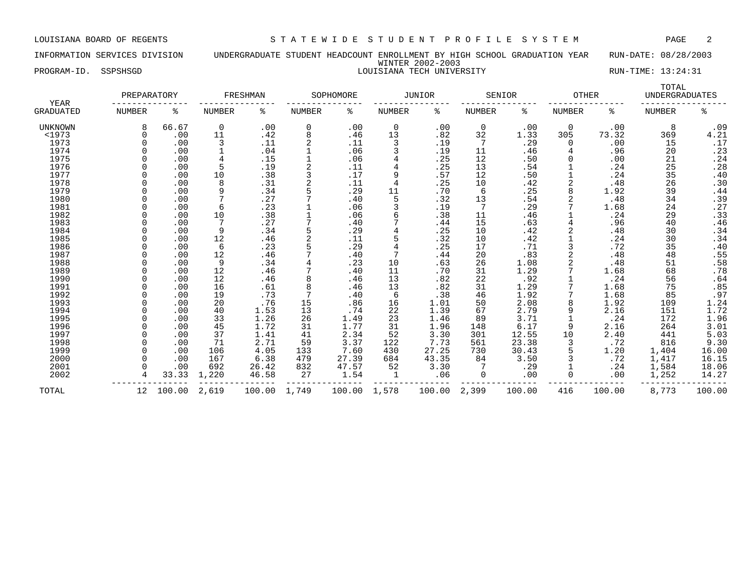### INFORMATION SERVICES DIVISION UNDERGRADUATE STUDENT HEADCOUNT ENROLLMENT BY HIGH SCHOOL GRADUATION YEAR RUN-DATE: 08/28/2003 WINTER 2002-2003 PROGRAM-ID. SSPSHSGD LOUISIANA TECH UNIVERSITY NUMBER AND RUN-TIME: 13:24:31

| <b>YEAR</b>      | PREPARATORY   |        |                | FRESHMAN |               | SOPHOMORE |                | <b>JUNIOR</b> |               | SENIOR | <b>OTHER</b>   |        | TOTAL<br><b>UNDERGRADUATES</b> |        |
|------------------|---------------|--------|----------------|----------|---------------|-----------|----------------|---------------|---------------|--------|----------------|--------|--------------------------------|--------|
| <b>GRADUATED</b> | <b>NUMBER</b> | နွ     | <b>NUMBER</b>  | ႜ        | <b>NUMBER</b> | ٥g        | <b>NUMBER</b>  | နွ            | <b>NUMBER</b> | နွ     | <b>NUMBER</b>  | နွ     | <b>NUMBER</b>                  | ి      |
| <b>UNKNOWN</b>   | 8             | 66.67  | 0              | .00      | $\mathbf 0$   | .00       | $\mathbf 0$    | .00           | $\mathbf 0$   | .00    | $\overline{0}$ | .00    | 8                              | .09    |
| <1973            |               | .00    | 11             | .42      | 8             | .46       | 13             | .82           | 32            | 1.33   | 305            | 73.32  | 369                            | 4.21   |
| 1973             |               | .00    | 3              | .11      | 2             | .11       | 3              | .19           | 7             | .29    | 0              | .00    | 15                             | .17    |
| 1974             |               | .00    | 1              | .04      |               | .06       | 3              | .19           | 11            | .46    |                | .96    | 20                             | .23    |
| 1975             |               | .00    | $\overline{4}$ | .15      |               | .06       | 4              | .25           | 12            | .50    |                | .00    | 21                             | .24    |
| 1976             |               | .00    | 5              | .19      |               | .11       | 4              | .25           | 13            | .54    |                | .24    | 25                             | .28    |
| 1977             |               | .00    | 10             | .38      |               | .17       | 9              | .57           | 12            | .50    |                | .24    | 35                             | .40    |
| 1978             |               | .00    | 8              | .31      |               | .11       | 4              | .25           | 10            | .42    |                | .48    | 26                             | .30    |
| 1979             |               | .00    | 9              | .34      |               | .29       | 11             | .70           | 6             | .25    | 8              | 1.92   | 39                             | .44    |
| 1980             |               | .00    |                | .27      |               | .40       | 5              | .32           | 13            | .54    |                | .48    | 34                             | .39    |
| 1981             |               | .00    | 6              | .23      |               | .06       | 3              | .19           | 7             | .29    |                | 1.68   | 24                             | .27    |
| 1982             |               | .00    | 10             | .38      |               | .06       | 6              | .38           | 11            | .46    |                | .24    | 29                             | .33    |
| 1983             |               | .00    | 7              | .27      |               | .40       |                | .44           | 15            | .63    |                | .96    | 40                             | .46    |
| 1984             |               | .00    | 9              | .34      |               | .29       |                | .25           | 10            | .42    |                | .48    | 30                             | .34    |
| 1985             |               | .00    | 12             | .46      |               | .11       | 5              | .32           | 10            | .42    |                | .24    | 30                             | .34    |
| 1986             |               | .00    | 6              | .23      |               | .29       | $\overline{4}$ | .25           | 17            | .71    |                | .72    | 35                             | .40    |
| 1987             |               | .00    | 12             | .46      |               | .40       | 7              | .44           | 20            | .83    |                | .48    | 48                             | .55    |
| 1988             |               | .00    | 9              | .34      |               | .23       | 10             | .63           | 26            | 1.08   |                | .48    | 51                             | .58    |
| 1989             |               | .00    | 12             | .46      |               | .40       | 11             | .70           | 31            | 1.29   |                | 1.68   | 68                             | .78    |
| 1990             |               | .00    | 12             | .46      |               | .46       | 13             | .82           | 22            | .92    |                | .24    | 56                             | .64    |
| 1991             |               | .00    | 16             | .61      |               | .46       | 13             | .82           | 31            | 1.29   |                | 1.68   | 75                             | .85    |
| 1992             |               | .00    | 19             | .73      |               | .40       | 6              | .38           | 46            | 1.92   |                | 1.68   | 85                             | .97    |
| 1993             |               | .00    | 20             | .76      | 15            | .86       | 16             | 1.01          | 50            | 2.08   |                | 1.92   | 109                            | 1.24   |
| 1994             |               | .00    | 40             | 1.53     | 13            | .74       | 22             | 1.39          | 67            | 2.79   |                | 2.16   | 151                            | 1.72   |
| 1995             |               | .00    | 33             | 1.26     | 26            | 1.49      | 23             | 1.46          | 89            | 3.71   |                | .24    | 172                            | 1.96   |
| 1996             |               | .00    | 45             | 1.72     | 31            | 1.77      | 31             | 1.96          | 148           | 6.17   | 9              | 2.16   | 264                            | 3.01   |
| 1997             |               | .00    | 37             | 1.41     | 41            | 2.34      | 52             | 3.30          | 301           | 12.55  | 10             | 2.40   | 441                            | 5.03   |
| 1998             |               | .00    | 71             | 2.71     | 59            | 3.37      | 122            | 7.73          | 561           | 23.38  |                | .72    | 816                            | 9.30   |
| 1999             |               | .00    | 106            | 4.05     | 133           | 7.60      | 430            | 27.25         | 730           | 30.43  |                | 1.20   | 1,404                          | 16.00  |
| 2000             |               | .00    | 167            | 6.38     | 479           | 27.39     | 684            | 43.35         | 84            | 3.50   |                | .72    | 1,417                          | 16.15  |
| 2001             |               | .00    | 692            | 26.42    | 832           | 47.57     | 52             | 3.30          | 7             | .29    |                | .24    | 1,584                          | 18.06  |
| 2002             |               | 33.33  | 1,220          | 46.58    | 27            | 1.54      | $\mathbf{1}$   | .06           | 0             | .00    |                | .00    | 1,252                          | 14.27  |
| TOTAL            | 12            | 100.00 | 2,619          | 100.00   | 1,749         | 100.00    | 1,578          | 100.00        | 2,399         | 100.00 | 416            | 100.00 | 8,773                          | 100.00 |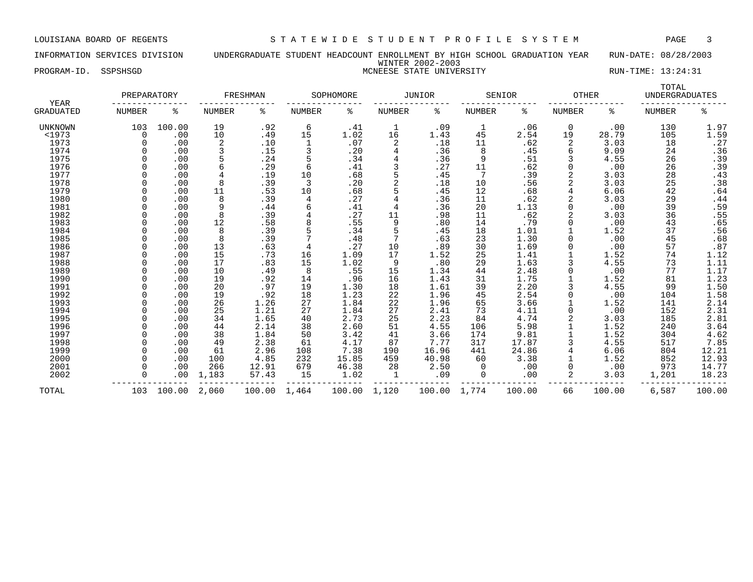INFORMATION SERVICES DIVISION UNDERGRADUATE STUDENT HEADCOUNT ENROLLMENT BY HIGH SCHOOL GRADUATION YEAR RUN-DATE: 08/28/2003 WINTER 2002-2003 PROGRAM-ID. SSPSHSGD **EXECUTE:** 13:24:31

|                   | PREPARATORY |        |        | FRESHMAN |        | SOPHOMORE |                | <b>JUNIOR</b> |               | SENIOR | <b>OTHER</b> |        | TOTAL<br><b>UNDERGRADUATES</b> |                     |
|-------------------|-------------|--------|--------|----------|--------|-----------|----------------|---------------|---------------|--------|--------------|--------|--------------------------------|---------------------|
| YEAR<br>GRADUATED | NUMBER      | ႜ      | NUMBER | ႜ        | NUMBER | ႜ         | <b>NUMBER</b>  | ႜ             | <b>NUMBER</b> | ႜ      | NUMBER       | ႜ      | <b>NUMBER</b>                  | ႜ                   |
| <b>UNKNOWN</b>    | 103         | 100.00 | 19     | .92      | 6      | .41       | 1              | .09           | 1             | .06    | 0            | .00    | 130                            | 1.97                |
| $1973$            | $\Omega$    | .00    | 10     | .49      | 15     | 1.02      | 16             | 1.43          | 45            | 2.54   | 19           | 28.79  | 105                            | 1.59                |
| 1973              | $\Omega$    | .00    | 2      | .10      | 1      | .07       | 2              | .18           | 11            | .62    | 2            | 3.03   | 18                             | .27                 |
| 1974              |             | .00    | 3      | .15      | 3      | .20       | 4              | .36           | 8             | .45    | 6            | 9.09   | 24                             | .36                 |
| 1975              |             | .00    |        | .24      | 5      | .34       | 4              | .36           | 9             | .51    | 3            | 4.55   | 26                             | .39                 |
| 1976              |             | .00    | 6      | .29      | 6      | .41       | 3              | .27           | 11            | .62    |              | .00    | 26                             | .39                 |
| 1977              |             | .00    | 4      | .19      | 10     | .68       |                | .45           | 7             | .39    |              | 3.03   | 28                             | .43                 |
| 1978              |             | .00    | 8      | .39      | 3      | .20       | $\overline{2}$ | .18           | 10            | .56    |              | 3.03   | 25                             | .38                 |
| 1979              |             | .00    | 11     | .53      | 10     | .68       |                | .45           | 12            | .68    |              | 6.06   | 42                             | .64                 |
| 1980              |             | .00    | 8      | .39      | 4      | .27       | 4              | .36           | 11            | .62    |              | 3.03   | 29                             | .44                 |
| 1981              |             | .00    | 9      | .44      | 6      | .41       | 4              | .36           | 20            | 1.13   |              | .00    | 39                             | .59                 |
| 1982              |             | .00    | 8      | .39      | 4      | .27       | 11             | .98           | 11            | .62    |              | 3.03   | 36                             | .55                 |
| 1983              |             | .00    | 12     | .58      | 8      | .55       | 9              | .80           | 14            | .79    |              | .00    | 43                             | .65                 |
| 1984              |             | .00    | 8      | .39      |        | .34       |                | .45           | 18            | 1.01   |              | 1.52   | 37                             | .56                 |
| 1985              |             | .00    | 8      | .39      |        | .48       | 7              | .63           | 23            | 1.30   |              | .00    | 45                             | .68                 |
| 1986              |             | .00    | 13     | .63      | 4      | .27       | 10             | .89           | 30            | 1.69   |              | .00    | 57                             | .87                 |
| 1987              |             | .00    | 15     | .73      | 16     | 1.09      | 17             | 1.52          | 25            | 1.41   |              | 1.52   | 74                             | 1.12                |
| 1988              |             | .00    | 17     | .83      | 15     | 1.02      | 9              | .80           | 29            | 1.63   |              | 4.55   | 73                             | 1.11                |
| 1989              |             | .00    | 10     | .49      | 8      | .55       | 15             | 1.34          | 44            | 2.48   |              | .00    | 77                             | 1.17                |
| 1990              |             | .00    | 19     | .92      | 14     | .96       | 16             | 1.43          | 31            | 1.75   |              | 1.52   | 81                             | 1.23                |
| 1991              |             | .00    | 20     | .97      | 19     | 1.30      | 18             | 1.61          | 39            | 2.20   |              | 4.55   | 99                             |                     |
| 1992              |             | .00    | 19     | .92      | 18     | 1.23      | 22             | 1.96          | 45            | 2.54   |              | .00    | 104                            | $\frac{1.50}{1.58}$ |
| 1993              |             | .00    | 26     | 1.26     | 27     | 1.84      | 22             | 1.96          | 65            | 3.66   |              | 1.52   | 141                            | 2.14                |
| 1994              |             | .00    | 25     | 1.21     | 27     | 1.84      | 27             | 2.41          | 73            | 4.11   | 0            | .00    | 152                            | 2.31                |
| 1995              |             | .00    | 34     | 1.65     | 40     | 2.73      | 25             | 2.23          | 84            | 4.74   |              | 3.03   | 185                            | 2.81                |
| 1996              |             | .00    | 44     | 2.14     | 38     | 2.60      | 51             | 4.55          | 106           | 5.98   |              | 1.52   | 240                            | 3.64                |
| 1997              |             | .00    | 38     | 1.84     | 50     | 3.42      | 41             | 3.66          | 174           | 9.81   |              | 1.52   | 304                            | 4.62                |
| 1998              |             | .00    | 49     | 2.38     | 61     | 4.17      | 87             | 7.77          | 317           | 17.87  |              | 4.55   | 517                            | 7.85                |
| 1999              |             | .00    | 61     | 2.96     | 108    | 7.38      | 190            | 16.96         | 441           | 24.86  |              | 6.06   | 804                            | 12.21               |
| 2000              |             | .00    | 100    | 4.85     | 232    | 15.85     | 459            | 40.98         | 60            | 3.38   |              | 1.52   | 852                            | 12.93               |
| 2001              |             | .00    | 266    | 12.91    | 679    | 46.38     | 28             | 2.50          | $\Omega$      | .00    |              | .00    | 973                            | 14.77               |
| 2002              |             | .00    | 1,183  | 57.43    | 15     | 1.02      | 1              | .09           | 0             | .00    | 2            | 3.03   | 1,201                          | 18.23               |
| TOTAL             | 103         | 100.00 | 2,060  | 100.00   | 1,464  | 100.00    | 1,120          | 100.00        | 1,774         | 100.00 | 66           | 100.00 | 6,587                          | 100.00              |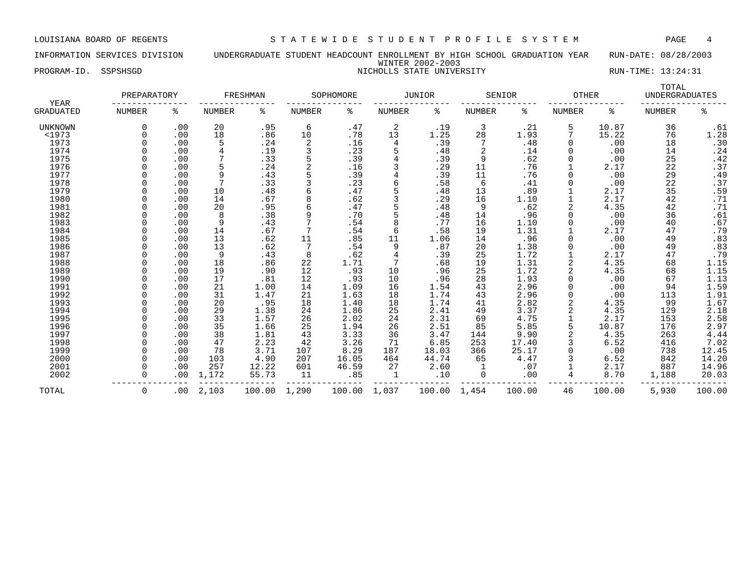### INFORMATION SERVICES DIVISION UNDERGRADUATE STUDENT HEADCOUNT ENROLLMENT BY HIGH SCHOOL GRADUATION YEAR RUN-DATE: 08/28/2003 WINTER 2002-2003 PROGRAM-ID. SSPSHSGD NICHOLLS STATE UNIVERSITY NICHOLLS STATE UNIVERSITY

| <b>YEAR</b>      | PREPARATORY   |     |               | FRESHMAN |               | SOPHOMORE |               | <b>JUNIOR</b> |               | SENIOR | <b>OTHER</b>  |        | TOTAL<br><b>UNDERGRADUATES</b> |                |
|------------------|---------------|-----|---------------|----------|---------------|-----------|---------------|---------------|---------------|--------|---------------|--------|--------------------------------|----------------|
| <b>GRADUATED</b> | <b>NUMBER</b> | ႜ   | <b>NUMBER</b> | ್ಠಿ      | <b>NUMBER</b> | ి         | <b>NUMBER</b> | နွ            | <b>NUMBER</b> | နွ     | <b>NUMBER</b> | ిక     | <b>NUMBER</b>                  | ి              |
| UNKNOWN          | $\Omega$      | .00 | 20            | .95      | 6             | .47       | 2             | .19           | 3             | .21    | 5             | 10.87  | 36                             | .61            |
| <1973            |               | .00 | 18            | .86      | 10            | .78       | 13            | 1.25          | 28            | 1.93   |               | 15.22  | 76                             | 1.28           |
| 1973             |               | .00 | 5             | .24      | 2             | .16       | 4             | .39           |               | .48    |               | .00    | 18                             | $.30$<br>$.24$ |
| 1974             |               | .00 |               | .19      | 3             | .23       | 5             | .48           | 2             | .14    |               | .00    | 14                             |                |
| 1975             |               | .00 |               | .33      |               | .39       |               | .39           | 9             | .62    |               | .00    | 25                             | .42            |
| 1976             |               | .00 | 5             | .24      |               | .16       | 3             | .29           | 11            | .76    |               | 2.17   | 22                             | .37            |
| 1977             |               | .00 | 9             | .43      | 5             | .39       | 4             | .39           | 11            | .76    |               | .00    | 29                             | .49            |
| 1978             |               | .00 | 7             | .33      |               | .23       |               | .58           | 6             | .41    |               | .00    | 22                             | $.37$<br>$.59$ |
| 1979             |               | .00 | 10            | .48      | 6             | .47       |               | .48           | 13            | .89    |               | 2.17   | 35                             |                |
| 1980             |               | .00 | 14            | .67      |               | .62       |               | .29           | 16            | 1.10   |               | 2.17   | 42                             | .71            |
| 1981             |               | .00 | 20            | .95      |               | .47       | 5             | .48           | 9             | .62    |               | 4.35   | 42                             | .71            |
| 1982             |               | .00 | 8             | .38      | 9             | .70       | 5             | .48           | 14            | .96    |               | .00    | 36                             | .61            |
| 1983             |               | .00 | 9             | .43      |               | .54       | 8             | .77           | 16            | 1.10   |               | .00    | 40                             | $.67$<br>$.79$ |
| 1984             |               | .00 | 14            | .67      |               | .54       | 6             | .58           | 19            | 1.31   |               | 2.17   | 47                             |                |
| 1985             |               | .00 | 13            | .62      | 11            | .85       | 11            | 1.06          | 14            | .96    |               | .00    | 49                             | .83            |
| 1986             |               | .00 | 13            | .62      |               | .54       | 9             | .87           | 20            | 1.38   |               | .00    | 49                             | .83            |
| 1987             |               | .00 | 9             | .43      | 8             | .62       | 4             | .39           | 25            | 1.72   |               | 2.17   | 47                             | .79            |
| 1988             |               | .00 | 18            | .86      | 22            | 1.71      |               | .68           | 19            | 1.31   |               | 4.35   | 68                             | 1.15           |
| 1989             |               | .00 | 19            | .90      | 12            | .93       | 10            | .96           | 25            | 1.72   |               | 4.35   | 68                             | 1.15           |
| 1990             |               | .00 | 17            | .81      | 12            | .93       | 10            | .96           | 28            | 1.93   |               | .00    | 67                             | 1.13           |
| 1991             |               | .00 | 21            | 1.00     | 14            | 1.09      | 16            | 1.54          | 43            | 2.96   |               | .00    | 94                             | 1.59           |
| 1992             |               | .00 | 31            | 1.47     | 21            | 1.63      | 18            | 1.74          | 43            | 2.96   |               | .00    | 113                            | 1.91           |
| 1993             |               | .00 | 20            | .95      | 18            | 1.40      | 18            | 1.74          | 41            | 2.82   | 2             | 4.35   | 99                             | 1.67           |
| 1994             |               | .00 | 29            | 1.38     | 24            | 1.86      | 25            | 2.41          | 49            | 3.37   |               | 4.35   | 129                            | 2.18           |
| 1995             |               | .00 | 33            | 1.57     | 26            | 2.02      | 24            | 2.31          | 69            | 4.75   |               | 2.17   | 153                            | 2.58           |
| 1996             |               | .00 | 35            | 1.66     | 25            | 1.94      | 26            | 2.51          | 85            | 5.85   |               | 10.87  | 176                            | 2.97           |
| 1997             |               | .00 | 38            | 1.81     | 43            | 3.33      | 36            | 3.47          | 144           | 9.90   |               | 4.35   | 263                            | 4.44           |
| 1998             |               | .00 | 47            | 2.23     | 42            | 3.26      | 71            | 6.85          | 253           | 17.40  |               | 6.52   | 416                            | 7.02           |
| 1999             |               | .00 | 78            | 3.71     | 107           | 8.29      | 187           | 18.03         | 366           | 25.17  |               | .00    | 738                            | 12.45          |
| 2000             |               | .00 | 103           | 4.90     | 207           | 16.05     | 464           | 44.74         | 65            | 4.47   |               | 6.52   | 842                            | 14.20          |
| 2001             |               | .00 | 257           | 12.22    | 601           | 46.59     | 27            | 2.60          |               | .07    |               | 2.17   | 887                            | 14.96          |
| 2002             |               | .00 | 1,172         | 55.73    | 11            | .85       | 1             | .10           | 0             | .00    |               | 8.70   | 1,188                          | 20.03          |
| TOTAL            | $\mathbf 0$   | .00 | 2,103         | 100.00   | 1,290         | 100.00    | 1,037         | 100.00        | 1,454         | 100.00 | 46            | 100.00 | 5,930                          | 100.00         |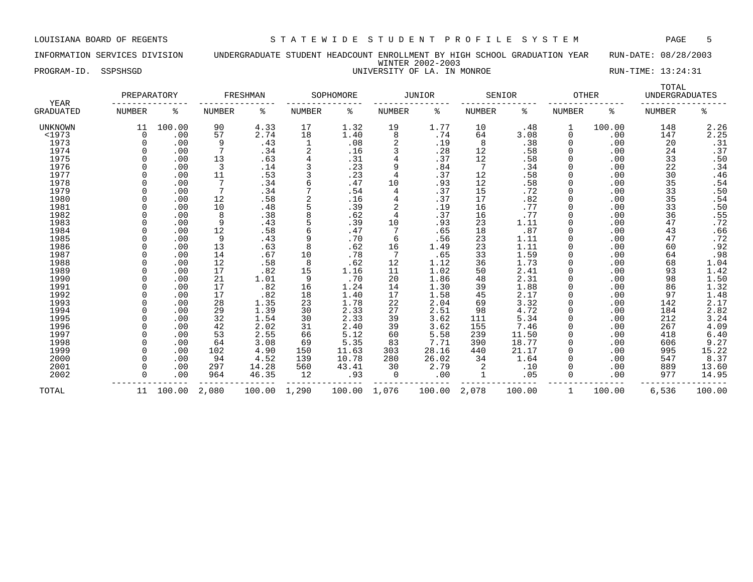### INFORMATION SERVICES DIVISION UNDERGRADUATE STUDENT HEADCOUNT ENROLLMENT BY HIGH SCHOOL GRADUATION YEAR RUN-DATE: 08/28/2003 WINTER 2002-2003 PROGRAM-ID. SSPSHSGD UNIVERSITY OF LA. IN MONROE RUN-TIME: 13:24:31

| <b>YEAR</b>      | PREPARATORY   |        |                | FRESHMAN |        | SOPHOMORE |        | <b>JUNIOR</b> |        | SENIOR | <b>OTHER</b> |        | TOTAL<br><b>UNDERGRADUATES</b> |        |
|------------------|---------------|--------|----------------|----------|--------|-----------|--------|---------------|--------|--------|--------------|--------|--------------------------------|--------|
| <b>GRADUATED</b> | <b>NUMBER</b> | ႜ      | NUMBER         | နွ       | NUMBER | ႜ         | NUMBER | ႜ             | NUMBER | နွ     | NUMBER       | နွ     | NUMBER                         | နွ     |
| UNKNOWN          | 11            | 100.00 | 90             | 4.33     | 17     | 1.32      | 19     | 1.77          | 10     | .48    | 1            | 100.00 | 148                            | 2.26   |
| <1973            | $\Omega$      | .00    | 57             | 2.74     | 18     | 1.40      | 8      | .74           | 64     | 3.08   | 0            | .00    | 147                            | 2.25   |
| 1973             | $\Omega$      | .00    | 9              | .43      | 1      | .08       | 2      | .19           | 8      | .38    | $\Omega$     | .00    | 20                             | .31    |
| 1974             |               | .00    |                | .34      |        | .16       |        | .28           | 12     | .58    | 0            | .00    | 24                             | .37    |
| 1975             |               | .00    | 13             | .63      | 4      | .31       |        | .37           | 12     | .58    |              | .00    | 33                             | .50    |
| 1976             |               | .00    | $\overline{3}$ | .14      |        | .23       | 9      | .84           |        | .34    |              | .00    | 22                             | .34    |
| 1977             |               | .00    | 11             | .53      |        | .23       | 4      | .37           | 12     | .58    |              | .00    | 30                             | .46    |
| 1978             |               | .00    | 7              | .34      |        | .47       | 10     | .93           | 12     | .58    |              | .00    | 35                             | .54    |
| 1979             |               | .00    | 7              | .34      |        | .54       | 4      | .37           | 15     | .72    | O            | .00    | 33                             | .50    |
| 1980             |               | .00    | 12             | .58      |        | .16       | 4      | .37           | 17     | .82    |              | .00    | 35                             | .54    |
| 1981             |               | .00    | 10             | .48      |        | .39       | 2      | .19           | 16     | .77    |              | .00    | 33                             | .50    |
| 1982             |               | .00    | 8              | .38      |        | .62       | 4      | .37           | 16     | .77    |              | .00    | 36                             | .55    |
| 1983             |               | .00    | 9              | .43      |        | .39       | 10     | .93           | 23     | 1.11   |              | .00    | 47                             | .72    |
| 1984             |               | .00    | 12             | .58      |        | .47       | 7      | .65           | 18     | .87    |              | .00    | 43                             | .66    |
| 1985             |               | .00    | 9              | .43      | 9      | .70       | 6      | .56           | 23     | 1.11   |              | .00    | 47                             | .72    |
| 1986             |               | .00    | 13             | .63      | 8      | .62       | 16     | 1.49          | 23     | 1.11   |              | .00    | 60                             | .92    |
| 1987             |               | .00    | 14             | .67      | 10     | .78       |        | .65           | 33     | 1.59   |              | .00    | 64                             | .98    |
| 1988             |               | .00    | 12             | .58      | 8      | .62       | 12     | 1.12          | 36     | 1.73   |              | .00    | 68                             | 1.04   |
| 1989             |               | .00    | 17             | .82      | 15     | 1.16      | 11     | 1.02          | 50     | 2.41   |              | .00    | 93                             | 1.42   |
| 1990             |               | .00    | 21             | 1.01     | 9      | .70       | 20     | 1.86          | 48     | 2.31   |              | .00    | 98                             | 1.50   |
| 1991             |               | .00    | 17             | .82      | 16     | 1.24      | 14     | 1.30          | 39     | 1.88   |              | .00    | 86                             | 1.32   |
| 1992             |               | .00    | 17             | .82      | 18     | 1.40      | 17     | 1.58          | 45     | 2.17   |              | .00    | 97                             | 1.48   |
| 1993             |               | .00    | 28             | 1.35     | 23     | 1.78      | 22     | 2.04          | 69     | 3.32   |              | .00    | 142                            | 2.17   |
| 1994             |               | .00    | 29             | 1.39     | 30     | 2.33      | 27     | 2.51          | 98     | 4.72   |              | .00    | 184                            | 2.82   |
| 1995             |               | .00    | 32             | 1.54     | 30     | 2.33      | 39     | 3.62          | 111    | 5.34   |              | .00    | 212                            | 3.24   |
| 1996             |               | .00    | 42             | 2.02     | 31     | 2.40      | 39     | 3.62          | 155    | 7.46   |              | .00    | 267                            | 4.09   |
| 1997             |               | .00    | 53             | 2.55     | 66     | 5.12      | 60     | 5.58          | 239    | 11.50  |              | .00    | 418                            | 6.40   |
| 1998             |               | .00    | 64             | 3.08     | 69     | 5.35      | 83     | 7.71          | 390    | 18.77  |              | .00    | 606                            | 9.27   |
| 1999             |               | .00    | 102            | 4.90     | 150    | 11.63     | 303    | 28.16         | 440    | 21.17  |              | .00    | 995                            | 15.22  |
| 2000             |               | .00    | 94             | 4.52     | 139    | 10.78     | 280    | 26.02         | 34     | 1.64   |              | .00    | 547                            | 8.37   |
| 2001             |               | .00    | 297            | 14.28    | 560    | 43.41     | 30     | 2.79          | 2      | .10    | O            | .00    | 889                            | 13.60  |
| 2002             |               | .00    | 964            | 46.35    | 12     | .93       | 0      | .00           |        | .05    | 0            | .00    | 977                            | 14.95  |
| TOTAL            | 11            | 100.00 | 2,080          | 100.00   | 1,290  | 100.00    | 1,076  | 100.00        | 2,078  | 100.00 | $\mathbf{1}$ | 100.00 | 6,536                          | 100.00 |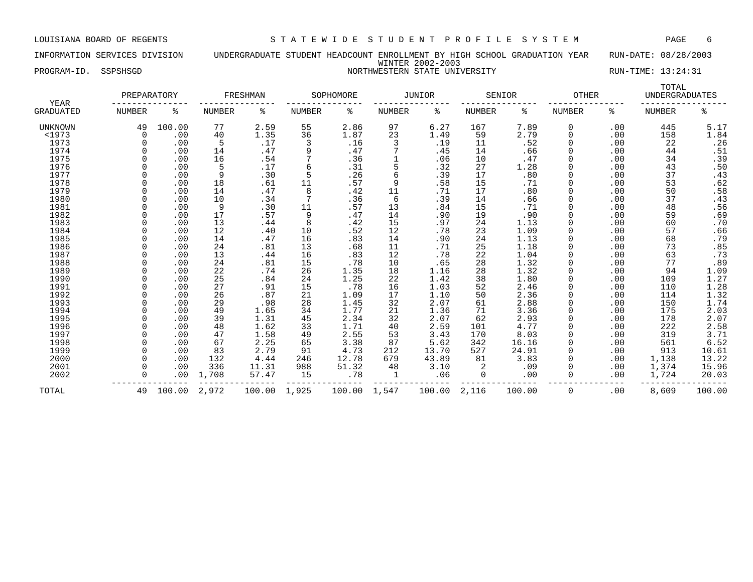# INFORMATION SERVICES DIVISION UNDERGRADUATE STUDENT HEADCOUNT ENROLLMENT BY HIGH SCHOOL GRADUATION YEAR RUN-DATE: 08/28/2003 WINTER 2002-2003 PROGRAM-ID. SSPSHSGD NORTHWESTERN STATE UNIVERSITY RUN-TIME: 13:24:31

| NORTHWESTERN STATE UNIVERSITY |  |
|-------------------------------|--|

|                          | PREPARATORY   |        |               | FRESHMAN |               | SOPHOMORE |               | <b>JUNIOR</b> |               | SENIOR | <b>OTHER</b>  |     | TOTAL<br><b>UNDERGRADUATES</b> |                |
|--------------------------|---------------|--------|---------------|----------|---------------|-----------|---------------|---------------|---------------|--------|---------------|-----|--------------------------------|----------------|
| YEAR<br><b>GRADUATED</b> | <b>NUMBER</b> | ి      | <b>NUMBER</b> | ್ಠಿ      | <b>NUMBER</b> | ి         | <b>NUMBER</b> | ႜ             | <b>NUMBER</b> | နွ     | <b>NUMBER</b> | နွ  | <b>NUMBER</b>                  | နွ             |
| <b>UNKNOWN</b>           | 49            | 100.00 | 77            | 2.59     | 55            | 2.86      | 97            | 6.27          | 167           | 7.89   | 0             | .00 | 445                            | 5.17           |
| <1973                    | $\Omega$      | .00    | 40            | 1.35     | 36            | 1.87      | 23            | 1.49          | 59            | 2.79   |               | .00 | 158                            | 1.84           |
| 1973                     |               | .00    | 5             | .17      | 3             | .16       | 3             | .19           | 11            | .52    |               | .00 | 22                             | $.26$<br>$.51$ |
| 1974                     |               | .00    | 14            | .47      | 9             | .47       |               | .45           | 14            | .66    |               | .00 | 44                             |                |
| 1975                     |               | .00    | 16            | .54      |               | .36       |               | .06           | 10            | .47    |               | .00 | 34                             | .39            |
| 1976                     |               | .00    | 5             | .17      | 6             | .31       | 5             | .32           | 27            | 1.28   |               | .00 | 43                             | .50            |
| 1977                     |               | .00    | 9             | .30      | 5             | .26       | 6             | .39           | 17            | .80    |               | .00 | 37                             | .43            |
| 1978                     |               | .00    | 18            | .61      | 11            | .57       | 9             | .58           | 15            | .71    |               | .00 | 53                             | .62            |
| 1979                     |               | .00    | 14            | .47      | 8             | .42       | 11            | .71           | 17            | .80    |               | .00 | 50                             | .58            |
| 1980                     |               | .00    | 10            | .34      |               | .36       | 6             | .39           | 14            | .66    |               | .00 | 37                             | .43            |
| 1981                     |               | .00    | 9             | .30      | 11            | .57       | 13            | .84           | 15            | .71    |               | .00 | 48                             | .56            |
| 1982                     |               | .00    | 17            | .57      | 9             | .47       | 14            | .90           | 19            | .90    |               | .00 | 59                             | .69            |
| 1983                     |               | .00    | 13            | .44      | 8             | .42       | 15            | .97           | 24            | 1.13   |               | .00 | 60                             | .70            |
| 1984                     |               | .00    | 12            | .40      | 10            | .52       | 12            | .78           | 23            | 1.09   |               | .00 | 57                             | .66            |
| 1985                     |               | .00    | 14            | .47      | 16            | .83       | 14            | .90           | 24            | 1.13   |               | .00 | 68                             | .79            |
| 1986                     |               | .00    | 24            | .81      | 13            | .68       | 11            | .71           | 25            | 1.18   |               | .00 | 73                             | .85            |
| 1987                     |               | .00    | 13            | .44      | 16            | .83       | 12            | .78           | 22            | 1.04   |               | .00 | 63                             | .73            |
| 1988                     |               | .00    | 24            | .81      | 15            | .78       | 10            | .65           | 28            | 1.32   |               | .00 | 77                             | .89            |
| 1989                     |               | .00    | 22            | .74      | 26            | 1.35      | 18            | 1.16          | 28            | 1.32   |               | .00 | 94                             | 1.09           |
| 1990                     |               | .00    | 25            | .84      | 24            | 1.25      | 22            | 1.42          | 38            | 1.80   |               | .00 | 109                            | 1.27           |
| 1991                     |               | .00    | 27            | .91      | 15            | .78       | 16            | 1.03          | 52            | 2.46   |               | .00 | 110                            | 1.28           |
| 1992                     |               | .00    | 26            | .87      | 21            | 1.09      | 17            | 1.10          | 50            | 2.36   |               | .00 | 114                            | 1.32           |
| 1993                     |               | .00    | 29            | .98      | 28            | 1.45      | 32            | 2.07          | 61            | 2.88   |               | .00 | 150                            | 1.74           |
| 1994                     |               | .00    | 49            | 1.65     | 34            | 1.77      | 21            | 1.36          | 71            | 3.36   |               | .00 | 175                            | 2.03           |
| 1995                     |               | .00    | 39            | 1.31     | 45            | 2.34      | 32            | 2.07          | 62            | 2.93   |               | .00 | 178                            | 2.07           |
| 1996                     |               | .00    | 48            | 1.62     | 33            | 1.71      | 40            | 2.59          | 101           | 4.77   |               | .00 | 222                            | 2.58           |
| 1997                     |               | .00    | 47            | 1.58     | 49            | 2.55      | 53            | 3.43          | 170           | 8.03   |               | .00 | 319                            | 3.71           |
| 1998                     |               | .00    | 67            | 2.25     | 65            | 3.38      | 87            | 5.62          | 342           | 16.16  |               | .00 | 561                            | 6.52           |
| 1999                     |               | .00    | 83            | 2.79     | 91            | 4.73      | 212           | 13.70         | 527           | 24.91  |               | .00 | 913                            | 10.61          |
| 2000                     |               | .00    | 132           | 4.44     | 246           | 12.78     | 679           | 43.89         | 81            | 3.83   |               | .00 | 1,138                          | 13.22          |
| 2001                     |               | .00    | 336           | 11.31    | 988           | 51.32     | 48            | 3.10          | 2             | .09    |               | .00 | 1,374                          | 15.96          |
| 2002                     |               | .00    | 1,708         | 57.47    | 15            | .78       |               | .06           | 0             | .00    |               | .00 | 1,724                          | 20.03          |
| TOTAL                    | 49            | 100.00 | 2,972         | 100.00   | 1,925         | 100.00    | 1,547         | 100.00        | 2,116         | 100.00 | $\Omega$      | .00 | 8,609                          | 100.00         |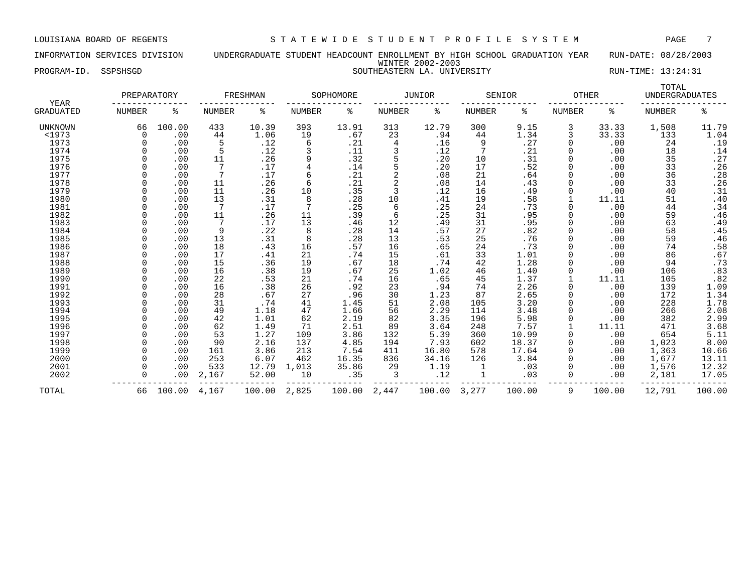### INFORMATION SERVICES DIVISION UNDERGRADUATE STUDENT HEADCOUNT ENROLLMENT BY HIGH SCHOOL GRADUATION YEAR RUN-DATE: 08/28/2003 WINTER 2002-2003 PROGRAM-ID. SSPSHSGD SOUTHEASTERN LA. UNIVERSITY RUN-TIME: 13:24:31

| YEAR      | PREPARATORY   |        |               | FRESHMAN |               | SOPHOMORE |               | <b>JUNIOR</b> |               | SENIOR | <b>OTHER</b>  |        | TOTAL<br><b>UNDERGRADUATES</b> |        |
|-----------|---------------|--------|---------------|----------|---------------|-----------|---------------|---------------|---------------|--------|---------------|--------|--------------------------------|--------|
| GRADUATED | <b>NUMBER</b> | ႜ      | <b>NUMBER</b> | နွ       | <b>NUMBER</b> | ి         | <b>NUMBER</b> | နွ            | <b>NUMBER</b> | ႜ      | <b>NUMBER</b> | ႜ      | <b>NUMBER</b>                  | နွ     |
| UNKNOWN   | 66            | 100.00 | 433           | 10.39    | 393           | 13.91     | 313           | 12.79         | 300           | 9.15   | 3             | 33.33  | 1,508                          | 11.79  |
| <1973     | $\Omega$      | .00    | 44            | 1.06     | 19            | .67       | 23            | .94           | 44            | 1.34   | 3             | 33.33  | 133                            | 1.04   |
| 1973      |               | .00    | 5             | .12      | 6             | .21       | 4             | .16           | 9             | .27    | 0             | .00    | 24                             | .19    |
| 1974      |               | .00    | 5             | .12      |               | .11       | 3             | .12           | 7             | .21    | <sup>0</sup>  | .00    | 18                             | .14    |
| 1975      |               | .00    | 11            | .26      | 9             | .32       | 5             | .20           | 10            | .31    |               | .00    | 35                             | .27    |
| 1976      |               | .00    |               | .17      | 4             | .14       |               | .20           | 17            | .52    |               | .00    | 33                             | .26    |
| 1977      |               | .00    |               | .17      | 6             | .21       | 2             | .08           | 21            | .64    |               | .00    | 36                             | .28    |
| 1978      |               | .00    | 11            | .26      | 6             | .21       | 2             | .08           | 14            | .43    | $\Omega$      | .00    | 33                             | .26    |
| 1979      |               | .00    | 11            | .26      | 10            | .35       | 3             | .12           | 16            | .49    | $\Omega$      | .00    | 40                             | .31    |
| 1980      |               | .00    | 13            | .31      | 8             | .28       | 10            | .41           | 19            | .58    |               | 11.11  | 51                             | .40    |
| 1981      |               | .00    | 7             | .17      | 7             | .25       | 6             | .25           | 24            | .73    | 0             | .00    | 44                             | .34    |
| 1982      |               | .00    | 11            | .26      | 11            | .39       | 6             | .25           | 31            | .95    |               | .00    | 59                             | .46    |
| 1983      |               | .00    | 7             | .17      | 13            | .46       | 12            | .49           | 31            | .95    |               | .00    | 63                             | .49    |
| 1984      |               | .00    | 9             | .22      | 8             | .28       | 14            | .57           | 27            | .82    | 0             | .00    | 58                             | .45    |
| 1985      |               | .00    | 13            | .31      | 8             | .28       | 13            | .53           | 25            | .76    | 0             | .00    | 59                             | .46    |
| 1986      |               | .00    | 18            | .43      | 16            | .57       | 16            | .65           | 24            | .73    |               | .00    | 74                             | .58    |
| 1987      |               | .00    | 17            | .41      | 21            | .74       | 15            | .61           | 33            | 1.01   |               | .00    | 86                             | .67    |
| 1988      |               | .00    | 15            | .36      | 19            | .67       | 18            | .74           | 42            | 1.28   |               | .00    | 94                             | .73    |
| 1989      |               | .00    | 16            | .38      | 19            | .67       | 25            | 1.02          | 46            | 1.40   | 0             | .00    | 106                            | .83    |
| 1990      |               | .00    | 22            | .53      | 21            | .74       | 16            | .65           | 45            | 1.37   |               | 11.11  | 105                            | .82    |
| 1991      |               | .00    | 16            | .38      | 26            | .92       | 23            | .94           | 74            | 2.26   | $\Omega$      | .00    | 139                            | 1.09   |
| 1992      |               | .00    | 28            | .67      | 27            | .96       | 30            | 1.23          | 87            | 2.65   | 0             | .00    | 172                            | 1.34   |
| 1993      |               | .00    | 31            | .74      | 41            | 1.45      | 51            | 2.08          | 105           | 3.20   |               | .00    | 228                            | 1.78   |
| 1994      |               | .00    | 49            | 1.18     | 47            | 1.66      | 56            | 2.29          | 114           | 3.48   |               | .00    | 266                            | 2.08   |
| 1995      |               | .00    | 42            | 1.01     | 62            | 2.19      | 82            | 3.35          | 196           | 5.98   |               | .00    | 382                            | 2.99   |
| 1996      |               | .00    | 62            | 1.49     | 71            | 2.51      | 89            | 3.64          | 248           | 7.57   |               | 11.11  | 471                            | 3.68   |
| 1997      |               | .00    | 53            | 1.27     | 109           | 3.86      | 132           | 5.39          | 360           | 10.99  | 0             | .00    | 654                            | 5.11   |
| 1998      |               | .00    | 90            | 2.16     | 137           | 4.85      | 194           | 7.93          | 602           | 18.37  | 0             | .00    | 1,023                          | 8.00   |
| 1999      |               | .00    | 161           | 3.86     | 213           | 7.54      | 411           | 16.80         | 578           | 17.64  |               | .00    | 1,363                          | 10.66  |
| 2000      |               | .00    | 253           | 6.07     | 462           | 16.35     | 836           | 34.16         | 126           | 3.84   | 0             | .00    | 1,677                          | 13.11  |
| 2001      |               | .00    | 533           | 12.79    | 1,013         | 35.86     | 29            | 1.19          |               | .03    | 0             | .00    | 1,576                          | 12.32  |
| 2002      | <sup>n</sup>  | .00    | 2,167         | 52.00    | 10            | .35       | 3             | .12           |               | .03    | $\Omega$      | .00    | 2,181                          | 17.05  |
| TOTAL     | 66            | 100.00 | 4,167         | 100.00   | 2,825         | 100.00    | 2,447         | 100.00        | 3,277         | 100.00 | 9             | 100.00 | 12,791                         | 100.00 |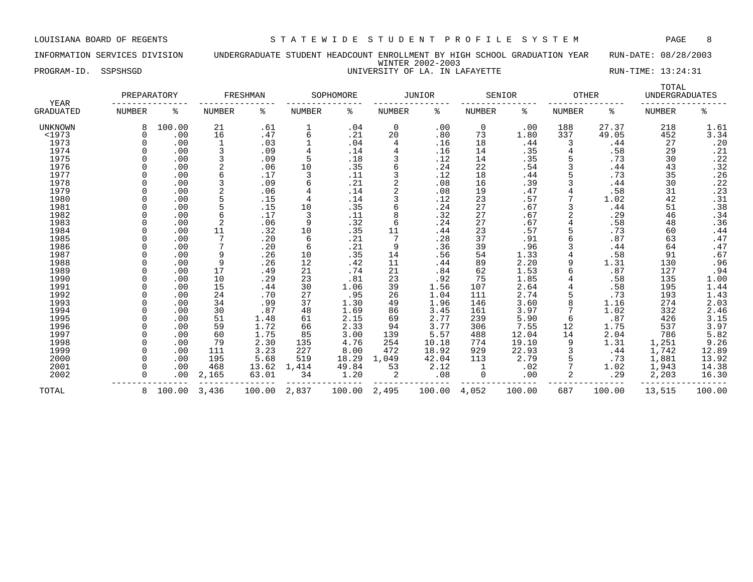### INFORMATION SERVICES DIVISION UNDERGRADUATE STUDENT HEADCOUNT ENROLLMENT BY HIGH SCHOOL GRADUATION YEAR RUN-DATE: 08/28/2003 WINTER 2002-2003 PROGRAM-ID. SSPSHSGD **EXECUTE:** 13:24:31

|  | NIVERSITY OF LA. IN LAFAYET. |  |  |  |  |
|--|------------------------------|--|--|--|--|
|--|------------------------------|--|--|--|--|

| YEAR             | PREPARATORY   |        |                | FRESHMAN |        | SOPHOMORE |                | JUNIOR |               | SENIOR | <b>OTHER</b> |        | TOTAL<br><b>UNDERGRADUATES</b> |        |
|------------------|---------------|--------|----------------|----------|--------|-----------|----------------|--------|---------------|--------|--------------|--------|--------------------------------|--------|
| <b>GRADUATED</b> | <b>NUMBER</b> | ႜ      | <b>NUMBER</b>  | ႜ        | NUMBER | ႜ         | NUMBER         | ႜ      | <b>NUMBER</b> | ႜ      | NUMBER       | နွ     | <b>NUMBER</b>                  | ៖      |
| <b>UNKNOWN</b>   |               | 100.00 | 21             | .61      |        | .04       | $\mathbf 0$    | .00    | 0             | .00    | 188          | 27.37  | 218                            | 1.61   |
| <1973            |               | .00    | 16             | .47      | 6      | .21       | 20             | .80    | 73            | 1.80   | 337          | 49.05  | 452                            | 3.34   |
| 1973             |               | .00    | $\mathbf 1$    | .03      |        | .04       | 4              | .16    | 18            | .44    | 3            | .44    | 27                             | .20    |
| 1974             |               | .00    |                | .09      |        | .14       | 4              | .16    | 14            | .35    |              | .58    | 29                             | .21    |
| 1975             |               | .00    |                | .09      | 5      | .18       |                | .12    | 14            | .35    |              | .73    | 30                             | .22    |
| 1976             |               | .00    |                | .06      | 10     | .35       | 6              | .24    | 22            | .54    |              | .44    | 43                             | .32    |
| 1977             |               | .00    | 6              | .17      | 3      | .11       | 3              | .12    | 18            | .44    |              | .73    | 35                             | .26    |
| 1978             |               | .00    |                | .09      |        | .21       | $\overline{a}$ | .08    | 16            | .39    |              | .44    | 30                             | .22    |
| 1979             |               | .00    | 2              | .06      |        | .14       | 2              | .08    | 19            | .47    |              | .58    | 31                             | .23    |
| 1980             |               | .00    | 5              | .15      |        | .14       | 3              | .12    | 23            | .57    |              | 1.02   | 42                             | .31    |
| 1981             |               | .00    | 5              | .15      | 10     | .35       | 6              | .24    | 27            | .67    |              | .44    | 51                             | .38    |
| 1982             |               | .00    | 6              | .17      | 3      | .11       | 8              | .32    | 27            | .67    |              | .29    | 46                             | .34    |
| 1983             |               | .00    | $\overline{2}$ | .06      | 9      | .32       | 6              | .24    | 27            | .67    |              | .58    | 48                             | .36    |
| 1984             |               | .00    | 11             | .32      | 10     | .35       | 11             | .44    | 23            | .57    |              | .73    | 60                             | .44    |
| 1985             |               | .00    |                | .20      | 6      | .21       | 7              | .28    | 37            | .91    |              | .87    | 63                             | .47    |
| 1986             |               | .00    |                | .20      | 6      | .21       | 9              | .36    | 39            | .96    |              | .44    | 64                             | .47    |
| 1987             |               | .00    | 9              | .26      | 10     | .35       | 14             | .56    | 54            | 1.33   |              | .58    | 91                             | .67    |
| 1988             |               | .00    | 9              | .26      | 12     | .42       | 11             | .44    | 89            | 2.20   |              | 1.31   | 130                            | .96    |
| 1989             |               | .00    | 17             | .49      | 21     | .74       | 21             | .84    | 62            | 1.53   |              | .87    | 127                            | .94    |
| 1990             |               | .00    | 10             | .29      | 23     | .81       | 23             | .92    | 75            | 1.85   |              | .58    | 135                            | 1.00   |
| 1991             |               | .00    | 15             | .44      | 30     | 1.06      | 39             | 1.56   | 107           | 2.64   |              | .58    | 195                            | 1.44   |
| 1992             |               | .00    | 24             | .70      | 27     | .95       | 26             | 1.04   | 111           | 2.74   |              | .73    | 193                            | 1.43   |
| 1993             |               | .00    | 34             | .99      | 37     | 1.30      | 49             | 1.96   | 146           | 3.60   |              | 1.16   | 274                            | 2.03   |
| 1994             |               | .00    | 30             | .87      | 48     | 1.69      | 86             | 3.45   | 161           | 3.97   |              | 1.02   | 332                            | 2.46   |
| 1995             |               | .00    | 51             | 1.48     | 61     | 2.15      | 69             | 2.77   | 239           | 5.90   | 6            | .87    | 426                            | 3.15   |
| 1996             |               | .00    | 59             | 1.72     | 66     | 2.33      | 94             | 3.77   | 306           | 7.55   | 12           | 1.75   | 537                            | 3.97   |
| 1997             |               | .00    | 60             | 1.75     | 85     | 3.00      | 139            | 5.57   | 488           | 12.04  | 14           | 2.04   | 786                            | 5.82   |
| 1998             |               | .00    | 79             | 2.30     | 135    | 4.76      | 254            | 10.18  | 774           | 19.10  |              | 1.31   | 1,251                          | 9.26   |
| 1999             |               | .00    | 111            | 3.23     | 227    | 8.00      | 472            | 18.92  | 929           | 22.93  |              | .44    | 1,742                          | 12.89  |
| 2000             |               | .00    | 195            | 5.68     | 519    | 18.29     | 1,049          | 42.04  | 113           | 2.79   |              | .73    | 1,881                          | 13.92  |
| 2001             |               | .00    | 468            | 13.62    | 1,414  | 49.84     | 53             | 2.12   |               | .02    |              | 1.02   | 1,943                          | 14.38  |
| 2002             |               | .00    | 2,165          | 63.01    | 34     | 1.20      | 2              | .08    | 0             | .00    |              | .29    | 2,203                          | 16.30  |
| TOTAL            | 8.            | 100.00 | 3,436          | 100.00   | 2,837  | 100.00    | 2,495          | 100.00 | 4,052         | 100.00 | 687          | 100.00 | 13,515                         | 100.00 |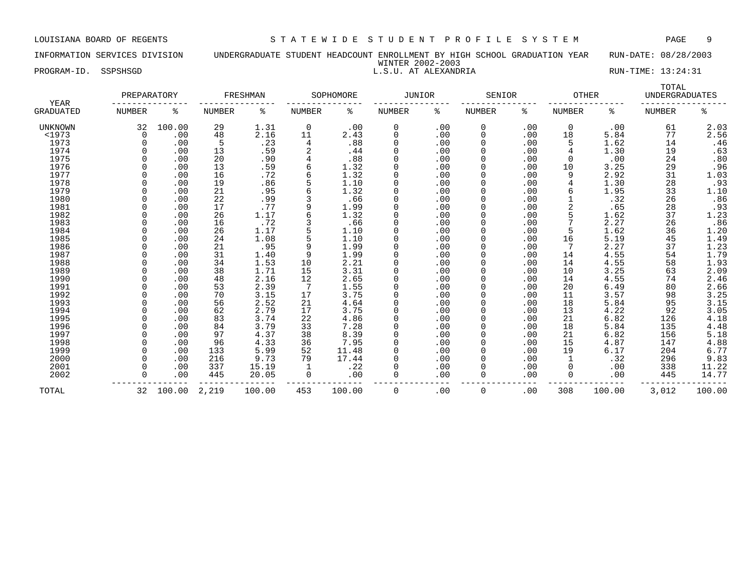### INFORMATION SERVICES DIVISION UNDERGRADUATE STUDENT HEADCOUNT ENROLLMENT BY HIGH SCHOOL GRADUATION YEAR RUN-DATE: 08/28/2003 WINTER 2002-2003

PROGRAM-ID. SSPSHSGD L.S.U. AT ALEXANDRIA RUN-TIME: 13:24:31

| YEAR             | PREPARATORY   |        |               | FRESHMAN |               | SOPHOMORE | JUNIOR        |     | SENIOR        |     | <b>OTHER</b>  |        | TOTAL<br><b>UNDERGRADUATES</b> |                  |
|------------------|---------------|--------|---------------|----------|---------------|-----------|---------------|-----|---------------|-----|---------------|--------|--------------------------------|------------------|
| <b>GRADUATED</b> | <b>NUMBER</b> | ႜ      | <b>NUMBER</b> | ႜ        | <b>NUMBER</b> | ႜ         | <b>NUMBER</b> | နွ  | <b>NUMBER</b> | နွ  | <b>NUMBER</b> | ႜ      | <b>NUMBER</b>                  | ి                |
| <b>UNKNOWN</b>   | 32            | 100.00 | 29            | 1.31     | 0             | .00       | 0             | .00 | 0             | .00 | 0             | .00    | 61                             | 2.03             |
| <1973            | $\Omega$      | .00    | 48            | 2.16     | 11            | 2.43      | 0             | .00 | 0             | .00 | 18            | 5.84   | 77                             | 2.56             |
| 1973             |               | .00    | 5             | .23      | 4             | .88       | 0             | .00 | 0             | .00 | 5             | 1.62   | 14                             | .46              |
| 1974             |               | .00    | 13            | .59      |               | .44       | $\Omega$      | .00 | 0             | .00 | 4             | 1.30   | 19                             | .63              |
| 1975             |               | .00    | 20            | .90      |               | .88       | $\Omega$      | .00 | 0             | .00 | $\Omega$      | .00    | 24                             | .80              |
| 1976             |               | .00    | 13            | .59      | 6             | 1.32      | $\Omega$      | .00 | 0             | .00 | 10            | 3.25   | 29                             | .96              |
| 1977             |               | .00    | 16            | .72      | 6             | 1.32      | $\Omega$      | .00 | 0             | .00 | 9             | 2.92   | 31                             | 1.03             |
| 1978             |               | .00    | 19            | .86      |               | 1.10      | $\Omega$      | .00 | 0             | .00 | 4             | 1.30   | 28                             | .93              |
| 1979             |               | .00    | 21            | .95      |               | 1.32      | $\Omega$      | .00 | 0             | .00 | 6             | 1.95   | 33                             | 1.10             |
| 1980             |               | .00    | 22            | .99      |               | .66       | $\Omega$      | .00 | 0             | .00 |               | .32    | 26                             | .86              |
| 1981             |               | .00    | 17            | .77      | 9             | 1.99      | 0             | .00 | 0             | .00 | 2             | .65    | 28                             |                  |
| 1982             |               | .00    | 26            | 1.17     |               | 1.32      | $\Omega$      | .00 | 0             | .00 | 5             | 1.62   | 37                             | $.93$<br>1.23    |
| 1983             |               | .00    | 16            | .72      |               | .66       | $\Omega$      | .00 | 0             | .00 |               | 2.27   | 26                             | .86              |
| 1984             |               | .00    | 26            | 1.17     |               | 1.10      | $\Omega$      | .00 | 0             | .00 | 5             | 1.62   | 36                             | 1.20             |
| 1985             |               | .00    | 24            | 1.08     |               | 1.10      | 0             | .00 | 0             | .00 | 16            | 5.19   | 45                             | 1.49             |
| 1986             |               | .00    | 21            | .95      | 9             | 1.99      | $\Omega$      | .00 | 0             | .00 | 7             | 2.27   | 37                             | 1.23             |
| 1987             |               | .00    | 31            | 1.40     | 9             | 1.99      | $\Omega$      | .00 | 0             | .00 | 14            | 4.55   | 54                             | 1.79             |
| 1988             |               | .00    | 34            | 1.53     | 10            | 2.21      | $\Omega$      | .00 | <sup>0</sup>  | .00 | 14            | 4.55   | 58                             | 1.93             |
| 1989             |               | .00    | 38            | 1.71     | 15            | 3.31      | $\Omega$      | .00 | 0             | .00 | 10            | 3.25   | 63                             | 2.09             |
| 1990             |               | .00    | 48            | 2.16     | 12            | 2.65      | $\Omega$      | .00 | 0             | .00 | 14            | 4.55   | 74                             | 2.46             |
| 1991             |               | .00    | 53            | 2.39     | 7             | 1.55      | $\Omega$      | .00 | <sup>0</sup>  | .00 | 20            | 6.49   | 80                             | 2.66             |
| 1992             |               | .00    | 70            | 3.15     | 17            | 3.75      | $\Omega$      | .00 | 0             | .00 | 11            | 3.57   | 98                             |                  |
| 1993             |               | .00    | 56            | 2.52     | 21            | 4.64      | $\Omega$      | .00 | <sup>0</sup>  | .00 | 18            | 5.84   | 95                             | $3.25$<br>$3.15$ |
| 1994             |               | .00    | 62            | 2.79     | 17            | 3.75      | $\Omega$      | .00 | 0             | .00 | 13            | 4.22   | 92                             | 3.05             |
| 1995             |               | .00    | 83            | 3.74     | 22            | 4.86      | $\Omega$      | .00 | 0             | .00 | 21            | 6.82   | 126                            | 4.18             |
| 1996             |               | .00    | 84            | 3.79     | 33            | 7.28      | 0             | .00 | 0             | .00 | 18            | 5.84   | 135                            | 4.48             |
| 1997             |               | .00    | 97            | 4.37     | 38            | 8.39      | $\Omega$      | .00 | 0             | .00 | 21            | 6.82   | 156                            | 5.18             |
| 1998             |               | .00    | 96            | 4.33     | 36            | 7.95      | $\Omega$      | .00 | 0             | .00 | 15            | 4.87   | 147                            | 4.88             |
| 1999             |               | .00    | 133           | 5.99     | 52            | 11.48     | $\Omega$      | .00 | 0             | .00 | 19            | 6.17   | 204                            | 6.77             |
| 2000             |               | .00    | 216           | 9.73     | 79            | 17.44     | $\Omega$      | .00 | <sup>0</sup>  | .00 |               | .32    | 296                            | 9.83             |
| 2001             |               | .00    | 337           | 15.19    |               | .22       | $\Omega$      | .00 | 0             | .00 | 0             | .00    | 338                            | 11.22            |
| 2002             |               | .00    | 445           | 20.05    | 0             | .00       | $\Omega$      | .00 | 0             | .00 | 0             | .00    | 445                            | 14.77            |
| TOTAL            | 32            | 100.00 | 2,219         | 100.00   | 453           | 100.00    | 0             | .00 | 0             | .00 | 308           | 100.00 | 3,012                          | 100.00           |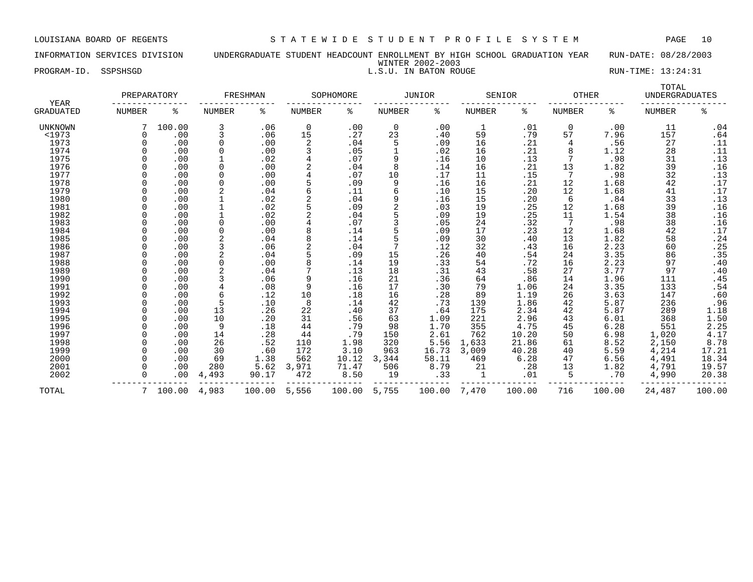INFORMATION SERVICES DIVISION UNDERGRADUATE STUDENT HEADCOUNT ENROLLMENT BY HIGH SCHOOL GRADUATION YEAR RUN-DATE: 08/28/2003 WINTER 2002-2003 PROGRAM-ID. SSPSHSGD **RUN-TIME:** 13:24:31

| <b>YEAR</b>      | PREPARATORY   |          |               | FRESHMAN |                | SOPHOMORE |                | <b>JUNIOR</b> |               | SENIOR | <b>OTHER</b>  |        | TOTAL<br><b>UNDERGRADUATES</b> |                  |
|------------------|---------------|----------|---------------|----------|----------------|-----------|----------------|---------------|---------------|--------|---------------|--------|--------------------------------|------------------|
| <b>GRADUATED</b> | <b>NUMBER</b> | နွ       | <b>NUMBER</b> | ႜ        | <b>NUMBER</b>  | ್ಠಿ       | <b>NUMBER</b>  | ႜ             | <b>NUMBER</b> | နွ     | <b>NUMBER</b> | နွ     | <b>NUMBER</b>                  | နွ               |
| UNKNOWN          |               | 100.00   | 3             | .06      | $\mathbf 0$    | .00       | 0              | .00           | $\mathbf{1}$  | .01    | 0             | .00    | 11                             | .04              |
| <1973            |               | .00      | 3             | .06      | 15             | .27       | 23             | .40           | 59            | .79    | 57            | 7.96   | 157                            | .64              |
| 1973             |               | .00      | 0             | .00      | 2              | .04       | 5              | .09           | 16            | .21    | 4             | .56    | 27                             | .11              |
| 1974             |               | .00      | $\Omega$      | .00      |                | .05       | 1              | .02           | 16            | .21    | 8             | 1.12   | 28                             | .11              |
| 1975             |               | .00      |               | .02      |                | .07       | 9              | .16           | 10            | .13    |               | .98    | 31                             | .13              |
| 1976             |               | .00      | $\Omega$      | .00      |                | .04       | 8              | .14           | 16            | .21    | 13            | 1.82   | 39                             | .16              |
| 1977             |               | .00      | $\Omega$      | .00      |                | .07       | 10             | .17           | 11            | .15    | 7             | .98    | 32                             | .13              |
| 1978             |               | .00      | 0             | .00      |                | .09       | 9              | .16           | 16            | .21    | 12            | 1.68   | 42                             | .17              |
| 1979             |               | .00      | 2             | .04      | 6              | .11       | 6              | .10           | 15            | .20    | 12            | 1.68   | 41                             | .17              |
| 1980             |               | .00      |               | .02      | $\overline{2}$ | .04       | 9              | .16           | 15            | .20    | 6             | .84    | 33                             | .13              |
| 1981             |               | .00      |               | .02      |                | .09       | $\overline{2}$ | .03           | 19            | .25    | 12            | 1.68   | 39                             | .16              |
| 1982             |               | .00      |               | .02      |                | .04       |                | .09           | 19            | .25    | 11            | 1.54   | 38                             | .16              |
| 1983             |               | .00      | $\Omega$      | .00      |                | .07       |                | .05           | 24            | .32    |               | .98    | 38                             | .16              |
| 1984             |               | .00      | $\Omega$      | .00      |                | .14       |                | .09           | 17            | .23    | 12            | 1.68   | 42                             | .17              |
| 1985             |               | .00      |               | .04      |                | .14       | 5              | .09           | 30            | .40    | 13            | 1.82   | 58                             | .24              |
| 1986             |               | .00      |               | .06      |                | .04       | 7              | .12           | 32            | .43    | 16            | 2.23   | 60                             | .25              |
| 1987             |               | .00      | 2             | .04      |                | .09       | 15             | .26           | 40            | .54    | 24            | 3.35   | 86                             | .35              |
| 1988             |               | .00      | $\Omega$      | .00      |                | .14       | 19             | .33           | 54            | .72    | 16            | 2.23   | 97                             | .40              |
| 1989             |               | .00      |               | .04      |                | .13       | 18             | .31           | 43            | .58    | 27            | 3.77   | 97                             | .40              |
| 1990             |               | .00      |               | .06      | 9              | .16       | 21             | .36           | 64            | .86    | 14            | 1.96   | 111                            | .45              |
| 1991             |               | .00      |               | .08      | 9              | .16       | 17             | .30           | 79            | 1.06   | 24            | 3.35   | 133                            | .54              |
| 1992             |               | .00      | 6             | .12      | 10             | .18       | 16             | .28           | 89            | 1.19   | 26            | 3.63   | 147                            | .60              |
| 1993             |               | .00      | 5             | .10      | 8              | .14       | 42             | .73           | 139           | 1.86   | 42            | 5.87   | 236                            | .96              |
| 1994             |               | .00      | 13            | .26      | 22             | .40       | 37             | .64           | 175           | 2.34   | 42            | 5.87   | 289                            | 1.18             |
| 1995             |               | .00      | 10            | .20      | 31             | .56       | 63             | 1.09          | 221           | 2.96   | 43            | 6.01   | 368                            | 1.50             |
| 1996             |               | .00      | 9             | .18      | 44             | .79       | 98             | 1.70          | 355           | 4.75   | 45            | 6.28   | 551                            |                  |
| 1997             |               | .00      | 14            | .28      | 44             | .79       | 150            | 2.61          | 762           | 10.20  | 50            | 6.98   | 1,020                          | $2.25$<br>$4.17$ |
| 1998             |               | .00      | 26            | .52      | 110            | 1.98      | 320            | 5.56          | 1,633         | 21.86  | 61            | 8.52   | 2,150                          | 8.78             |
| 1999             |               | .00      | 30            | .60      | 172            | 3.10      | 963            | 16.73         | 3,009         | 40.28  | 40            | 5.59   | 4,214                          | 17.21            |
| 2000             |               | .00      | 69            | 1.38     | 562            | 10.12     | 3,344          | 58.11         | 469           | 6.28   | 47            | 6.56   | 4,491                          | 18.34            |
| 2001             |               | .00      | 280           | 5.62     | 3,971          | 71.47     | 506            | 8.79          | 21            | .28    | 13            | 1.82   | 4,791                          | 19.57            |
| 2002             |               | .00      | 4,493         | 90.17    | 472            | 8.50      | 19             | .33           | 1             | .01    | 5             | .70    | 4,990                          | 20.38            |
| TOTAL            |               | 7 100.00 | 4,983         | 100.00   | 5,556          | 100.00    | 5,755          | 100.00        | 7,470         | 100.00 | 716           | 100.00 | 24,487                         | 100.00           |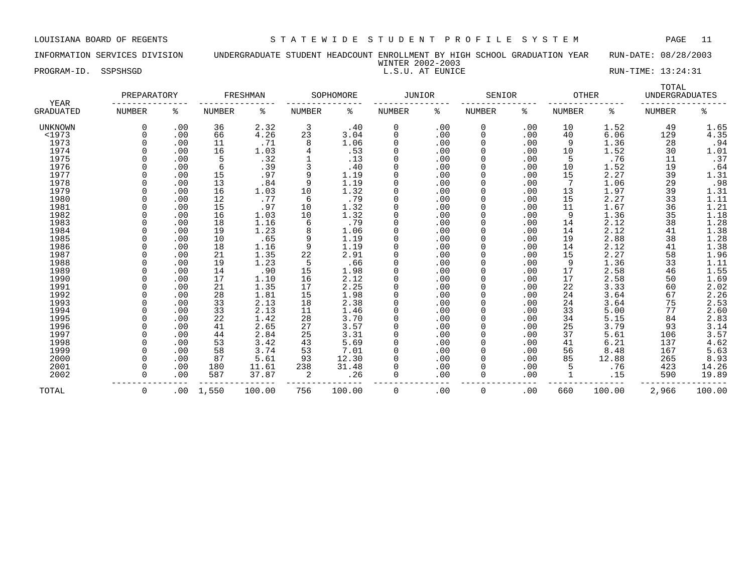INFORMATION SERVICES DIVISION UNDERGRADUATE STUDENT HEADCOUNT ENROLLMENT BY HIGH SCHOOL GRADUATION YEAR RUN-DATE: 08/28/2003 WINTER 2002-2003

PROGRAM-ID. SSPSHSGD L.S.U. AT EUNICE RUN-TIME: 13:24:31

| YEAR             | PREPARATORY   |     |               | FRESHMAN |                | SOPHOMORE | <b>JUNIOR</b> |     | SENIOR        |     | <b>OTHER</b>  |        | TOTAL<br><b>UNDERGRADUATES</b> |                     |
|------------------|---------------|-----|---------------|----------|----------------|-----------|---------------|-----|---------------|-----|---------------|--------|--------------------------------|---------------------|
| <b>GRADUATED</b> | <b>NUMBER</b> | ႜ   | <b>NUMBER</b> | ႜ        | <b>NUMBER</b>  | ႜ         | NUMBER        | ႜ   | <b>NUMBER</b> | ႜ   | <b>NUMBER</b> | ႜ      | <b>NUMBER</b>                  | ႜ                   |
| UNKNOWN          | 0             | .00 | 36            | 2.32     | $\overline{3}$ | .40       | 0             | .00 | 0             | .00 | 10            | 1.52   | 49                             | 1.65                |
| <1973            |               | .00 | 66            | 4.26     | 23             | 3.04      | $\mathbf 0$   | .00 | 0             | .00 | 40            | 6.06   | 129                            | 4.35                |
| 1973             |               | .00 | 11            | .71      | 8              | 1.06      | $\mathbf 0$   | .00 | 0             | .00 | 9             | 1.36   | 28                             | .94                 |
| 1974             |               | .00 | 16            | 1.03     |                | .53       | $\Omega$      | .00 | $\Omega$      | .00 | 10            | 1.52   | 30                             | 1.01                |
| 1975             |               | .00 | 5             | .32      |                | .13       | 0             | .00 | $\Omega$      | .00 | 5             | .76    | 11                             | .37                 |
| 1976             |               | .00 | 6             | .39      |                | .40       | 0             | .00 | $\Omega$      | .00 | 10            | 1.52   | 19                             | .64                 |
| 1977             |               | .00 | 15            | .97      | 9              | 1.19      | $\Omega$      | .00 | $\Omega$      | .00 | 15            | 2.27   | 39                             | 1.31                |
| 1978             |               | .00 | 13            | .84      | 9              | 1.19      | $\Omega$      | .00 | $\Omega$      | .00 | 7             | 1.06   | 29                             | .98                 |
| 1979             |               | .00 | 16            | 1.03     | 10             | 1.32      | $\Omega$      | .00 | $\Omega$      | .00 | 13            | 1.97   | 39                             | 1.31                |
| 1980             |               | .00 | 12            | .77      | -6             | .79       | $\Omega$      | .00 | $\Omega$      | .00 | 15            | 2.27   | 33                             | 1.11                |
| 1981             |               | .00 | 15            | .97      | 10             | 1.32      | $\Omega$      | .00 | $\Omega$      | .00 | 11            | 1.67   | 36                             | 1.21                |
| 1982             |               | .00 | 16            | 1.03     | 10             | 1.32      | $\Omega$      | .00 | 0             | .00 | 9             | 1.36   | 35                             | 1.18                |
| 1983             |               | .00 | 18            | 1.16     | 6              | .79       | $\mathbf 0$   | .00 | 0             | .00 | 14            | 2.12   | 38                             | 1.28                |
| 1984             |               | .00 | 19            | 1.23     | 8              | 1.06      | $\Omega$      | .00 | $\Omega$      | .00 | 14            | 2.12   | 41                             | 1.38                |
| 1985             |               | .00 | 10            | .65      | 9              | 1.19      | 0             | .00 | $\Omega$      | .00 | 19            | 2.88   | 38                             | 1.28                |
| 1986             |               | .00 | 18            | 1.16     | 9              | 1.19      | $\Omega$      | .00 | $\Omega$      | .00 | 14            | 2.12   | 41                             | 1.38                |
| 1987             |               | .00 | 21            | 1.35     | 22             | 2.91      | $\Omega$      | .00 | $\Omega$      | .00 | 15            | 2.27   | 58                             | 1.96                |
| 1988             |               | .00 | 19            | 1.23     | 5              | .66       | $\Omega$      | .00 | $\Omega$      | .00 | 9             | 1.36   | 33                             | 1.11                |
| 1989             |               | .00 | 14            | .90      | 15             | 1.98      | $\Omega$      | .00 | $\Omega$      | .00 | 17            | 2.58   | 46                             |                     |
| 1990             |               | .00 | 17            | 1.10     | 16             | 2.12      | 0             | .00 | $\Omega$      | .00 | 17            | 2.58   | 50                             | $\frac{1.55}{1.69}$ |
| 1991             |               | .00 | 21            | 1.35     | 17             | 2.25      | $\Omega$      | .00 | $\Omega$      | .00 | 22            | 3.33   | 60                             | 2.02                |
| 1992             |               | .00 | 28            | 1.81     | 15             | 1.98      | $\mathbf 0$   | .00 | 0             | .00 | 24            | 3.64   | 67                             | 2.26                |
| 1993             |               | .00 | 33            | 2.13     | 18             | 2.38      | 0             | .00 | 0             | .00 | 24            | 3.64   | 75                             | 2.53                |
| 1994             |               | .00 | 33            | 2.13     | 11             | 1.46      | $\Omega$      | .00 | $\Omega$      | .00 | 33            | 5.00   | 77                             | 2.60                |
| 1995             |               | .00 | 22            | 1.42     | 28             | 3.70      | $\Omega$      | .00 | $\Omega$      | .00 | 34            | 5.15   | 84                             | 2.83                |
| 1996             |               | .00 | 41            | 2.65     | 27             | 3.57      | $\Omega$      | .00 | $\Omega$      | .00 | 25            | 3.79   | 93                             | 3.14                |
| 1997             |               | .00 | 44            | 2.84     | 25             | 3.31      | $\Omega$      | .00 | $\Omega$      | .00 | 37            | 5.61   | 106                            | 3.57                |
| 1998             |               | .00 | 53            | 3.42     | 43             | 5.69      | $\Omega$      | .00 | $\Omega$      | .00 | 41            | 6.21   | 137                            | 4.62                |
| 1999             |               | .00 | 58            | 3.74     | 53             | 7.01      | $\Omega$      | .00 | $\Omega$      | .00 | 56            | 8.48   | 167                            | 5.63                |
| 2000             |               | .00 | 87            | 5.61     | 93             | 12.30     | $\Omega$      | .00 | $\Omega$      | .00 | 85            | 12.88  | 265                            | 8.93                |
| 2001             |               | .00 | 180           | 11.61    | 238            | 31.48     | $\Omega$      | .00 | $\Omega$      | .00 | 5             | .76    | 423                            | 14.26               |
| 2002             | O             | .00 | 587           | 37.87    | 2              | .26       | 0             | .00 | $\Omega$      | .00 |               | .15    | 590                            | 19.89               |
| TOTAL            | 0             | .00 | 1,550         | 100.00   | 756            | 100.00    | 0             | .00 | 0             | .00 | 660           | 100.00 | 2,966                          | 100.00              |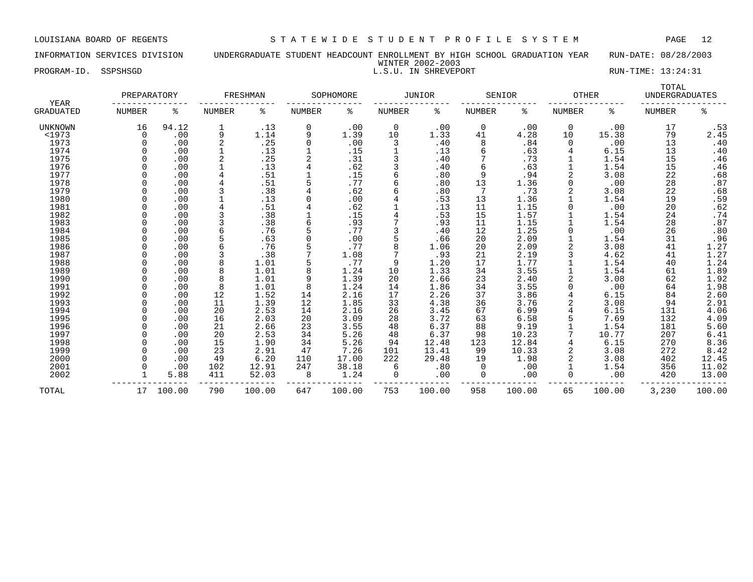### INFORMATION SERVICES DIVISION UNDERGRADUATE STUDENT HEADCOUNT ENROLLMENT BY HIGH SCHOOL GRADUATION YEAR RUN-DATE: 08/28/2003 WINTER 2002-2003 PROGRAM-ID. SSPSHSGD NATURE EXECUTION NATURE 2002-2003<br>L.S.U. IN SHREVEPORT NATURE 2002-2003 RUN-TIME: 13:24:31

| KUN-TIME: 13:24:31 |       |  |
|--------------------|-------|--|
|                    | TOTAL |  |

| YEAR             | PREPARATORY |        |               | FRESHMAN |          | SOPHOMORE |               | <b>JUNIOR</b> |               | SENIOR | <b>OTHER</b> |        | t o tum<br><b>UNDERGRADUATES</b> |                |
|------------------|-------------|--------|---------------|----------|----------|-----------|---------------|---------------|---------------|--------|--------------|--------|----------------------------------|----------------|
| <b>GRADUATED</b> | NUMBER      | ႜ      | <b>NUMBER</b> | ႜ        | NUMBER   | ႜ         | <b>NUMBER</b> | နွ            | <b>NUMBER</b> | ႜ      | NUMBER       | ႜ      | <b>NUMBER</b>                    | ి              |
| <b>UNKNOWN</b>   | 16          | 94.12  |               | .13      | $\Omega$ | .00       | 0             | .00           | 0             | .00    | 0            | .00    | 17                               | .53            |
| <1973            | $\Omega$    | .00    | 9             | 1.14     |          | 1.39      | 10            | 1.33          | 41            | 4.28   | 10           | 15.38  | 79                               | 2.45           |
| 1973             |             | .00    |               | .25      |          | .00       | 3             | .40           | 8             | .84    | $\Omega$     | .00    | 13                               | .40            |
| 1974             |             | .00    |               | .13      |          | .15       |               | .13           |               | .63    |              | 6.15   | 13                               | .40            |
| 1975             |             | .00    |               | .25      |          | .31       |               | .40           |               | .73    |              | 1.54   | 15                               | .46            |
| 1976             |             | .00    |               | .13      |          | .62       | 3             | .40           | 6             | .63    |              | 1.54   | 15                               | .46            |
| 1977             |             | .00    |               | .51      |          | .15       | 6             | .80           | 9             | .94    |              | 3.08   | 22                               | .68            |
| 1978             |             | .00    |               | .51      |          | .77       | 6             | .80           | 13            | 1.36   |              | .00    | 28                               | .87            |
| 1979             |             | .00    |               | .38      |          | .62       | 6             | .80           |               | .73    |              | 3.08   | 22                               |                |
| 1980             |             | .00    |               | .13      |          | .00       |               | .53           | 13            | 1.36   |              | 1.54   | 19                               | $.68$<br>$.59$ |
| 1981             |             | .00    |               | .51      |          | .62       |               | .13           | 11            | 1.15   |              | .00    | 20                               | $.62$<br>$.74$ |
| 1982             |             | .00    |               | .38      |          | .15       |               | .53           | 15            | 1.57   |              | 1.54   | 24                               |                |
| 1983             |             | .00    |               | .38      |          | .93       |               | .93           | 11            | 1.15   |              | 1.54   | 28                               | .87            |
| 1984             |             | .00    |               | .76      |          | .77       |               | .40           | 12            | 1.25   |              | .00    | 26                               | .80            |
| 1985             |             | .00    |               | .63      |          | .00       |               | .66           | 20            | 2.09   |              | 1.54   | 31                               | .96            |
| 1986             |             | .00    |               | .76      |          | .77       | 8             | 1.06          | 20            | 2.09   |              | 3.08   | 41                               | 1.27           |
| 1987             |             | .00    |               | .38      |          | 1.08      |               | .93           | 21            | 2.19   |              | 4.62   | 41                               | 1.27           |
| 1988             |             | .00    |               | 1.01     |          | .77       | 9             | 1.20          | 17            | 1.77   |              | 1.54   | 40                               | 1.24           |
| 1989             |             | .00    |               | 1.01     |          | 1.24      | 10            | 1.33          | 34            | 3.55   |              | 1.54   | 61                               | 1.89           |
| 1990             |             | .00    | 8             | 1.01     |          | 1.39      | 20            | 2.66          | 23            | 2.40   |              | 3.08   | 62                               | 1.92           |
| 1991             |             | .00    | 8             | 1.01     |          | 1.24      | 14            | 1.86          | 34            | 3.55   |              | .00    | 64                               | 1.98           |
| 1992             |             | .00    | 12            | 1.52     | 14       | 2.16      | 17            | 2.26          | 37            | 3.86   |              | 6.15   | 84                               | 2.60           |
| 1993             |             | .00    | 11            | 1.39     | 12       | 1.85      | 33            | 4.38          | 36            | 3.76   |              | 3.08   | 94                               | 2.91           |
| 1994             |             | .00    | 20            | 2.53     | 14       | 2.16      | 26            | 3.45          | 67            | 6.99   |              | 6.15   | 131                              | 4.06           |
| 1995             |             | .00    | 16            | 2.03     | 20       | 3.09      | 28            | 3.72          | 63            | 6.58   |              | 7.69   | 132                              | 4.09           |
| 1996             |             | .00    | 21            | 2.66     | 23       | 3.55      | 48            | 6.37          | 88            | 9.19   |              | 1.54   | 181                              | 5.60           |
| 1997             |             | .00    | 20            | 2.53     | 34       | 5.26      | 48            | 6.37          | 98            | 10.23  |              | 10.77  | 207                              | 6.41           |
| 1998             |             | .00    | 15            | 1.90     | 34       | 5.26      | 94            | 12.48         | 123           | 12.84  |              | 6.15   | 270                              | 8.36           |
| 1999             |             | .00    | 23            | 2.91     | 47       | 7.26      | 101           | 13.41         | 99            | 10.33  |              | 3.08   | 272                              | 8.42           |
| 2000             |             | .00    | 49            | 6.20     | 110      | 17.00     | 222           | 29.48         | 19            | 1.98   |              | 3.08   | 402                              | 12.45          |
| 2001             |             | .00    | 102           | 12.91    | 247      | 38.18     | 6             | .80           | 0             | .00    |              | 1.54   | 356                              | 11.02          |
| 2002             |             | 5.88   | 411           | 52.03    | 8        | 1.24      | 0             | .00           | 0             | .00    |              | .00    | 420                              | 13.00          |
| TOTAL            | 17          | 100.00 | 790           | 100.00   | 647      | 100.00    | 753           | 100.00        | 958           | 100.00 | 65           | 100.00 | 3,230                            | 100.00         |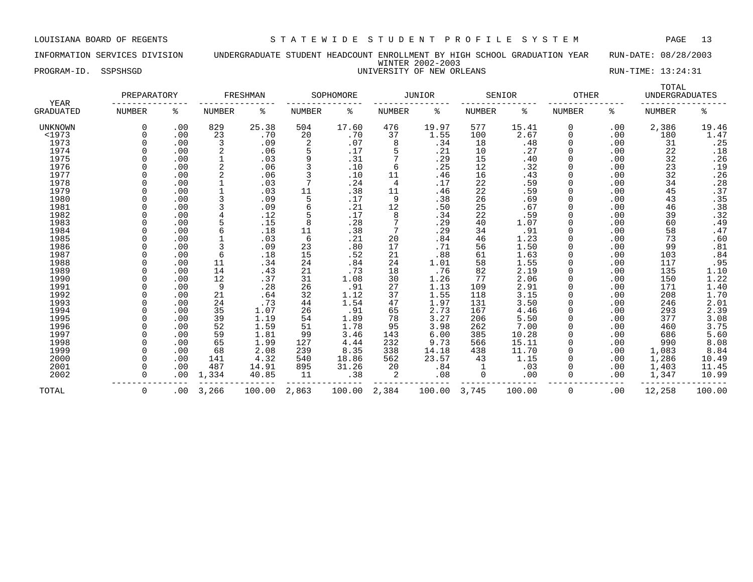INFORMATION SERVICES DIVISION UNDERGRADUATE STUDENT HEADCOUNT ENROLLMENT BY HIGH SCHOOL GRADUATION YEAR RUN-DATE: 08/28/2003 WINTER 2002-2003 PROGRAM-ID. SSPSHSGD UNIVERSITY OF NEW ORLEANS RUN-TIME: 13:24:31

|                                 | PREPARATORY   |     |               | FRESHMAN |               | SOPHOMORE |               | <b>JUNIOR</b> |               | SENIOR | <b>OTHER</b>  |     | TOTAL<br><b>UNDERGRADUATES</b> |                  |
|---------------------------------|---------------|-----|---------------|----------|---------------|-----------|---------------|---------------|---------------|--------|---------------|-----|--------------------------------|------------------|
| <b>YEAR</b><br><b>GRADUATED</b> | <b>NUMBER</b> | ႜ   | <b>NUMBER</b> | ႜ        | <b>NUMBER</b> | ిక        | <b>NUMBER</b> | ిక            | <b>NUMBER</b> | ႜ      | <b>NUMBER</b> | ႜ   | <b>NUMBER</b>                  | ి                |
| UNKNOWN                         | 0             | .00 | 829           | 25.38    | 504           | 17.60     | 476           | 19.97         | 577           | 15.41  | 0             | .00 | 2,386                          | 19.46            |
| <1973                           |               | .00 | 23            | .70      | 20            | .70       | 37            | 1.55          | 100           | 2.67   |               | .00 | 180                            | 1.47             |
| 1973                            |               | .00 | 3             | .09      | 2             | .07       | 8             | .34           | 18            | .48    |               | .00 | 31                             | .25              |
| 1974                            |               | .00 | 2             | .06      |               | .17       | 5             | .21           | 10            | .27    |               | .00 | 22                             | .18              |
| 1975                            |               | .00 |               | .03      | 9             | .31       | 7             | .29           | 15            | .40    |               | .00 | 32                             | .26              |
| 1976                            |               | .00 |               | .06      | 3             | .10       | 6             | .25           | 12            | .32    |               | .00 | 23                             | .19              |
| 1977                            |               | .00 |               | .06      | 3             | .10       | 11            | .46           | 16            | .43    |               | .00 | 32                             | .26              |
| 1978                            |               | .00 |               | .03      |               | .24       | 4             | .17           | 22            | .59    |               | .00 | 34                             | .28              |
| 1979                            |               | .00 |               | .03      | 11            | .38       | 11            | .46           | 22            | .59    |               | .00 | 45                             | .37              |
| 1980                            |               | .00 |               | .09      | 5             | .17       | 9             | .38           | 26            | .69    |               | .00 | 43                             | .35              |
| 1981                            |               | .00 |               | .09      | 6             | .21       | 12            | .50           | 25            | .67    |               | .00 | 46                             | .38              |
| 1982                            |               | .00 |               | .12      |               | .17       | 8             | .34           | 22            | .59    |               | .00 | 39                             | .32              |
| 1983                            |               | .00 |               | .15      | 8             | .28       | 7             | .29           | 40            | 1.07   |               | .00 | 60                             | .49              |
| 1984                            |               | .00 | 6             | .18      | 11            | .38       | 7             | .29           | 34            | .91    |               | .00 | 58                             | .47              |
| 1985                            |               | .00 |               | .03      | 6             | .21       | 20            | .84           | 46            | 1.23   |               | .00 | 73                             | .60              |
| 1986                            |               | .00 |               | .09      | 23            | .80       | 17            | .71           | 56            | 1.50   |               | .00 | 99                             | .81              |
| 1987                            |               | .00 | 6             | .18      | 15            | .52       | 21            | .88           | 61            | 1.63   |               | .00 | 103                            | .84              |
| 1988                            |               | .00 | 11            | .34      | 24            | .84       | 24            | 1.01          | 58            | 1.55   |               | .00 | 117                            | .95              |
| 1989                            |               | .00 | 14            | .43      | 21            | .73       | 18            | .76           | 82            | 2.19   |               | .00 | 135                            | 1.10             |
| 1990                            |               | .00 | 12            | .37      | 31            | 1.08      | 30            | 1.26          | 77            | 2.06   |               | .00 | 150                            | 1.22             |
| 1991                            |               | .00 | 9             | .28      | 26            | .91       | 27            | 1.13          | 109           | 2.91   |               | .00 | 171                            | 1.40             |
| 1992                            |               | .00 | 21            | .64      | 32            | 1.12      | 37            | 1.55          | 118           | 3.15   |               | .00 | 208                            | 1.70             |
| 1993                            |               | .00 | 24            | .73      | 44            | 1.54      | 47            | 1.97          | 131           | 3.50   |               | .00 | 246                            | $2.01$<br>$2.39$ |
| 1994                            |               | .00 | 35            | 1.07     | 26            | .91       | 65            | 2.73          | 167           | 4.46   |               | .00 | 293                            |                  |
| 1995                            |               | .00 | 39            | 1.19     | 54            | 1.89      | 78            | 3.27          | 206           | 5.50   |               | .00 | 377                            | 3.08             |
| 1996                            |               | .00 | 52            | 1.59     | 51            | 1.78      | 95            | 3.98          | 262           | 7.00   |               | .00 | 460                            | 3.75             |
| 1997                            |               | .00 | 59            | 1.81     | 99            | 3.46      | 143           | 6.00          | 385           | 10.28  |               | .00 | 686                            | 5.60             |
| 1998                            |               | .00 | 65            | 1.99     | 127           | 4.44      | 232           | 9.73          | 566           | 15.11  |               | .00 | 990                            | 8.08             |
| 1999                            |               | .00 | 68            | 2.08     | 239           | 8.35      | 338           | 14.18         | 438           | 11.70  |               | .00 | 1,083                          | 8.84             |
| 2000                            |               | .00 | 141           | 4.32     | 540           | 18.86     | 562           | 23.57         | 43            | 1.15   |               | .00 | 1,286                          | 10.49            |
| 2001                            |               | .00 | 487           | 14.91    | 895           | 31.26     | 20            | .84           |               | .03    |               | .00 | 1,403                          | 11.45            |
| 2002                            |               | .00 | 1,334         | 40.85    | 11            | .38       | 2             | .08           | 0             | .00    |               | .00 | 1,347                          | 10.99            |
| TOTAL                           | $\Omega$      | .00 | 3,266         | 100.00   | 2,863         | 100.00    | 2,384         | 100.00        | 3,745         | 100.00 | $\Omega$      | .00 | 12,258                         | 100.00           |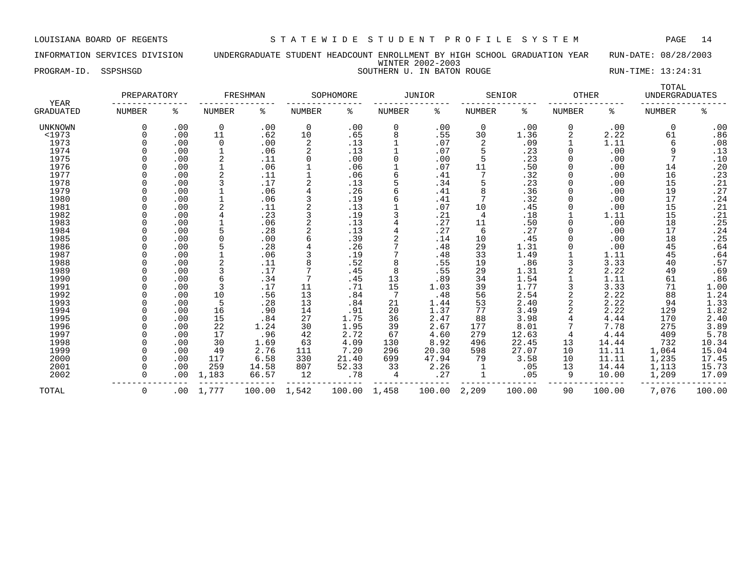INFORMATION SERVICES DIVISION UNDERGRADUATE STUDENT HEADCOUNT ENROLLMENT BY HIGH SCHOOL GRADUATION YEAR RUN-DATE: 08/28/2003 WINTER 2002-2003 PROGRAM-ID. SSPSHSGD SOUTHERN U. IN BATON ROUGE SOUTHERN U. IN BATON ROUGE RUN-TIME: 13:24:31

|                          | PREPARATORY   |     |                | FRESHMAN     |               | SOPHOMORE |               | <b>JUNIOR</b> |               | SENIOR | <b>OTHER</b>  |        | TOTAL<br><b>UNDERGRADUATES</b> |                  |
|--------------------------|---------------|-----|----------------|--------------|---------------|-----------|---------------|---------------|---------------|--------|---------------|--------|--------------------------------|------------------|
| YEAR<br><b>GRADUATED</b> | <b>NUMBER</b> | ႜ   | <b>NUMBER</b>  | နွ           | <b>NUMBER</b> | ႜ         | <b>NUMBER</b> | နွ            | <b>NUMBER</b> | နွ     | <b>NUMBER</b> | ి      | <b>NUMBER</b>                  | ి                |
| UNKNOWN                  | $\Omega$      | .00 | $\mathbf 0$    | .00          | $\mathbf 0$   | .00       | 0             | .00           | 0             | .00    | 0             | .00    | 0                              | .00              |
| $1973$                   |               | .00 | 11             | .62          | 10            | .65       | 8             | .55           | 30            | 1.36   | 2             | 2.22   | 61                             | .86              |
| 1973                     |               | .00 | 0              | .00          | 2             | .13       |               | .07           | 2             | .09    |               | 1.11   | 6                              | .08              |
| 1974                     |               | .00 |                | .06          | 2             | .13       |               | .07           |               | .23    |               | .00    | 9                              | .13              |
| 1975                     |               | .00 | 2              | .11          | 0             | .00       | 0             | .00           |               | .23    | $\Omega$      | .00    |                                | .10              |
| 1976                     |               | .00 |                | .06          |               | .06       |               | .07           | 11            | .50    | $\Omega$      | .00    | 14                             | .20              |
| 1977                     |               | .00 | $\overline{2}$ | .11          |               | .06       | б             | .41           |               | .32    |               | .00    | 16                             | .23              |
| 1978                     |               | .00 | 3              | .17          |               | .13       |               | .34           |               | .23    |               | .00    | 15                             | .21              |
| 1979                     |               | .00 |                | .06          | 4             | .26       | б             | .41           |               | .36    |               | .00    | 19                             | .27              |
| 1980                     |               | .00 |                | .06          | 3             | .19       | б             | .41           |               | .32    | $\Omega$      | .00    | 17                             | .24              |
| 1981                     |               | .00 | 2              | .11          | 2             | .13       |               | .07           | 10            | .45    | <sup>0</sup>  | .00    | 15                             | .21              |
| 1982                     |               | .00 | 4              | .23          | 3             | .19       | 3             | .21           | 4             | .18    |               | 1.11   | 15                             | .21              |
| 1983                     |               | .00 |                | .06          | 2             | .13       |               | .27           | 11            | .50    |               | .00    | 18                             | .25              |
| 1984                     |               | .00 |                | .28          | 2             | .13       |               | .27           | 6             | .27    |               | .00    | 17                             | .24              |
| 1985                     |               | .00 | $\Omega$       | .00          | 6             | .39       | 2             | .14           | 10            | .45    |               | .00    | 18                             | .25              |
| 1986                     |               | .00 |                | .28          |               | .26       |               | .48           | 29            | 1.31   |               | .00    | 45                             | .64              |
| 1987                     |               | .00 |                | .06          |               | .19       |               | .48           | 33            | 1.49   |               | 1.11   | 45                             | .64              |
| 1988                     |               | .00 |                | .11          | 8             | .52       | 8             | .55           | 19            | .86    |               | 3.33   | 40                             | .57              |
| 1989                     |               | .00 |                | .17          |               | .45       | 8             | .55           | 29            | 1.31   |               | 2.22   | 49                             | .69              |
| 1990                     |               | .00 | 6              | .34          | 7             | .45       | 13            | .89           | 34            | 1.54   |               | 1.11   | 61                             | .86              |
| 1991                     |               | .00 | 3              | .17          | 11            | .71       | 15            | 1.03          | 39            | 1.77   |               | 3.33   | 71                             | 1.00             |
| 1992                     |               | .00 | 10             | .56          | 13            | .84       | 7             | .48           | 56            | 2.54   |               | 2.22   | 88                             | 1.24             |
| 1993                     |               | .00 | 5              | .28          | 13            | .84       | 21            | 1.44          | 53            | 2.40   |               | 2.22   | 94                             | 1.33             |
| 1994                     |               | .00 | 16             | .90          | 14            | .91       | 20            | 1.37          | 77            | 3.49   |               | 2.22   | 129                            |                  |
| 1995                     |               | .00 | 15             | .84          | 27            | 1.75      | 36            | 2.47          | 88            | 3.98   |               | 4.44   | 170                            | $1.82$<br>$2.40$ |
| 1996                     |               | .00 | 22             | 1.24         | 30            | 1.95      | 39            | 2.67          | 177           | 8.01   |               | 7.78   | 275                            | 3.89             |
| 1997                     |               | .00 | 17             | .96          | 42            | 2.72      | 67            | 4.60          | 279           | 12.63  | 4             | 4.44   | 409                            | 5.78             |
| 1998                     |               | .00 | 30             |              | 63            | 4.09      | 130           | 8.92          | 496           | 22.45  | 13            |        | 732                            | 10.34            |
|                          |               |     |                | 1.69<br>2.76 |               |           |               |               |               |        |               | 14.44  |                                |                  |
| 1999                     | $\Omega$      | .00 | 49             |              | 111           | 7.20      | 296           | 20.30         | 598           | 27.07  | 10            | 11.11  | 1,064                          | 15.04            |
| 2000                     |               | .00 | 117            | 6.58         | 330           | 21.40     | 699           | 47.94         | 79            | 3.58   | 10            | 11.11  | 1,235                          | 17.45            |
| 2001                     |               | .00 | 259            | 14.58        | 807           | 52.33     | 33            | 2.26          |               | .05    | 13            | 14.44  | 1,113                          | 15.73            |
| 2002                     | $\Omega$      | .00 | 1,183          | 66.57        | 12            | .78       | 4             | .27           |               | .05    | 9             | 10.00  | 1,209                          | 17.09            |
| TOTAL                    | $\mathbf 0$   | .00 | 1,777          | 100.00       | 1,542         | 100.00    | 1,458         | 100.00        | 2,209         | 100.00 | 90            | 100.00 | 7,076                          | 100.00           |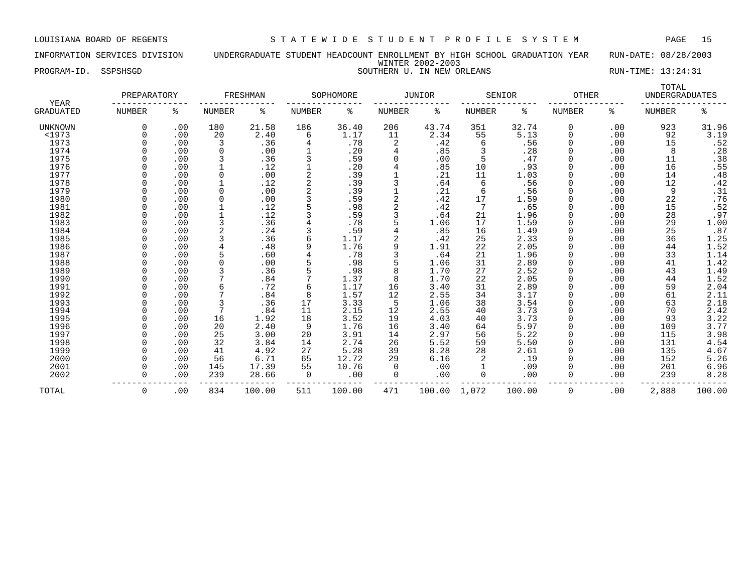INFORMATION SERVICES DIVISION UNDERGRADUATE STUDENT HEADCOUNT ENROLLMENT BY HIGH SCHOOL GRADUATION YEAR RUN-DATE: 08/28/2003 WINTER 2002-2003 PROGRAM-ID. SSPSHSGD SOUTHERN U. IN NEW ORLEANS SOUTHERN SOUTHERN SOUTHERN SOUTHERN SOUTHERN SOUTHERN SOUTHERN SOUTHERN SOUTHERN SOUTHERN SOUTHERN SOUTHERN SOUTHERN SOUTHERN SOUTHERN SOUTHERN SOUTHERN SOUTHERN SOUTHERN SOU

|                   | PREPARATORY |     |               | FRESHMAN |               | SOPHOMORE |               | <b>JUNIOR</b> |               | SENIOR | <b>OTHER</b>  |     | TOTAL<br><b>UNDERGRADUATES</b> |              |
|-------------------|-------------|-----|---------------|----------|---------------|-----------|---------------|---------------|---------------|--------|---------------|-----|--------------------------------|--------------|
| YEAR<br>GRADUATED | NUMBER      | ႜ   | <b>NUMBER</b> | ႜ        | <b>NUMBER</b> | နွ        | <b>NUMBER</b> | ႜ             | <b>NUMBER</b> | ႜ      | <b>NUMBER</b> | ႜ   | <b>NUMBER</b>                  | ి            |
| UNKNOWN           | $\Omega$    | .00 | 180           | 21.58    | 186           | 36.40     | 206           | 43.74         | 351           | 32.74  | 0             | .00 | 923                            | 31.96        |
| $1973$            |             | .00 | 20            | 2.40     | 6             | 1.17      | 11            | 2.34          | 55            | 5.13   | $\Omega$      | .00 | 92                             | 3.19         |
| 1973              |             | .00 | 3             | .36      | 4             | .78       | 2             | .42           | 6             | .56    |               | .00 | 15                             | .52          |
| 1974              |             | .00 | 0             | .00      |               | .20       | 4             | .85           |               | .28    |               | .00 | 8                              | .28          |
| 1975              |             | .00 | 3             | .36      |               | .59       | $\Omega$      | .00           |               | .47    |               | .00 | 11                             | .38          |
| 1976              |             | .00 |               | .12      |               | .20       | 4             | .85           | 10            | .93    |               | .00 | 16                             | .55          |
| 1977              |             | .00 | $\Omega$      | .00      | 2             | .39       |               | .21           | 11            | 1.03   |               | .00 | 14                             | .48          |
| 1978              |             | .00 |               | .12      |               | .39       |               | .64           | 6             | .56    |               | .00 | 12                             | .42          |
| 1979              |             | .00 | $\Omega$      | .00      |               | .39       |               | .21           | 6             | .56    |               | .00 | 9                              |              |
| 1980              |             | .00 | $\Omega$      | .00      |               | .59       | 2             | .42           | 17            | 1.59   |               | .00 | 22                             | $.31$<br>.76 |
| 1981              |             | .00 |               | .12      |               | .98       | 2             | .42           |               | .65    |               | .00 | 15                             | .52          |
| 1982              |             | .00 |               | .12      |               | .59       | 3             | .64           | 21            | 1.96   |               | .00 | 28                             | .97          |
| 1983              |             | .00 | 3             | .36      |               | .78       |               | 1.06          | 17            | 1.59   |               | .00 | 29                             | 1.00         |
| 1984              |             | .00 |               | .24      |               | .59       |               | .85           | 16            | 1.49   |               | .00 | 25                             | .87          |
| 1985              |             | .00 | 3             | .36      | 6             | 1.17      | 2             | .42           | 25            | 2.33   |               | .00 | 36                             | 1.25         |
| 1986              |             | .00 |               | .48      | 9             | 1.76      | 9             | 1.91          | 22            | 2.05   |               | .00 | 44                             | 1.52         |
| 1987              |             | .00 |               | .60      |               | .78       | 3             | .64           | 21            | 1.96   |               | .00 | 33                             | 1.14         |
| 1988              |             | .00 |               | .00      |               | .98       | 5             | 1.06          | 31            | 2.89   |               | .00 | 41                             | 1.42         |
| 1989              |             | .00 |               | .36      |               | .98       | 8             | 1.70          | 27            | 2.52   |               | .00 | 43                             | 1.49         |
| 1990              |             | .00 |               | .84      |               | 1.37      | 8             | 1.70          | 22            | 2.05   |               | .00 | 44                             | 1.52         |
| 1991              |             | .00 | 6             | .72      | 6             | 1.17      | 16            | 3.40          | 31            | 2.89   |               | .00 | 59                             | 2.04         |
| 1992              |             | .00 |               | .84      | 8             | 1.57      | 12            | 2.55          | 34            | 3.17   |               | .00 | 61                             | 2.11         |
| 1993              |             | .00 | 3             | .36      | 17            | 3.33      | 5             | 1.06          | 38            | 3.54   |               | .00 | 63                             | 2.18         |
| 1994              |             | .00 | 7             | .84      | 11            | 2.15      | 12            | 2.55          | 40            | 3.73   |               | .00 | 70                             | 2.42         |
| 1995              |             | .00 | 16            | 1.92     | 18            | 3.52      | 19            | 4.03          | 40            | 3.73   |               | .00 | 93                             | 3.22         |
| 1996              |             | .00 | 20            | 2.40     | 9             | 1.76      | 16            | 3.40          | 64            | 5.97   |               | .00 | 109                            | 3.77         |
| 1997              |             | .00 | 25            | 3.00     | 20            | 3.91      | 14            | 2.97          | 56            | 5.22   |               | .00 | 115                            | 3.98         |
| 1998              |             | .00 | 32            | 3.84     | 14            | 2.74      | 26            | 5.52          | 59            | 5.50   |               | .00 | 131                            | 4.54         |
| 1999              |             | .00 | 41            | 4.92     | 27            | 5.28      | 39            | 8.28          | 28            | 2.61   |               | .00 | 135                            | 4.67         |
| 2000              |             | .00 | 56            | 6.71     | 65            | 12.72     | 29            | 6.16          |               | .19    |               | .00 | 152                            | 5.26         |
| 2001              |             | .00 | 145           | 17.39    | 55            | 10.76     | $\Omega$      | .00           |               | .09    |               | .00 | 201                            | 6.96         |
| 2002              | $\Omega$    | .00 | 239           | 28.66    | 0             | .00       | $\Omega$      | .00           | 0             | .00    | $\Omega$      | .00 | 239                            | 8.28         |
| TOTAL             | 0           | .00 | 834           | 100.00   | 511           | 100.00    | 471           | 100.00        | 1,072         | 100.00 | 0             | .00 | 2,888                          | 100.00       |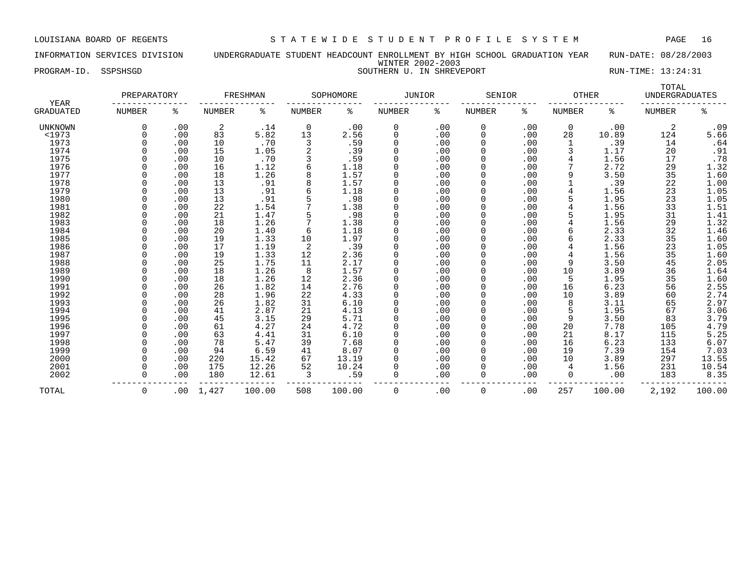INFORMATION SERVICES DIVISION UNDERGRADUATE STUDENT HEADCOUNT ENROLLMENT BY HIGH SCHOOL GRADUATION YEAR RUN-DATE: 08/28/2003 WINTER 2002-2003 PROGRAM-ID. SSPSHSGD SOUTHERN U. IN SHREVEPORT SOUTHERN SOUTHERN SOUTHERN U. IN SHREVEPORT

|                                 | PREPARATORY   |     |               | FRESHMAN |               | SOPHOMORE | JUNIOR        |     | SENIOR        |     | <b>OTHER</b>  |        | TOTAL<br><b>UNDERGRADUATES</b> |        |
|---------------------------------|---------------|-----|---------------|----------|---------------|-----------|---------------|-----|---------------|-----|---------------|--------|--------------------------------|--------|
| <b>YEAR</b><br><b>GRADUATED</b> | <b>NUMBER</b> | ႜ   | <b>NUMBER</b> | ႜ        | <b>NUMBER</b> | ႜ         | <b>NUMBER</b> | ి   | <b>NUMBER</b> | ႜ   | <b>NUMBER</b> | ႜ      | <b>NUMBER</b>                  | ಕಿ     |
| UNKNOWN                         | $\Omega$      | .00 | 2             | .14      | 0             | .00       | 0             | .00 | 0             | .00 | 0             | .00    | 2                              | .09    |
| <1973                           |               | .00 | 83            | 5.82     | 13            | 2.56      | 0             | .00 | 0             | .00 | 28            | 10.89  | 124                            | 5.66   |
| 1973                            |               | .00 | 10            | .70      | 3             | .59       | 0             | .00 | 0             | .00 |               | .39    | 14                             | .64    |
| 1974                            |               | .00 | 15            | 1.05     |               | .39       | $\mathbf 0$   | .00 | 0             | .00 |               | 1.17   | 20                             | .91    |
| 1975                            |               | .00 | 10            | .70      | 3             | . 59      | $\Omega$      | .00 | 0             | .00 |               | 1.56   | 17                             | .78    |
| 1976                            |               | .00 | 16            | 1.12     |               | 1.18      | $\Omega$      | .00 |               | .00 |               | 2.72   | 29                             | 1.32   |
| 1977                            |               | .00 | 18            | 1.26     |               | 1.57      | $\Omega$      | .00 |               | .00 | 9             | 3.50   | 35                             | 1.60   |
| 1978                            |               | .00 | 13            | .91      |               | 1.57      | 0             | .00 |               | .00 |               | .39    | 22                             | 1.00   |
| 1979                            |               | .00 | 13            | .91      |               | 1.18      | $\Omega$      | .00 | 0             | .00 |               | 1.56   | 23                             | 1.05   |
| 1980                            |               | .00 | 13            | .91      |               | .98       | $\Omega$      | .00 | 0             | .00 | 5             | 1.95   | 23                             | 1.05   |
| 1981                            |               | .00 | 22            | 1.54     |               | 1.38      | $\Omega$      | .00 |               | .00 |               | 1.56   | 33                             | 1.51   |
| 1982                            |               | .00 | 21            | 1.47     |               | .98       | 0             | .00 | 0             | .00 |               | 1.95   | 31                             | 1.41   |
| 1983                            |               | .00 | 18            | 1.26     |               | 1.38      | $\mathbf 0$   | .00 | 0             | .00 |               | 1.56   | 29                             | 1.32   |
| 1984                            |               | .00 | 20            | 1.40     | 6             | 1.18      | $\mathbf 0$   | .00 | 0             | .00 | б             | 2.33   | 32                             | 1.46   |
| 1985                            |               | .00 | 19            | 1.33     | 10            | 1.97      | $\mathbf 0$   | .00 | 0             | .00 |               | 2.33   | 35                             | 1.60   |
| 1986                            |               | .00 | 17            | 1.19     | 2             | .39       | 0             | .00 | 0             | .00 |               | 1.56   | 23                             | 1.05   |
| 1987                            |               | .00 | 19            | 1.33     | 12            | 2.36      | 0             | .00 | 0             | .00 |               | 1.56   | 35                             | 1.60   |
| 1988                            |               | .00 | 25            | 1.75     | 11            | 2.17      | 0             | .00 |               | .00 | 9             | 3.50   | 45                             | 2.05   |
| 1989                            |               | .00 | 18            | 1.26     | 8             | 1.57      | 0             | .00 |               | .00 | 10            | 3.89   | 36                             | 1.64   |
| 1990                            |               | .00 | 18            | 1.26     | 12            | 2.36      | $\Omega$      | .00 |               | .00 | 5             | 1.95   | 35                             | 1.60   |
| 1991                            |               | .00 | 26            | 1.82     | 14            | 2.76      | $\Omega$      | .00 |               | .00 | 16            | 6.23   | 56                             | 2.55   |
| 1992                            |               | .00 | 28            | 1.96     | 22            | 4.33      | $\Omega$      | .00 |               | .00 | 10            | 3.89   | 60                             | 2.74   |
| 1993                            |               | .00 | 26            | 1.82     | 31            | 6.10      | 0             | .00 |               | .00 | 8             | 3.11   | 65                             | 2.97   |
| 1994                            |               | .00 | 41            | 2.87     | 21            | 4.13      | $\mathbf 0$   | .00 |               | .00 | 5             | 1.95   | 67                             | 3.06   |
| 1995                            |               | .00 | 45            | 3.15     | 29            | 5.71      | 0             | .00 | 0             | .00 | 9             | 3.50   | 83                             | 3.79   |
| 1996                            |               | .00 | 61            | 4.27     | 24            | 4.72      | 0             | .00 | 0             | .00 | 20            | 7.78   | 105                            | 4.79   |
| 1997                            |               | .00 | 63            | 4.41     | 31            | 6.10      | $\Omega$      | .00 | O             | .00 | 21            | 8.17   | 115                            | 5.25   |
| 1998                            |               | .00 | 78            | 5.47     | 39            | 7.68      | $\Omega$      | .00 |               | .00 | 16            | 6.23   | 133                            | 6.07   |
| 1999                            |               | .00 | 94            | 6.59     | 41            | 8.07      | $\Omega$      | .00 |               | .00 | 19            | 7.39   | 154                            | 7.03   |
| 2000                            |               | .00 | 220           | 15.42    | 67            | 13.19     | $\Omega$      | .00 | 0             | .00 | 10            | 3.89   | 297                            | 13.55  |
| 2001                            |               | .00 | 175           | 12.26    | 52            | 10.24     | $\Omega$      | .00 | 0             | .00 | 4             | 1.56   | 231                            | 10.54  |
| 2002                            | $\Omega$      | .00 | 180           | 12.61    | 3             | .59       | $\Omega$      | .00 | 0             | .00 | 0             | .00    | 183                            | 8.35   |
| TOTAL                           | 0             | .00 | 1,427         | 100.00   | 508           | 100.00    | 0             | .00 | 0             | .00 | 257           | 100.00 | 2,192                          | 100.00 |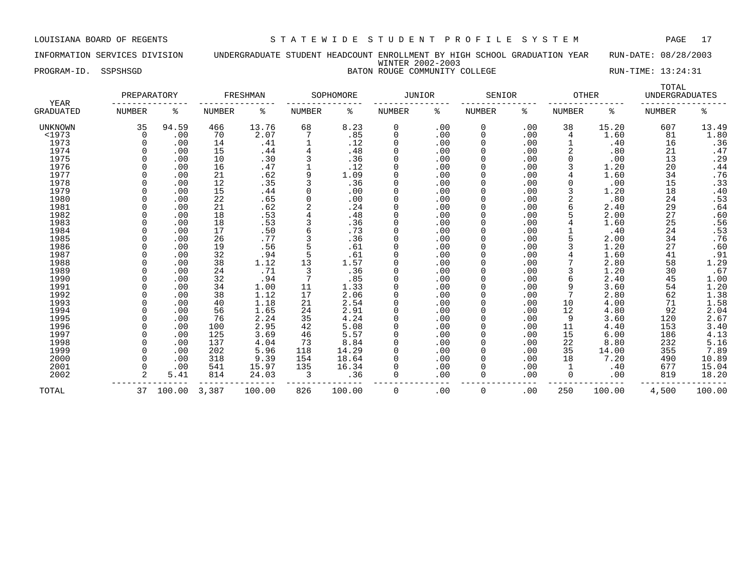INFORMATION SERVICES DIVISION UNDERGRADUATE STUDENT HEADCOUNT ENROLLMENT BY HIGH SCHOOL GRADUATION YEAR RUN-DATE: 08/28/2003 WINTER 2002-2003 PROGRAM-ID. SSPSHSGD BATON ROUGE COMMUNITY COLLEGE RUN-TIME: 13:24:31

| YEAR      | PREPARATORY |       |        | FRESHMAN |               | SOPHOMORE | JUNIOR |     | SENIOR        |     | <b>OTHER</b>  |       | TOTAL<br><b>UNDERGRADUATES</b> |       |
|-----------|-------------|-------|--------|----------|---------------|-----------|--------|-----|---------------|-----|---------------|-------|--------------------------------|-------|
| GRADUATED | NUMBER      | ႜ     | NUMBER | ႜ        | <b>NUMBER</b> | ႜ         | NUMBER | နွ  | <b>NUMBER</b> | ႜ   | <b>NUMBER</b> | ႜ     | <b>NUMBER</b>                  | ిక    |
| UNKNOWN   | 35          | 94.59 | 466    | 13.76    | 68            | 8.23      |        | .00 | 0             | .00 | 38            | 15.20 | 607                            | 13.49 |
| $1973$    |             | .00   | 70     | 2.07     |               | .85       |        | .00 |               | .00 |               | 1.60  | 81                             | 1.80  |
| 1973      |             | .00   | 14     | .41      |               | .12       |        | .00 |               | .00 |               | .40   | 16                             | .36   |
| 1974      |             | .00   | 15     | .44      |               | .48       |        | .00 |               | .00 |               | .80   | 21                             | .47   |
| 1975      |             | .00   | 10     | .30      |               | .36       |        | .00 |               | .00 |               | .00   | 13                             | .29   |
| 1976      |             | .00   | 16     | .47      |               | .12       |        | .00 |               | .00 |               | 1.20  | 20                             | .44   |
| 1977      |             | .00   | 21     | .62      |               | 1.09      |        | .00 |               | .00 |               | 1.60  | 34                             | .76   |
| 1978      |             | .00   | 12     | .35      |               | .36       |        | .00 |               | .00 |               | .00   | 15                             | .33   |
| 1979      |             | .00   | 15     | .44      |               | .00       |        | .00 |               | .00 |               | 1.20  | 18                             | .40   |
| 1980      |             | .00   | 22     | .65      |               | .00       |        | .00 |               | .00 |               | .80   | 24                             | .53   |
| 1981      |             | .00   | 21     | .62      |               | .24       |        | .00 |               | .00 |               | 2.40  | 29                             | .64   |
| 1982      |             | .00   | 18     | .53      |               | .48       |        | .00 |               | .00 |               | 2.00  | 27                             | .60   |
| 1983      |             | .00   | 18     | .53      |               | .36       |        | .00 |               | .00 |               | 1.60  | 25                             | .56   |
| 1984      |             | .00   | 17     | .50      |               | .73       |        | .00 |               | .00 |               | .40   | 24                             | .53   |
| 1985      |             | .00   | 26     | .77      |               | .36       |        | .00 |               | .00 |               | 2.00  | 34                             | .76   |
| 1986      |             | .00   | 19     | .56      |               | .61       |        | .00 |               | .00 |               | 1.20  | 27                             | .60   |
| 1987      |             | .00   | 32     | .94      |               | .61       |        | .00 |               | .00 |               | 1.60  | 41                             | .91   |
| 1988      |             | .00   | 38     | .12      |               | .57       |        | .00 |               | .00 |               | 2.80  | 58                             | .29   |

 1989 0 .00 24 .71 3 .36 0 .00 0 .00 3 1.20 30 .67 1990 0 .00 32 .94 7 .85 0 .00 0 .00 6 2.40 45 1.00 1991 0 .00 34 1.00 11 1.33 0 .00 0 .00 9 3.60 54 1.20 1992 0 .00 38 1.12 17 2.06 0 .00 0 .00 7 2.80 62 1.38 1993 0 .00 40 1.18 21 2.54 0 .00 0 .00 10 4.00 71 1.58 1994 0 .00 56 1.65 24 2.91 0 .00 0 .00 12 4.80 92 2.04 1995 0 .00 76 2.24 35 4.24 0 .00 0 .00 9 3.60 120 2.67 1996 0 .00 100 2.95 42 5.08 0 .00 0 .00 11 4.40 153 3.40 1997 0 .00 125 3.69 46 5.57 0 .00 0 .00 15 6.00 186 4.13 1998 0 .00 137 4.04 73 8.84 0 .00 0 .00 22 8.80 232 5.16 1999 0 .00 202 5.96 118 14.29 0 .00 0 .00 35 14.00 355 7.89 2000 0 .00 318 9.39 154 18.64 0 .00 0 .00 18 7.20 490 10.89 2001 0 .00 541 15.97 135 16.34 0 .00 0 .00 1 .40 677 15.04 2002 2 5.41 814 24.03 3 .36 0 .00 0 .00 0 .00 819 18.20 --------------- --------------- --------------- --------------- --------------- --------------- -----------------

TOTAL 37 100.00 3,387 100.00 826 100.00 0 .00 0 .00 250 100.00 4,500 100.00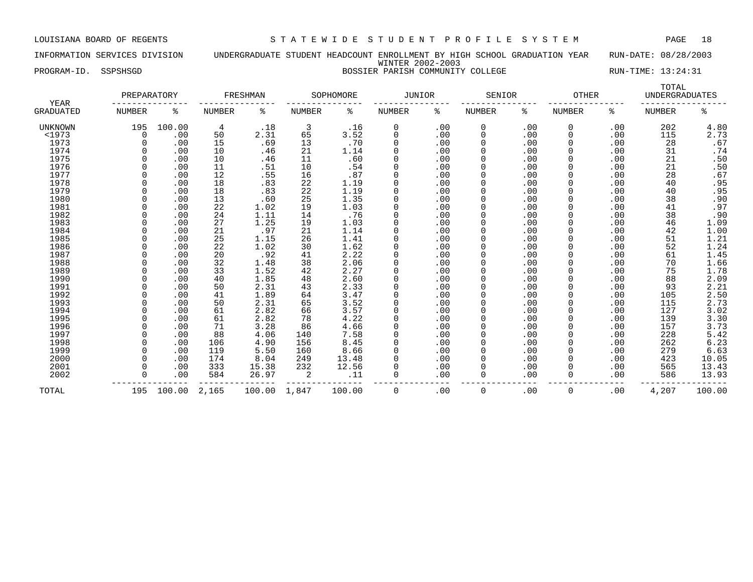INFORMATION SERVICES DIVISION UNDERGRADUATE STUDENT HEADCOUNT ENROLLMENT BY HIGH SCHOOL GRADUATION YEAR RUN-DATE: 08/28/2003 WINTER 2002-2003 PROGRAM-ID. SSPSHSGD BOSSIER PARISH COMMUNITY COLLEGE RUN-TIME: 13:24:31

|                          | PREPARATORY   |        |               | FRESHMAN |        | SOPHOMORE | <b>JUNIOR</b> |     | SENIOR        |     | <b>OTHER</b>  |     | TOTAL<br><b>UNDERGRADUATES</b> |                            |
|--------------------------|---------------|--------|---------------|----------|--------|-----------|---------------|-----|---------------|-----|---------------|-----|--------------------------------|----------------------------|
| YEAR<br><b>GRADUATED</b> | <b>NUMBER</b> | ႜ      | <b>NUMBER</b> | ႜ        | NUMBER | နွ        | <b>NUMBER</b> | ႜ   | <b>NUMBER</b> | နွ  | <b>NUMBER</b> | ႜ   | <b>NUMBER</b>                  | နွ                         |
| UNKNOWN                  | 195           | 100.00 | 4             | .18      | 3      | .16       | 0             | .00 | 0             | .00 | 0             | .00 | 202                            | 4.80                       |
| <1973                    |               | .00    | 50            | 2.31     | 65     | 3.52      | 0             | .00 | 0             | .00 | 0             | .00 | 115                            | 2.73                       |
| 1973                     |               | .00    | 15            | .69      | 13     | .70       | 0             | .00 | 0             | .00 | 0             | .00 | 28                             | .67                        |
| 1974                     |               | .00    | 10            | .46      | 21     | 1.14      | $\Omega$      | .00 | 0             | .00 | 0             | .00 | 31                             | .74                        |
| 1975                     |               | .00    | 10            | .46      | 11     | .60       | $\Omega$      | .00 | 0             | .00 | 0             | .00 | 21                             | .50                        |
| 1976                     |               | .00    | 11            | .51      | 10     | .54       | $\Omega$      | .00 | 0             | .00 | 0             | .00 | 21                             | .50                        |
| 1977                     |               | .00    | 12            | .55      | 16     | .87       | $\Omega$      | .00 | 0             | .00 | 0             | .00 | 28                             | .67                        |
| 1978                     |               | .00    | 18            | .83      | 22     | 1.19      | $\Omega$      | .00 | 0             | .00 | 0             | .00 | 40                             | .95                        |
| 1979                     |               | .00    | 18            | .83      | 22     | 1.19      | $\Omega$      | .00 | 0             | .00 | 0             | .00 | 40                             | .95                        |
| 1980                     |               | .00    | 13            | .60      | 25     | 1.35      | $\Omega$      | .00 | O             | .00 | 0             | .00 | 38                             | .90                        |
| 1981                     |               | .00    | 22            | 1.02     | 19     | 1.03      | $\Omega$      | .00 | 0             | .00 | <sup>0</sup>  | .00 | 41                             | .97                        |
| 1982                     |               | .00    | 24            | 1.11     | 14     | .76       | $\Omega$      | .00 | 0             | .00 | 0             | .00 | 38                             | .90                        |
| 1983                     |               | .00    | 27            | 1.25     | 19     | 1.03      | $\Omega$      | .00 | 0             | .00 | 0             | .00 | 46                             | 1.09                       |
| 1984                     |               | .00    | 21            | .97      | 21     | 1.14      | $\Omega$      | .00 | 0             | .00 | 0             | .00 | 42                             | 1.00                       |
| 1985                     |               | .00    | 25            | 1.15     | 26     | 1.41      | $\Omega$      | .00 | 0             | .00 | 0             | .00 | 51                             | 1.21                       |
| 1986                     |               | .00    | 22            | 1.02     | 30     | 1.62      | $\Omega$      | .00 | 0             | .00 | 0             | .00 | 52                             | 1.24                       |
| 1987                     |               | .00    | 20            | .92      | 41     | 2.22      | $\Omega$      | .00 | 0             | .00 | 0             | .00 | 61                             | 1.45                       |
| 1988                     |               | .00    | 32            | 1.48     | 38     | 2.06      | $\Omega$      | .00 |               | .00 |               | .00 | 70                             | 1.66                       |
| 1989                     |               | .00    | 33            | 1.52     | 42     | 2.27      | $\Omega$      | .00 | 0             | .00 | 0             | .00 | 75                             | 1.78                       |
| 1990                     |               | .00    | 40            | 1.85     | 48     | 2.60      | $\Omega$      | .00 |               | .00 | 0             | .00 | 88                             | 2.09                       |
| 1991                     |               | .00    | 50            | 2.31     | 43     | 2.33      | $\Omega$      | .00 |               | .00 | <sup>0</sup>  | .00 | 93                             | 2.21                       |
| 1992                     |               | .00    | 41            | 1.89     | 64     | 3.47      | $\Omega$      | .00 | O             | .00 | <sup>0</sup>  | .00 | 105                            | 2.50                       |
| 1993                     |               | .00    | 50            | 2.31     | 65     | 3.52      | $\Omega$      | .00 |               | .00 | 0             | .00 | 115                            |                            |
| 1994                     |               | .00    | 61            | 2.82     | 66     | 3.57      | 0             | .00 | 0             | .00 | 0             | .00 | 127                            | $2.73$<br>$3.02$<br>$3.30$ |
| 1995                     |               | .00    | 61            | 2.82     | 78     | 4.22      | 0             | .00 | 0             | .00 | 0             | .00 | 139                            |                            |
| 1996                     |               | .00    | 71            | 3.28     | 86     | 4.66      | $\Omega$      | .00 | 0             | .00 | 0             | .00 | 157                            |                            |
| 1997                     |               | .00    | 88            | 4.06     | 140    | 7.58      | $\Omega$      | .00 | 0             | .00 | 0             | .00 | 228                            | $3.73$<br>5.42             |
| 1998                     |               | .00    | 106           | 4.90     | 156    | 8.45      | $\Omega$      | .00 | O             | .00 | 0             | .00 | 262                            | 6.23                       |
| 1999                     |               | .00    | 119           | 5.50     | 160    | 8.66      | $\Omega$      | .00 | 0             | .00 | 0             | .00 | 279                            | 6.63                       |
| 2000                     |               | .00    | 174           | 8.04     | 249    | 13.48     | $\Omega$      | .00 | 0             | .00 | 0             | .00 | 423                            | 10.05                      |
| 2001                     |               | .00    | 333           | 15.38    | 232    | 12.56     | $\Omega$      | .00 | 0             | .00 | 0             | .00 | 565                            | 13.43                      |
| 2002                     |               | .00    | 584           | 26.97    | 2      | .11       | 0             | .00 | 0             | .00 | 0             | .00 | 586                            | 13.93                      |
| TOTAL                    | 195           | 100.00 | 2,165         | 100.00   | 1,847  | 100.00    | 0             | .00 | 0             | .00 | 0             | .00 | 4,207                          | 100.00                     |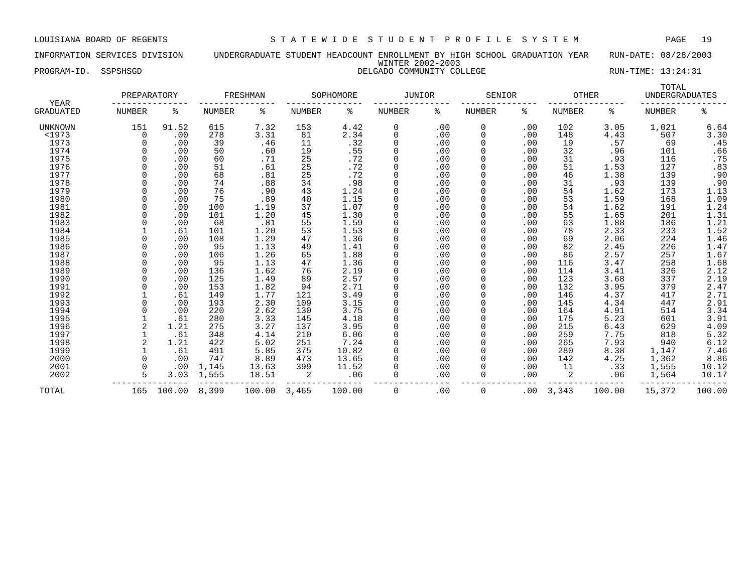INFORMATION SERVICES DIVISION UNDERGRADUATE STUDENT HEADCOUNT ENROLLMENT BY HIGH SCHOOL GRADUATION YEAR RUN-DATE: 08/28/2003 WINTER 2002-2003 PROGRAM-ID. SSPSHSGD DELGADO COMMUNITY COLLEGE RUN-TIME: 13:24:31

| YEAR      | PREPARATORY |        |        | FRESHMAN |        | SOPHOMORE | <b>JUNIOR</b> |     | SENIOR |          | <b>OTHER</b>  |        | TOTAL<br><b>UNDERGRADUATES</b> |        |
|-----------|-------------|--------|--------|----------|--------|-----------|---------------|-----|--------|----------|---------------|--------|--------------------------------|--------|
| GRADUATED | NUMBER      | ႜ      | NUMBER | ႜ        | NUMBER | ႜ         | NUMBER        | ႜ   | NUMBER | ႜ        | <b>NUMBER</b> | ႜ      | <b>NUMBER</b>                  | ៖      |
| UNKNOWN   | 151         | 91.52  | 615    | 7.32     | 153    | 4.42      | 0             | .00 | 0      | .00      | 102           | 3.05   | 1,021                          | 6.64   |
| <1973     | $\Omega$    | .00    | 278    | 3.31     | 81     | 2.34      | 0             | .00 | 0      | .00      | 148           | 4.43   | 507                            | 3.30   |
| 1973      | $\Omega$    | .00    | 39     | .46      | 11     | .32       | 0             | .00 |        | .00      | 19            | .57    | 69                             | .45    |
| 1974      |             | .00    | 50     | .60      | 19     | .55       | 0             | .00 |        | .00      | 32            | .96    | 101                            | .66    |
| 1975      |             | .00    | 60     | .71      | 25     | .72       | 0             | .00 |        | .00      | 31            | .93    | 116                            | .75    |
| 1976      |             | .00    | 51     | .61      | 25     | .72       | $\mathbf 0$   | .00 |        | .00      | 51            | 1.53   | 127                            | .83    |
| 1977      |             | .00    | 68     | .81      | 25     | .72       | $\Omega$      | .00 |        | .00      | 46            | 1.38   | 139                            | .90    |
| 1978      |             | .00    | 74     | .88      | 34     | .98       | $\Omega$      | .00 |        | .00      | 31            | .93    | 139                            | .90    |
| 1979      |             | .00    | 76     | .90      | 43     | 1.24      | 0             | .00 |        | .00      | 54            | 1.62   | 173                            | 1.13   |
| 1980      |             | .00    | 75     | .89      | 40     | 1.15      | 0             | .00 |        | .00      | 53            | 1.59   | 168                            | 1.09   |
| 1981      |             | .00    | 100    | 1.19     | 37     | 1.07      | 0             | .00 |        | .00      | 54            | 1.62   | 191                            | 1.24   |
| 1982      |             | .00    | 101    | 1.20     | 45     | 1.30      | $\Omega$      | .00 |        | .00      | 55            | 1.65   | 201                            | 1.31   |
| 1983      |             | .00    | 68     | .81      | 55     | 1.59      | $\Omega$      | .00 |        | .00      | 63            | 1.88   | 186                            | 1.21   |
| 1984      |             | .61    | 101    | 1.20     | 53     | 1.53      | 0             | .00 |        | .00      | 78            | 2.33   | 233                            | 1.52   |
| 1985      |             | .00    | 108    | 1.29     | 47     | 1.36      | 0             | .00 |        | .00      | 69            | 2.06   | 224                            | 1.46   |
| 1986      | $\Omega$    | .00    | 95     | 1.13     | 49     | 1.41      | 0             | .00 |        | .00      | 82            | 2.45   | 226                            | 1.47   |
| 1987      |             | .00    | 106    | 1.26     | 65     | 1.88      | 0             | .00 |        | .00      | 86            | 2.57   | 257                            | 1.67   |
| 1988      |             | .00    | 95     | 1.13     | 47     | 1.36      | 0             | .00 |        | .00      | 116           | 3.47   | 258                            | 1.68   |
| 1989      | $\Omega$    | .00    | 136    | 1.62     | 76     | 2.19      | $\mathbf 0$   | .00 |        | .00      | 114           | 3.41   | 326                            | 2.12   |
| 1990      |             | .00    | 125    | 1.49     | 89     | 2.57      | 0             | .00 |        | .00      | 123           | 3.68   | 337                            | 2.19   |
| 1991      |             | .00    | 153    | 1.82     | 94     | 2.71      | 0             | .00 |        | .00      | 132           | 3.95   | 379                            | 2.47   |
| 1992      |             | .61    | 149    | 1.77     | 121    | 3.49      | $\Omega$      | .00 |        | .00      | 146           | 4.37   | 417                            | 2.71   |
| 1993      |             | .00    | 193    | 2.30     | 109    | 3.15      |               | .00 |        | .00      | 145           | 4.34   | 447                            | 2.91   |
| 1994      |             | .00    | 220    | 2.62     | 130    | 3.75      | $\Omega$      | .00 |        | .00      | 164           | 4.91   | 514                            | 3.34   |
| 1995      |             | .61    | 280    | 3.33     | 145    | 4.18      | $\Omega$      | .00 |        | .00      | 175           | 5.23   | 601                            | 3.91   |
| 1996      |             | 1.21   | 275    | 3.27     | 137    | 3.95      | $\Omega$      | .00 |        | .00      | 215           | 6.43   | 629                            | 4.09   |
| 1997      |             | .61    | 348    | 4.14     | 210    | 6.06      | $\Omega$      | .00 |        | .00      | 259           | 7.75   | 818                            | 5.32   |
| 1998      |             | 1.21   | 422    | 5.02     | 251    | 7.24      | $\Omega$      | .00 |        | .00      | 265           | 7.93   | 940                            | 6.12   |
| 1999      |             | .61    | 491    | 5.85     | 375    | 10.82     | 0             | .00 |        | .00      | 280           | 8.38   | 1,147                          | 7.46   |
| 2000      | $\Omega$    | .00    | 747    | 8.89     | 473    | 13.65     | 0             | .00 |        | .00      | 142           | 4.25   | 1,362                          | 8.86   |
| 2001      | $\Omega$    | .00    | 1,145  | 13.63    | 399    | 11.52     | $\Omega$      | .00 |        | .00      | 11            | .33    | 1,555                          | 10.12  |
| 2002      | 5           | 3.03   | 1,555  | 18.51    | 2      | .06       | $\Omega$      | .00 | 0      | .00      |               | .06    | 1,564                          | 10.17  |
| TOTAL     | 165         | 100.00 | 8,399  | 100.00   | 3,465  | 100.00    | $\Omega$      | .00 | 0      | $.00 \,$ | 3,343         | 100.00 | 15,372                         | 100.00 |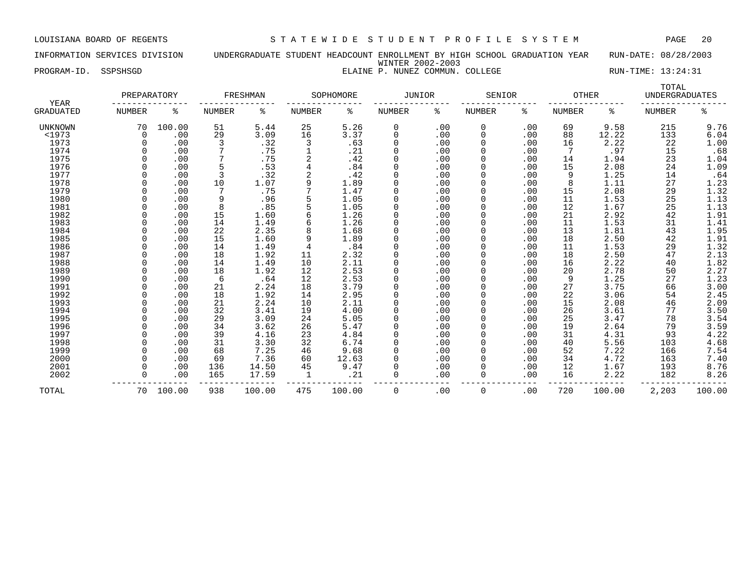INFORMATION SERVICES DIVISION UNDERGRADUATE STUDENT HEADCOUNT ENROLLMENT BY HIGH SCHOOL GRADUATION YEAR RUN-DATE: 08/28/2003 WINTER 2002-2003 PROGRAM-ID. SSPSHSGD **ELAINE P. NUNEZ COMMUN. COLLEGE** RUN-TIME: 13:24:31

|  |  |  |  | ELAINE P. NUNEZ COMMUN. COLLEGI |  |
|--|--|--|--|---------------------------------|--|
|--|--|--|--|---------------------------------|--|

|                                 | PREPARATORY   |        |               | FRESHMAN |               | SOPHOMORE | <b>JUNIOR</b> |     | SENIOR        |     | <b>OTHER</b>  |        | TOTAL<br><b>UNDERGRADUATES</b> |        |
|---------------------------------|---------------|--------|---------------|----------|---------------|-----------|---------------|-----|---------------|-----|---------------|--------|--------------------------------|--------|
| <b>YEAR</b><br><b>GRADUATED</b> | <b>NUMBER</b> | ႜ      | <b>NUMBER</b> | ႜ        | <b>NUMBER</b> | ႜ         | <b>NUMBER</b> | နွ  | <b>NUMBER</b> | နွ  | <b>NUMBER</b> | ႜ      | <b>NUMBER</b>                  | နွ     |
| UNKNOWN                         | 70            | 100.00 | 51            | 5.44     | 25            | 5.26      | 0             | .00 | 0             | .00 | 69            | 9.58   | 215                            | 9.76   |
| <1973                           | 0             | .00    | 29            | 3.09     | 16            | 3.37      | 0             | .00 | 0             | .00 | 88            | 12.22  | 133                            | 6.04   |
| 1973                            |               | .00    | 3             | .32      | 3             | .63       | 0             | .00 | 0             | .00 | 16            | 2.22   | 22                             | 1.00   |
| 1974                            |               | .00    |               | .75      |               | .21       | 0             | .00 | 0             | .00 | 7             | .97    | 15                             | .68    |
| 1975                            |               | .00    |               | .75      |               | .42       | <sup>0</sup>  | .00 | 0             | .00 | 14            | 1.94   | 23                             | 1.04   |
| 1976                            |               | .00    | 5             | .53      |               | .84       | 0             | .00 | 0             | .00 | 15            | 2.08   | 24                             | 1.09   |
| 1977                            |               | .00    | 3             | .32      |               | .42       | 0             | .00 | 0             | .00 | 9             | 1.25   | 14                             | .64    |
| 1978                            |               | .00    | 10            | 1.07     | 9             | 1.89      | <sup>0</sup>  | .00 |               | .00 | 8             | 1.11   | 27                             | 1.23   |
| 1979                            |               | .00    | 7             | .75      |               | 1.47      | 0             | .00 | 0             | .00 | 15            | 2.08   | 29                             | 1.32   |
| 1980                            |               | .00    | 9             | .96      |               | 1.05      | <sup>0</sup>  | .00 | <sup>0</sup>  | .00 | 11            | 1.53   | 25                             | 1.13   |
| 1981                            |               | .00    | 8             | .85      |               | 1.05      | <sup>0</sup>  | .00 | <sup>0</sup>  | .00 | 12            | 1.67   | 25                             | 1.13   |
| 1982                            |               | .00    | 15            | 1.60     |               | 1.26      | 0             | .00 | 0             | .00 | 21            | 2.92   | 42                             | 1.91   |
| 1983                            |               | .00    | 14            | 1.49     |               | 1.26      | 0             | .00 | 0             | .00 | 11            | 1.53   | 31                             | 1.41   |
| 1984                            |               | .00    | 22            | 2.35     |               | 1.68      | 0             | .00 | 0             | .00 | 13            | 1.81   | 43                             | 1.95   |
| 1985                            |               | .00    | 15            | 1.60     | 9             | 1.89      | 0             | .00 | 0             | .00 | 18            | 2.50   | 42                             | 1.91   |
| 1986                            |               | .00    | 14            | 1.49     | 4             | .84       | 0             | .00 | 0             | .00 | 11            | 1.53   | 29                             | 1.32   |
| 1987                            |               | .00    | 18            | 1.92     | 11            | 2.32      | 0             | .00 | 0             | .00 | 18            | 2.50   | 47                             | 2.13   |
| 1988                            |               | .00    | 14            | 1.49     | 10            | 2.11      | 0             | .00 | 0             | .00 | 16            | 2.22   | 40                             | 1.82   |
| 1989                            |               | .00    | 18            | 1.92     | 12            | 2.53      | 0             | .00 |               | .00 | 20            | 2.78   | 50                             | 2.27   |
| 1990                            |               | .00    | 6             | .64      | 12            | 2.53      | 0             | .00 | 0             | .00 | 9             | 1.25   | 27                             | 1.23   |
| 1991                            |               | .00    | 21            | 2.24     | 18            | 3.79      | $\Omega$      | .00 | <sup>0</sup>  | .00 | 27            | 3.75   | 66                             | 3.00   |
| 1992                            |               | .00    | 18            | 1.92     | 14            | 2.95      | $\Omega$      | .00 | 0             | .00 | 22            | 3.06   | 54                             | 2.45   |
| 1993                            |               | .00    | 21            | 2.24     | 10            | 2.11      | 0             | .00 | 0             | .00 | 15            | 2.08   | 46                             | 2.09   |
| 1994                            |               | .00    | 32            | 3.41     | 19            | 4.00      | 0             | .00 | 0             | .00 | 26            | 3.61   | 77                             | 3.50   |
| 1995                            |               | .00    | 29            | 3.09     | 24            | 5.05      | 0             | .00 | 0             | .00 | 25            | 3.47   | 78                             | 3.54   |
| 1996                            |               | .00    | 34            | 3.62     | 26            | 5.47      | 0             | .00 | 0             | .00 | 19            | 2.64   | 79                             | 3.59   |
| 1997                            |               | .00    | 39            | 4.16     | 23            | 4.84      | 0             | .00 | 0             | .00 | 31            | 4.31   | 93                             | 4.22   |
| 1998                            |               | .00    | 31            | 3.30     | 32            | 6.74      | <sup>0</sup>  | .00 | <sup>0</sup>  | .00 | 40            | 5.56   | 103                            | 4.68   |
| 1999                            |               | .00    | 68            | 7.25     | 46            | 9.68      | <sup>0</sup>  | .00 | 0             | .00 | 52            | 7.22   | 166                            | 7.54   |
| 2000                            |               | .00    | 69            | 7.36     | 60            | 12.63     | <sup>0</sup>  | .00 | 0             | .00 | 34            | 4.72   | 163                            | 7.40   |
| 2001                            |               | .00    | 136           | 14.50    | 45            | 9.47      | <sup>0</sup>  | .00 | 0             | .00 | 12            | 1.67   | 193                            | 8.76   |
| 2002                            |               | .00    | 165           | 17.59    | 1             | .21       | <sup>0</sup>  | .00 | 0             | .00 | 16            | 2.22   | 182                            | 8.26   |
| TOTAL                           | 70            | 100.00 | 938           | 100.00   | 475           | 100.00    | 0             | .00 | 0             | .00 | 720           | 100.00 | 2,203                          | 100.00 |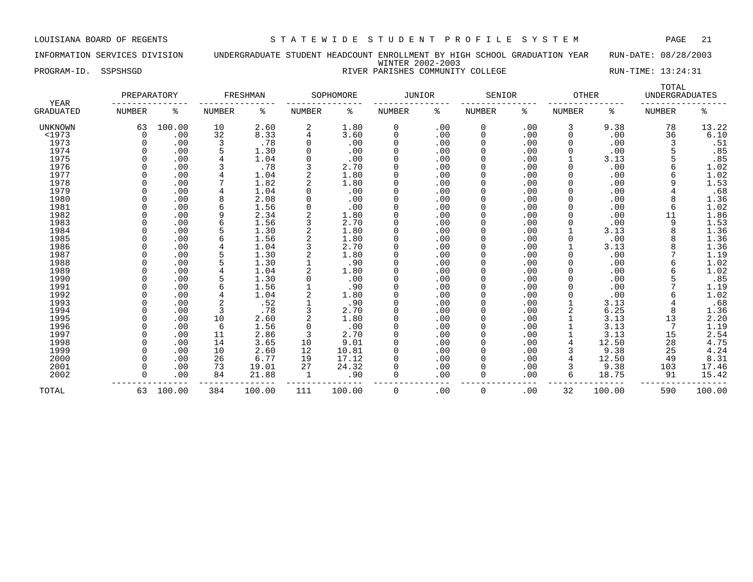INFORMATION SERVICES DIVISION UNDERGRADUATE STUDENT HEADCOUNT ENROLLMENT BY HIGH SCHOOL GRADUATION YEAR RUN-DATE: 08/28/2003 WINTER 2002-2003 PROGRAM-ID. SSPSHSGD **RIVER PARISHES COMMUNITY COLLEGE** RUN-TIME: 13:24:31

| <b>YEAR</b>      | PREPARATORY   |        |                | FRESHMAN |               | SOPHOMORE | <b>JUNIOR</b> |     | SENIOR        |     | OTHER         |        | TOTAL<br><b>UNDERGRADUATES</b> |        |
|------------------|---------------|--------|----------------|----------|---------------|-----------|---------------|-----|---------------|-----|---------------|--------|--------------------------------|--------|
| <b>GRADUATED</b> | <b>NUMBER</b> | ႜ      | NUMBER         | ႜ        | <b>NUMBER</b> | ిక        | <b>NUMBER</b> | နွ  | <b>NUMBER</b> | ႜ   | <b>NUMBER</b> | ႜ      | NUMBER                         | နွ     |
| <b>UNKNOWN</b>   | 63            | 100.00 | 10             | 2.60     | 2             | 1.80      | 0             | .00 | 0             | .00 | 3             | 9.38   | 78                             | 13.22  |
| <1973            | $\Omega$      | .00    | 32             | 8.33     |               | 3.60      | 0             | .00 | 0             | .00 | 0             | .00    | 36                             | 6.10   |
| 1973             |               | .00    | 3              | .78      |               | .00       | <sup>0</sup>  | .00 | 0             | .00 |               | .00    |                                | .51    |
| 1974             |               | .00    |                | 1.30     |               | .00       | <sup>0</sup>  | .00 | <sup>0</sup>  | .00 |               | .00    |                                | .85    |
| 1975             |               | .00    |                | 1.04     |               | .00       | <sup>0</sup>  | .00 | 0             | .00 |               | 3.13   |                                | .85    |
| 1976             |               | .00    |                | .78      |               | 2.70      | <sup>0</sup>  | .00 | 0             | .00 |               | .00    |                                | 1.02   |
| 1977             |               | .00    |                | 1.04     |               | 1.80      | 0             | .00 |               | .00 |               | .00    | 6                              | 1.02   |
| 1978             |               | .00    |                | 1.82     |               | 1.80      | 0             | .00 | 0             | .00 |               | .00    | 9                              | 1.53   |
| 1979             |               | .00    |                | 1.04     |               | .00       | 0             | .00 | 0             | .00 |               | .00    |                                | .68    |
| 1980             |               | .00    |                | 2.08     |               | .00       | 0             | .00 | 0             | .00 |               | .00    | 8                              | 1.36   |
| 1981             |               | .00    |                | 1.56     |               | .00       | <sup>0</sup>  | .00 | U             | .00 |               | .00    | 6                              | 1.02   |
| 1982             |               | .00    |                | 2.34     |               | 1.80      | <sup>0</sup>  | .00 |               | .00 |               | .00    | 11                             | 1.86   |
| 1983             |               | .00    |                | 1.56     |               | 2.70      | 0             | .00 |               | .00 |               | .00    | 9                              | 1.53   |
| 1984             |               | .00    |                | 1.30     |               | 1.80      | 0             | .00 |               | .00 |               | 3.13   |                                | 1.36   |
| 1985             |               | .00    |                | 1.56     |               | 1.80      | <sup>0</sup>  | .00 |               | .00 |               | .00    |                                | 1.36   |
| 1986             |               | .00    |                | 1.04     |               | 2.70      | <sup>0</sup>  | .00 |               | .00 |               | 3.13   |                                | 1.36   |
| 1987             |               | .00    |                | 1.30     |               | 1.80      | <sup>0</sup>  | .00 | U             | .00 |               | .00    |                                | 1.19   |
| 1988             |               | .00    |                | 1.30     |               | .90       | <sup>0</sup>  | .00 | <sup>0</sup>  | .00 |               | .00    |                                | 1.02   |
| 1989             |               | .00    |                | 1.04     |               | 1.80      | <sup>0</sup>  | .00 | <sup>0</sup>  | .00 |               | .00    |                                | 1.02   |
| 1990             |               | .00    |                | 1.30     |               | .00       | 0             | .00 | 0             | .00 |               | .00    |                                | .85    |
| 1991             |               | .00    | 6              | 1.56     |               | .90       | 0             | .00 | 0             | .00 |               | .00    |                                | 1.19   |
| 1992             |               | .00    |                | 1.04     |               | 1.80      | 0             | .00 |               | .00 |               | .00    | 6                              | 1.02   |
| 1993             |               | .00    | $\overline{2}$ | .52      |               | .90       | 0             | .00 |               | .00 |               | 3.13   |                                | .68    |
| 1994             |               | .00    | 3              | .78      |               | 2.70      | 0             | .00 |               | .00 |               | 6.25   | 8                              | 1.36   |
| 1995             |               | .00    | 10             | 2.60     |               | 1.80      | <sup>0</sup>  | .00 | U             | .00 |               | 3.13   | 13                             | 2.20   |
| 1996             |               | .00    | 6              | 1.56     | $\Omega$      | .00       | 0             | .00 | U             | .00 |               | 3.13   | 7                              | 1.19   |
| 1997             |               | .00    | 11             | 2.86     | 3             | 2.70      | <sup>0</sup>  | .00 |               | .00 |               | 3.13   | 15                             | 2.54   |
| 1998             |               | .00    | 14             | 3.65     | 10            | 9.01      |               | .00 |               | .00 |               | 12.50  | 28                             | 4.75   |
| 1999             |               | .00    | 10             | 2.60     | 12            | 10.81     | <sup>0</sup>  | .00 |               | .00 |               | 9.38   | 25                             | 4.24   |
| 2000             |               | .00    | 26             | 6.77     | 19            | 17.12     | <sup>0</sup>  | .00 |               | .00 |               | 12.50  | 49                             | 8.31   |
| 2001             |               | .00    | 73             | 19.01    | 27            | 24.32     | <sup>0</sup>  | .00 |               | .00 |               | 9.38   | 103                            | 17.46  |
| 2002             |               | .00    | 84             | 21.88    | 1             | .90       | $\Omega$      | .00 | 0             | .00 | 6             | 18.75  | 91                             | 15.42  |
| TOTAL            | 63            | 100.00 | 384            | 100.00   | 111           | 100.00    | 0             | .00 | 0             | .00 | 32            | 100.00 | 590                            | 100.00 |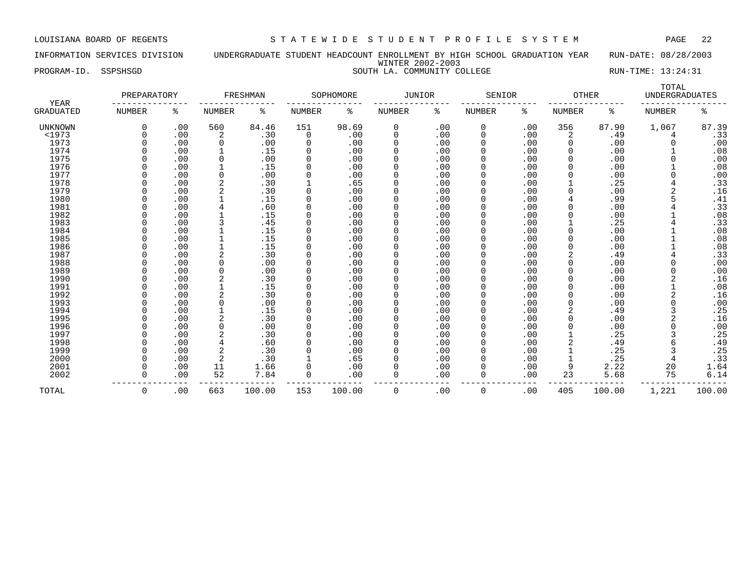INFORMATION SERVICES DIVISION UNDERGRADUATE STUDENT HEADCOUNT ENROLLMENT BY HIGH SCHOOL GRADUATION YEAR RUN-DATE: 08/28/2003 WINTER 2002-2003 PROGRAM-ID. SSPSHSGD SOUTH LA. COMMUNITY COLLEGE RUN-TIME: 13:24:31

| YEAR           | PREPARATORY  |     |                | FRESHMAN |               | SOPHOMORE | <b>JUNIOR</b> |     | SENIOR        |     | <b>OTHER</b>  |        | TOTAL<br><b>UNDERGRADUATES</b> |        |
|----------------|--------------|-----|----------------|----------|---------------|-----------|---------------|-----|---------------|-----|---------------|--------|--------------------------------|--------|
| GRADUATED      | NUMBER       | ి   | <b>NUMBER</b>  | ႜ        | <b>NUMBER</b> | ి         | NUMBER        | နွ  | <b>NUMBER</b> | ៖   | <b>NUMBER</b> | ႜ      | <b>NUMBER</b>                  | နွ     |
| <b>UNKNOWN</b> |              | .00 | 560            | 84.46    | 151           | 98.69     | 0             | .00 | 0             | .00 | 356           | 87.90  | 1,067                          | 87.39  |
| <1973          |              | .00 | 2              | .30      | 0             | .00       | $\Omega$      | .00 | 0             | .00 | 2             | .49    | 4                              | .33    |
| 1973           |              | .00 | $\Omega$       | .00      | 0             | .00       | $\Omega$      | .00 | <sup>0</sup>  | .00 | 0             | .00    |                                | .00    |
| 1974           |              | .00 |                | .15      | $\Omega$      | .00       | 0             | .00 | <sup>0</sup>  | .00 | $\Omega$      | .00    |                                | .08    |
| 1975           |              | .00 | 0              | .00      | $\Omega$      | .00       | 0             | .00 | 0             | .00 | $\Omega$      | .00    |                                | .00    |
| 1976           |              | .00 |                | .15      | $\Omega$      | .00       | 0             | .00 | 0             | .00 | $\Omega$      | .00    |                                | .08    |
| 1977           |              | .00 | $\Omega$       | .00      | $\Omega$      | .00       | 0             | .00 | 0             | .00 | 0             | .00    | O                              | .00    |
| 1978           |              | .00 | 2              | .30      |               | .65       | 0             | .00 | 0             | .00 |               | .25    |                                | .33    |
| 1979           |              | .00 | 2              | .30      | $\Omega$      | .00       | 0             | .00 | 0             | .00 |               | .00    |                                | .16    |
| 1980           |              | .00 |                | .15      | $\Omega$      | .00       | 0             | .00 | 0             | .00 |               | .99    |                                | .41    |
| 1981           |              | .00 |                | .60      | $\Omega$      | .00       | 0             | .00 | 0             | .00 |               | .00    |                                | .33    |
| 1982           |              | .00 |                | .15      | $\Omega$      | .00       | 0             | .00 | <sup>0</sup>  | .00 |               | .00    |                                | .08    |
| 1983           |              | .00 |                | .45      |               | .00       | 0             | .00 | 0             | .00 |               | .25    |                                | .33    |
| 1984           |              | .00 |                | .15      | $\Omega$      | .00       | 0             | .00 |               | .00 |               | .00    |                                | .08    |
| 1985           |              | .00 |                | .15      | $\Omega$      | .00       | 0             | .00 | <sup>0</sup>  | .00 | O             | .00    |                                | .08    |
| 1986           |              | .00 |                | .15      | $\Omega$      | .00       | 0             | .00 | <sup>0</sup>  | .00 | 0             | .00    |                                | .08    |
| 1987           |              | .00 | $\overline{2}$ | .30      |               | .00       | 0             | .00 | <sup>0</sup>  | .00 | 2             | .49    | 4                              | .33    |
| 1988           |              | .00 | $\Omega$       | .00      |               | .00       | 0             | .00 | <sup>0</sup>  | .00 | O             | .00    | U                              | .00    |
| 1989           |              | .00 | 0              | .00      |               | .00       | 0             | .00 | <sup>0</sup>  | .00 | O             | .00    | O                              | .00    |
| 1990           |              | .00 | 2              | .30      | $\Omega$      | .00       | 0             | .00 | 0             | .00 |               | .00    | 2                              | .16    |
| 1991           |              | .00 |                | .15      | $\Omega$      | .00       | 0             | .00 | 0             | .00 |               | .00    |                                | .08    |
| 1992           |              | .00 | $\overline{2}$ | .30      | 0             | .00       | 0             | .00 | 0             | .00 |               | .00    | 2                              | .16    |
| 1993           |              | .00 | 0              | .00      | $\Omega$      | .00       | 0             | .00 | 0             | .00 | 0             | .00    | 0                              | .00    |
| 1994           |              | .00 |                | .15      | $\Omega$      | .00       | 0             | .00 | 0             | .00 | 2             | .49    |                                | .25    |
| 1995           |              | .00 |                | .30      | 0             | .00       | 0             | .00 | <sup>0</sup>  | .00 | $\Omega$      | .00    | 2                              | .16    |
| 1996           |              | .00 | $\Omega$       | .00      | $\Omega$      | .00       | 0             | .00 | <sup>0</sup>  | .00 | $\Omega$      | .00    | O                              | .00    |
| 1997           |              | .00 | 2              | .30      | $\Omega$      | .00       | 0             | .00 |               | .00 |               | .25    |                                | .25    |
| 1998           |              | .00 |                | .60      | $\Omega$      | .00       | 0             | .00 |               | .00 | 2             | .49    |                                | .49    |
| 1999           |              | .00 |                | .30      |               | .00       | 0             | .00 | <sup>0</sup>  | .00 |               | .25    |                                | .25    |
| 2000           |              | .00 | 2              | .30      |               | .65       | 0             | .00 | <sup>0</sup>  | .00 |               | .25    | 4                              | .33    |
| 2001           |              | .00 | 11             | 1.66     | $\Omega$      | .00       | 0             | .00 | <sup>0</sup>  | .00 | 9             | 2.22   | 20                             | 1.64   |
| 2002           | <sup>n</sup> | .00 | 52             | 7.84     | 0             | .00       | 0             | .00 | 0             | .00 | 23            | 5.68   | 75                             | 6.14   |
| TOTAL          | 0            | .00 | 663            | 100.00   | 153           | 100.00    | 0             | .00 | 0             | .00 | 405           | 100.00 | 1,221                          | 100.00 |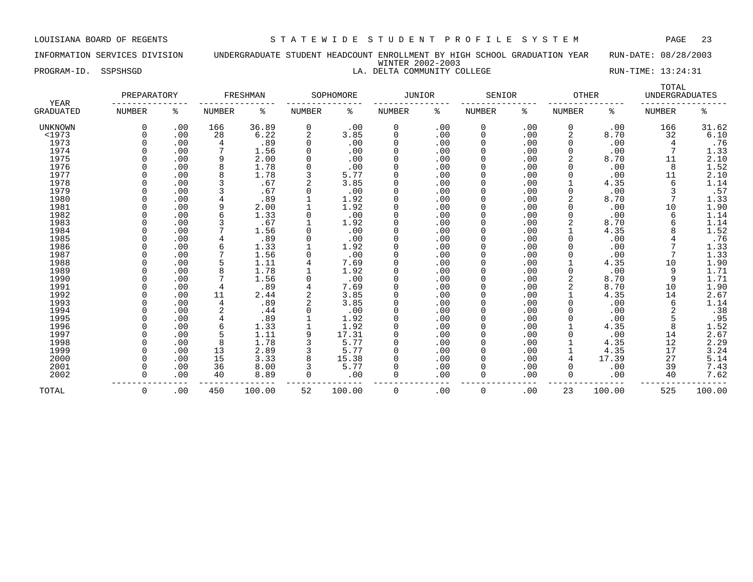### INFORMATION SERVICES DIVISION UNDERGRADUATE STUDENT HEADCOUNT ENROLLMENT BY HIGH SCHOOL GRADUATION YEAR RUN-DATE: 08/28/2003 WINTER 2002-2003 PROGRAM-ID. SSPSHSGD LA. DELTA COMMUNITY COLLEGE RUN-TIME: 13:24:31

| YEAR             | PREPARATORY   |     |        | FRESHMAN |               | SOPHOMORE | JUNIOR        |     | SENIOR        |     | OTHER         |        | TOTAL<br><b>UNDERGRADUATES</b> |        |
|------------------|---------------|-----|--------|----------|---------------|-----------|---------------|-----|---------------|-----|---------------|--------|--------------------------------|--------|
| <b>GRADUATED</b> | <b>NUMBER</b> | ి   | NUMBER | ႜ        | <b>NUMBER</b> | ႜ         | <b>NUMBER</b> | ႜ   | <b>NUMBER</b> | ႜ   | <b>NUMBER</b> | ిం     | NUMBER                         | ి      |
| <b>UNKNOWN</b>   | 0             | .00 | 166    | 36.89    | 0             | .00       | 0             | .00 | 0             | .00 | 0             | .00    | 166                            | 31.62  |
| <1973            |               | .00 | 28     | 6.22     |               | 3.85      | 0             | .00 | 0             | .00 | 2             | 8.70   | 32                             | 6.10   |
| 1973             |               | .00 | 4      | .89      |               | .00       | $\Omega$      | .00 | 0             | .00 | $\Omega$      | .00    | 4                              | .76    |
| 1974             |               | .00 |        | 1.56     |               | .00       | $\Omega$      | .00 |               | .00 |               | .00    | 7                              | 1.33   |
| 1975             |               | .00 |        | 2.00     |               | .00       | $\Omega$      | .00 | 0             | .00 |               | 8.70   | 11                             | 2.10   |
| 1976             |               | .00 | 8      | 1.78     |               | .00       | $\Omega$      | .00 |               | .00 |               | .00    | 8                              | 1.52   |
| 1977             |               | .00 |        | 1.78     |               | 5.77      | $\Omega$      | .00 |               | .00 |               | .00    | 11                             | 2.10   |
| 1978             |               | .00 |        | .67      |               | 3.85      | $\Omega$      | .00 |               | .00 |               | 4.35   | 6                              | 1.14   |
| 1979             |               | .00 |        | .67      |               | .00       | $\Omega$      | .00 |               | .00 |               | .00    | 3                              | .57    |
| 1980             |               | .00 |        | .89      |               | 1.92      | $\Omega$      | .00 |               | .00 |               | 8.70   |                                | 1.33   |
| 1981             | <sup>n</sup>  | .00 | 9      | 2.00     |               | 1.92      | $\Omega$      | .00 |               | .00 |               | .00    | 10                             | 1.90   |
| 1982             | U             | .00 |        | 1.33     |               | .00       | $\Omega$      | .00 |               | .00 |               | .00    | 6                              | 1.14   |
| 1983             |               | .00 |        | .67      |               | 1.92      | $\Omega$      | .00 |               | .00 | 2             | 8.70   | 6                              | 1.14   |
| 1984             |               | .00 |        | 1.56     |               | .00       | $\Omega$      | .00 |               | .00 |               | 4.35   |                                | 1.52   |
| 1985             |               | .00 |        | .89      |               | .00       | $\Omega$      | .00 |               | .00 |               | .00    |                                | .76    |
| 1986             |               | .00 | 6      | 1.33     |               | 1.92      | $\Omega$      | .00 |               | .00 |               | .00    |                                | 1.33   |
| 1987             |               | .00 |        | 1.56     |               | .00       | $\Omega$      | .00 |               | .00 |               | .00    | 7                              | 1.33   |
| 1988             |               | .00 |        | 1.11     |               | 7.69      | $\Omega$      | .00 |               | .00 |               | 4.35   | 10                             | 1.90   |
| 1989             |               | .00 |        | 1.78     |               | 1.92      | $\Omega$      | .00 |               | .00 |               | .00    | 9                              | 1.71   |
| 1990             |               | .00 |        | 1.56     |               | .00       | $\Omega$      | .00 |               | .00 |               | 8.70   | 9                              | 1.71   |
| 1991             |               | .00 |        | .89      |               | 7.69      | $\Omega$      | .00 |               | .00 |               | 8.70   | 10                             | 1.90   |
| 1992             |               | .00 | 11     | 2.44     |               | 3.85      | $\Omega$      | .00 |               | .00 |               | 4.35   | 14                             | 2.67   |
| 1993             |               | .00 | 4      | .89      |               | 3.85      | 0             | .00 |               | .00 |               | .00    | 6                              | 1.14   |
| 1994             |               | .00 |        | .44      |               | .00       | $\Omega$      | .00 |               | .00 |               | .00    | 2                              | .38    |
| 1995             |               | .00 |        | .89      |               | 1.92      | $\Omega$      | .00 |               | .00 |               | .00    | 5                              | .95    |
| 1996             |               | .00 | 6      | 1.33     |               | 1.92      | 0             | .00 |               | .00 |               | 4.35   | 8                              | 1.52   |
| 1997             |               | .00 | 5      | 1.11     | 9             | 17.31     | $\Omega$      | .00 |               | .00 |               | .00    | 14                             | 2.67   |
| 1998             |               | .00 | 8      | 1.78     |               | 5.77      | $\Omega$      | .00 |               | .00 |               | 4.35   | 12                             | 2.29   |
| 1999             |               | .00 | 13     | 2.89     |               | 5.77      | $\Omega$      | .00 |               | .00 |               | 4.35   | 17                             | 3.24   |
| 2000             |               | .00 | 15     | 3.33     |               | 15.38     | $\Omega$      | .00 |               | .00 |               | 17.39  | 27                             | 5.14   |
| 2001             |               | .00 | 36     | 8.00     |               | 5.77      | $\Omega$      | .00 |               | .00 |               | .00    | 39                             | 7.43   |
| 2002             | $\Omega$      | .00 | 40     | 8.89     | $\Omega$      | .00       | $\Omega$      | .00 | 0             | .00 | $\Omega$      | .00    | 40                             | 7.62   |
| TOTAL            | 0             | .00 | 450    | 100.00   | 52            | 100.00    | 0             | .00 | 0             | .00 | 23            | 100.00 | 525                            | 100.00 |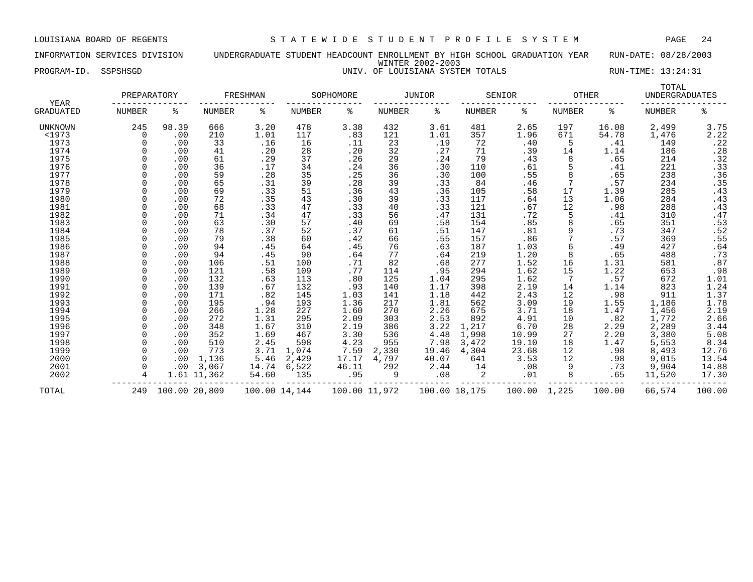INFORMATION SERVICES DIVISION UNDERGRADUATE STUDENT HEADCOUNT ENROLLMENT BY HIGH SCHOOL GRADUATION YEAR RUN-DATE: 08/28/2003 WINTER 2002-2003 PROGRAM-ID. SSPSHSGD UNIV. OF LOUISIANA SYSTEM TOTALS RUN-TIME: 13:24:31

|                   | PREPARATORY   |               |               | FRESHMAN      |               | SOPHOMORE     |               | <b>JUNIOR</b> |               | SENIOR | <b>OTHER</b>  |        | TOTAL<br><b>UNDERGRADUATES</b> |                                  |
|-------------------|---------------|---------------|---------------|---------------|---------------|---------------|---------------|---------------|---------------|--------|---------------|--------|--------------------------------|----------------------------------|
| YEAR<br>GRADUATED | <b>NUMBER</b> | ႜ             | <b>NUMBER</b> | ႜ             | <b>NUMBER</b> | ႜ             | <b>NUMBER</b> | နွ            | <b>NUMBER</b> | ႜ      | <b>NUMBER</b> | ႜ      | <b>NUMBER</b>                  | နွ                               |
| UNKNOWN           | 245           | 98.39         | 666           | 3.20          | 478           | 3.38          | 432           | 3.61          | 481           | 2.65   | 197           | 16.08  | 2,499                          | $3.75$<br>$2.22$                 |
| <1973             | $\Omega$      | .00           | 210           | 1.01          | 117           | .83           | 121           | 1.01          | 357           | 1.96   | 671           | 54.78  | 1,476                          |                                  |
| 1973              | 0             | .00           | 33            | .16           | 16            | .11           | 23            | .19           | 72            | .40    | 5             | .41    | 149                            | .22                              |
| 1974              |               | .00           | 41            | .20           | 28            | .20           | 32            | .27           | 71            | .39    | 14            | 1.14   | 186                            | $.28$<br>$.32$<br>$.33$<br>$.36$ |
| 1975              | $\Omega$      | .00           | 61            | .29           | 37            | .26           | 29            | .24           | 79            | .43    | 8             | .65    | 214                            |                                  |
| 1976              |               | .00           | 36            | .17           | 34            | .24           | 36            | .30           | 110           | .61    |               | .41    | 221                            |                                  |
| 1977              |               | .00           | 59            | .28           | 35            | .25           | 36            | .30           | 100           | .55    | 8             | .65    | 238                            |                                  |
| 1978              |               | .00           | 65            | .31           | 39            | .28           | 39            | .33           | 84            | .46    |               | .57    | 234                            |                                  |
| 1979              | <sup>n</sup>  | .00           | 69            | .33           | 51            | .36           | 43            | .36           | 105           | .58    | 17            | 1.39   | 285                            | $: 35$<br>$.43$                  |
| 1980              | U             | .00           | 72            | .35           | 43            | .30           | 39            | .33           | 117           | .64    | 13            | 1.06   | 284                            | $.43$<br>$.43$<br>$.47$          |
| 1981              | <sup>n</sup>  | .00           | 68            | .33           | 47            | .33           | 40            | .33           | 121           | .67    | 12            | .98    | 288                            |                                  |
| 1982              |               | .00           | 71            | .34           | 47            | .33           | 56            | .47           | 131           | .72    | 5             | .41    | 310                            |                                  |
| 1983              |               | .00           | 63            | .30           | 57            | .40           | 69            | .58           | 154           | .85    | 8             | .65    | 351                            | $.53$<br>$.52$                   |
| 1984              |               | .00           | 78            | .37           | 52            | .37           | 61            | .51           | 147           | .81    |               | .73    | 347                            |                                  |
| 1985              |               | .00           | 79            | .38           | 60            | .42           | 66            | .55           | 157           | .86    |               | .57    | 369                            | .55                              |
| 1986              |               | .00           | 94            | .45           | 64            | .45           | 76            | .63           | 187           | 1.03   |               | .49    | 427                            | .64                              |
| 1987              |               | .00           | 94            | .45           | 90            | .64           | 77            | .64           | 219           | 1.20   | 8             | .65    | 488                            | .73                              |
| 1988              |               | .00           | 106           | .51           | 100           | .71           | 82            | .68           | 277           | 1.52   | 16            | 1.31   | 581                            | .87                              |
| 1989              |               | .00           | 121           | .58           | 109           | .77           | 114           | .95           | 294           | 1.62   | 15            | 1.22   | 653                            | .98                              |
| 1990              |               | .00           | 132           | .63           | 113           | .80           | 125           | 1.04          | 295           | 1.62   |               | .57    | 672                            | 1.01                             |
| 1991              |               | .00           | 139           | .67           | 132           | .93           | 140           | 1.17          | 398           | 2.19   | 14            | 1.14   | 823                            | $1.24$<br>$1.37$                 |
| 1992              | $\Omega$      | .00           | 171           | .82           | 145           | 1.03          | 141           | 1.18          | 442           | 2.43   | 12            | .98    | 911                            |                                  |
| 1993              | $\Omega$      | .00           | 195           | .94           | 193           | 1.36          | 217           | 1.81          | 562           | 3.09   | 19            | 1.55   | 1,186                          |                                  |
| 1994              |               | .00           | 266           | 1.28          | 227           | 1.60          | 270           | 2.26          | 675           | 3.71   | 18            | 1.47   | 1,456                          | $\frac{1.78}{2.19}$<br>2.66      |
| 1995              |               | .00           | 272           | 1.31          | 295           | 2.09          | 303           | 2.53          | 892           | 4.91   | 10            | .82    | 1,772                          |                                  |
| 1996              |               | .00           | 348           | 1.67          | 310           | 2.19          | 386           | 3.22          | 1,217         | 6.70   | 28            | 2.29   | 2,289                          | $3.44$<br>$5.08$                 |
| 1997              | <sup>0</sup>  | .00           | 352           | 1.69          | 467           | 3.30          | 536           | 4.48          | 1,998         | 10.99  | 27            | 2.20   | 3,380                          |                                  |
| 1998              |               | .00           | 510           | 2.45          | 598           | 4.23          | 955           | 7.98          | 3,472         | 19.10  | 18            | 1.47   | 5,553                          | 8.34                             |
| 1999              |               | .00           | 773           | 3.71          | 1,074         | 7.59          | 2,330         | 19.46         | 4,304         | 23.68  | 12            | .98    | 8,493                          | 12.76                            |
| 2000              |               | .00           | 1,136         | 5.46          | 2,429         | 17.17         | 4,797         | 40.07         | 641           | 3.53   | 12            | .98    | 9,015                          | 13.54                            |
| 2001              |               | .00           | 3,067         | 14.74         | 6,522         | 46.11         | 292           | 2.44          | 14            | .08    | 9             | .73    | 9,904                          | 14.88                            |
| 2002              | 4             |               | 1.61 11,362   | 54.60         | 135           | .95           | 9             | .08           | 2             | .01    | 8             | .65    | 11,520                         | 17.30                            |
| TOTAL             | 249           | 100.00 20,809 |               | 100.00 14,144 |               | 100.00 11,972 |               | 100.00 18,175 |               | 100.00 | 1,225         | 100.00 | 66,574                         | 100.00                           |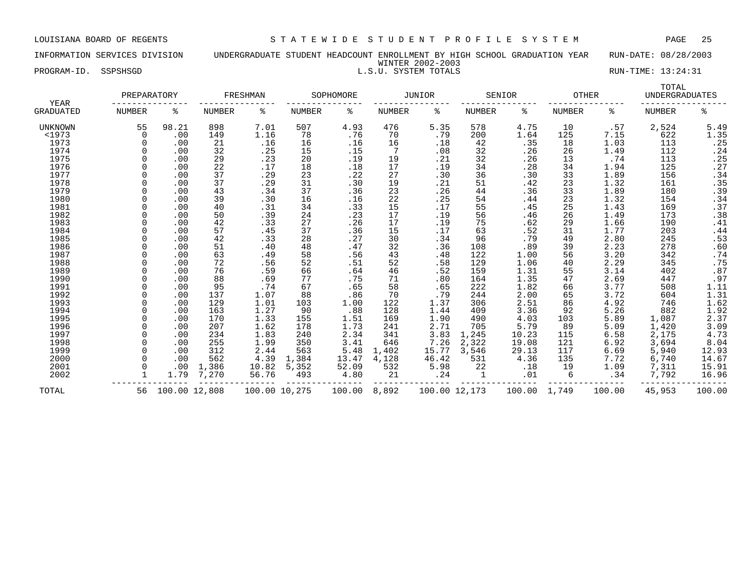### INFORMATION SERVICES DIVISION UNDERGRADUATE STUDENT HEADCOUNT ENROLLMENT BY HIGH SCHOOL GRADUATION YEAR RUN-DATE: 08/28/2003 WINTER 2002-2003 PROGRAM-ID. SSPSHSGD L.S.U. SYSTEM TOTALS RUN-TIME: 13:24:31

| <b>YEAR</b>      | PREPARATORY   |               |        | FRESHMAN      |        | SOPHOMORE |        | <b>JUNIOR</b> |               | SENIOR       |        | <b>OTHER</b> | TOTAL<br><b>UNDERGRADUATES</b> |                  |
|------------------|---------------|---------------|--------|---------------|--------|-----------|--------|---------------|---------------|--------------|--------|--------------|--------------------------------|------------------|
| <b>GRADUATED</b> | <b>NUMBER</b> | ႜ             | NUMBER | ႜ             | NUMBER | ႜ         | NUMBER | ႜ             | <b>NUMBER</b> | ႜ            | NUMBER | ႜ            | NUMBER                         | ە<br>ج           |
| UNKNOWN          | 55            | 98.21         | 898    | 7.01          | 507    | 4.93      | 476    | 5.35          | 578           | 4.75         | 10     | .57          | 2,524                          | 5.49             |
| <1973            | $\Omega$      | .00           | 149    | 1.16          | 78     | .76       | 70     | .79           | 200           | 1.64         | 125    | 7.15         | 622                            | 1.35             |
| 1973             |               | .00           | 21     | .16           | 16     | .16       | 16     | .18           | 42            | .35          | 18     | 1.03         | 113                            | .25              |
| 1974             |               | .00           | 32     | .25           | 15     | .15       | 7      | .08           | 32            | .26          | 26     | 1.49         | 112                            | .24              |
| 1975             |               | .00           | 29     | .23           | 20     | .19       | 19     | .21           | 32            | .26          | 13     | .74          | 113                            | .25              |
| 1976             |               | .00           | 22     | .17           | 18     | .18       | 17     | .19           | 34            | .28          | 34     | 1.94         | 125                            | .27              |
| 1977             |               | .00           | 37     | .29           | 23     | .22       | 27     | .30           | 36            | .30          | 33     | 1.89         | 156                            | .34              |
| 1978             |               | .00           | 37     | .29           | 31     | .30       | 19     | .21           | 51            | .42          | 23     | 1.32         | 161                            | .35              |
| 1979             |               | .00           | 43     | .34           | 37     | .36       | 23     | .26           | 44            | .36          | 33     | 1.89         | 180                            | .39              |
| 1980             |               | .00           | 39     | .30           | 16     | .16       | 22     | .25           | 54            | .44          | 23     | 1.32         | 154                            | .34              |
| 1981             |               | .00           | 40     | .31           | 34     | .33       | 15     | .17           | 55            | .45          | 25     | 1.43         | 169                            | .37              |
| 1982             |               | .00           | 50     | .39           | 24     | .23       | 17     | .19           | 56            | .46          | 26     | 1.49         | 173                            | .38              |
| 1983             |               | .00           | 42     | .33           | 27     | .26       | 17     | .19           | 75            | .62          | 29     | 1.66         | 190                            | .41              |
| 1984             |               | .00           | 57     | .45           | 37     | .36       | 15     | .17           | 63            | .52          | 31     | 1.77         | 203                            | .44              |
| 1985             |               | .00           | 42     | .33           | 28     | .27       | 30     | .34           | 96            | .79          | 49     | 2.80         | 245                            | .53              |
| 1986             |               | .00           | 51     | .40           | 48     | .47       | 32     | .36           | 108           | .89          | 39     | 2.23         | 278                            | .60              |
| 1987             |               | .00           | 63     | .49           | 58     | .56       | 43     | .48           | 122           | 1.00         | 56     | 3.20         | 342                            | .74              |
| 1988             |               | .00           | 72     | .56           | 52     | .51       | 52     | .58           | 129           | 1.06         | 40     | 2.29         | 345                            | .75              |
| 1989             |               | .00           | 76     | .59           | 66     | .64       | 46     | .52           | 159           | 1.31         | 55     | 3.14         | 402                            | .87              |
| 1990             |               | .00           | 88     | .69           | 77     | .75       | 71     | .80           | 164           | 1.35         | 47     | 2.69         | 447                            | .97              |
| 1991             |               | .00           | 95     | .74           | 67     | .65       | 58     | .65           | 222           | 1.82         | 66     | 3.77         | 508                            | $1.11$<br>$1.31$ |
| 1992             |               | .00           | 137    | 1.07          | 88     | .86       | 70     | .79           | 244           | 2.00         | 65     | 3.72         | 604                            |                  |
| 1993             |               | .00           | 129    | 1.01          | 103    | 1.00      | 122    | 1.37          | 306           | 2.51         | 86     | 4.92         | 746                            | 1.62             |
| 1994             |               | .00           | 163    | 1.27          | 90     | .88       | 128    | 1.44          | 409           | 3.36         | 92     | 5.26         | 882                            | 1.92             |
| 1995             |               | .00           | 170    | 1.33          | 155    | 1.51      | 169    | 1.90          | 490           | 4.03         | 103    | 5.89         | 1,087                          | 2.37             |
| 1996             |               | .00           | 207    | 1.62          | 178    | 1.73      | 241    | 2.71          | 705           | 5.79         | 89     | 5.09         | 1,420                          | 3.09             |
| 1997             |               | .00           | 234    | 1.83          | 240    | 2.34      | 341    | 3.83          | 1,245         | 10.23        | 115    | 6.58         | 2,175                          | 4.73             |
| 1998             |               | .00           | 255    | 1.99          | 350    | 3.41      | 646    | 7.26          | 2,322         | 19.08        | 121    | 6.92         | 3,694                          | 8.04             |
| 1999             | $\Omega$      | .00           | 312    | 2.44          | 563    | 5.48      | 1,402  | 15.77         | 3,546         | 29.13        | 117    | 6.69         | 5,940                          | 12.93            |
| 2000             |               | .00           | 562    | 4.39          | 1,384  | 13.47     | 4,128  | 46.42         | 531           | 4.36         | 135    | 7.72         | 6,740                          | 14.67            |
| 2001             |               | .00           | 1,386  | 10.82         | 5,352  | 52.09     | 532    | 5.98          | 22            | .18          | 19     | 1.09         | 7,311                          | 15.91            |
| 2002             |               | 1.79          | 7,270  | 56.76         | 493    | 4.80      | 21     | .24           | $\mathbf 1$   | .01          | 6      | .34          | 7,792                          | 16.96            |
| TOTAL            | 56            | 100.00 12,808 |        | 100.00 10,275 |        | 100.00    | 8,892  | 100.00 12,173 |               | 100.00 1,749 |        | 100.00       | 45,953                         | 100.00           |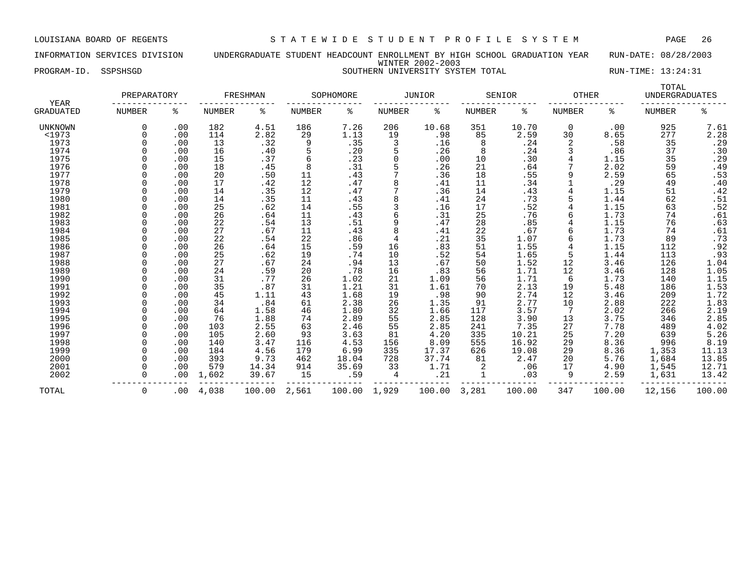INFORMATION SERVICES DIVISION UNDERGRADUATE STUDENT HEADCOUNT ENROLLMENT BY HIGH SCHOOL GRADUATION YEAR RUN-DATE: 08/28/2003 WINTER 2002-2003 PROGRAM-ID. SSPSHSGD SOUTHERN UNIVERSITY SYSTEM TOTAL RUN-TIME: 13:24:31

| <b>YEAR</b>      | PREPARATORY   |          |               | FRESHMAN |               | SOPHOMORE |               | <b>JUNIOR</b> |               | SENIOR | <b>OTHER</b>  |        | TOTAL<br><b>UNDERGRADUATES</b> |                     |
|------------------|---------------|----------|---------------|----------|---------------|-----------|---------------|---------------|---------------|--------|---------------|--------|--------------------------------|---------------------|
| <b>GRADUATED</b> | <b>NUMBER</b> | ႜ        | <b>NUMBER</b> | ႜ        | <b>NUMBER</b> | ႜ         | <b>NUMBER</b> | ႜ             | <b>NUMBER</b> | နွ     | <b>NUMBER</b> | ႜ      | <b>NUMBER</b>                  | နွ                  |
| UNKNOWN          |               | .00      | 182           | 4.51     | 186           | 7.26      | 206           | 10.68         | 351           | 10.70  | $\mathbf 0$   | .00    | 925                            | 7.61                |
| <1973            |               | .00      | 114           | 2.82     | 29            | 1.13      | 19            | .98           | 85            | 2.59   | 30            | 8.65   | 277                            | 2.28                |
| 1973             |               | .00      | 13            | .32      | 9             | .35       | 3             | .16           | 8             | .24    | 2             | .58    | 35                             | .29                 |
| 1974             |               | .00      | 16            | .40      |               | .20       |               | .26           | 8             | .24    |               | .86    | 37                             | .30                 |
| 1975             |               | .00      | 15            | .37      | 6             | .23       | $\Omega$      | .00           | 10            | .30    |               | 1.15   | 35                             | .29                 |
| 1976             |               | .00      | 18            | .45      | 8             | .31       |               | .26           | 21            | .64    |               | 2.02   | 59                             | .49                 |
| 1977             |               | .00      | 20            | .50      | 11            | .43       |               | .36           | 18            | .55    | 9             | 2.59   | 65                             | .53                 |
| 1978             |               | .00      | 17            | .42      | 12            | .47       | 8             | .41           | 11            | .34    |               | .29    | 49                             | .40                 |
| 1979             |               | .00      | 14            | .35      | 12            | .47       | 7             | .36           | 14            | .43    |               | 1.15   | 51                             | .42                 |
| 1980             |               | .00      | 14            | .35      | 11            | .43       | 8             | .41           | 24            | .73    |               | 1.44   | 62                             | .51                 |
| 1981             |               | .00      | 25            | .62      | 14            | .55       | 3             | .16           | 17            | .52    |               | 1.15   | 63                             | .52                 |
| 1982             |               | .00      | 26            | .64      | 11            | .43       |               | .31           | 25            | .76    |               | 1.73   | 74                             | .61                 |
| 1983             |               | .00      | 22            | .54      | 13            | .51       | 9             | .47           | 28            | .85    |               | 1.15   | 76                             | .63                 |
| 1984             |               | .00      | 27            | .67      | 11            | .43       | 8             | .41           | 22            | .67    |               | 1.73   | 74                             | .61                 |
| 1985             |               | .00      | 22            | .54      | 22            | .86       | 4             | .21           | 35            | 1.07   |               | 1.73   | 89                             | .73                 |
| 1986             |               | .00      | 26            | .64      | 15            | .59       | 16            | .83           | 51            | 1.55   |               | 1.15   | 112                            | .92                 |
| 1987             |               | .00      | 25            | .62      | 19            | .74       | 10            | .52           | 54            | 1.65   | 5             | 1.44   | 113                            | .93                 |
| 1988             |               | .00      | 27            | .67      | 24            | .94       | 13            | .67           | 50            | 1.52   | 12            | 3.46   | 126                            | 1.04                |
| 1989             |               | .00      | 24            | .59      | 20            | .78       | 16            | .83           | 56            | 1.71   | 12            | 3.46   | 128                            | 1.05                |
| 1990             |               | .00      | 31            | .77      | 26            | 1.02      | 21            | 1.09          | 56            | 1.71   | 6             | 1.73   | 140                            | 1.15                |
| 1991             |               | .00      | 35            | .87      | 31            | 1.21      | 31            | 1.61          | 70            | 2.13   | 19            | 5.48   | 186                            | $\frac{1.53}{1.72}$ |
| 1992             |               | .00      | 45            | 1.11     | 43            | 1.68      | 19            | .98           | 90            | 2.74   | 12            | 3.46   | 209                            |                     |
| 1993             |               | .00      | 34            | .84      | 61            | 2.38      | 26            | 1.35          | 91            | 2.77   | 10            | 2.88   | 222                            |                     |
| 1994             |               | .00      | 64            | 1.58     | 46            | 1.80      | 32            | 1.66          | 117           | 3.57   |               | 2.02   | 266                            | $\frac{1.83}{2.19}$ |
| 1995             |               | .00      | 76            | 1.88     | 74            | 2.89      | 55            | 2.85          | 128           | 3.90   | 13            | 3.75   | 346                            | 2.85                |
| 1996             |               | .00      | 103           | 2.55     | 63            | 2.46      | 55            | 2.85          | 241           | 7.35   | 27            | 7.78   | 489                            | 4.02                |
| 1997             |               | .00      | 105           | 2.60     | 93            | 3.63      | 81            | 4.20          | 335           | 10.21  | 25            | 7.20   | 639                            | 5.26                |
| 1998             |               | .00      | 140           | 3.47     | 116           | 4.53      | 156           | 8.09          | 555           | 16.92  | 29            | 8.36   | 996                            | 8.19                |
| 1999             |               | .00      | 184           | 4.56     | 179           | 6.99      | 335           | 17.37         | 626           | 19.08  | 29            | 8.36   | 1,353                          | 11.13               |
| 2000             |               | .00      | 393           | 9.73     | 462           | 18.04     | 728           | 37.74         | 81            | 2.47   | 20            | 5.76   | 1,684                          | 13.85               |
| 2001             |               | .00      | 579           | 14.34    | 914           | 35.69     | 33            | 1.71          |               | .06    | 17            | 4.90   | 1,545                          | 12.71               |
| 2002             |               | .00      | 1,602         | 39.67    | 15            | .59       | 4             | .21           | $\mathbf{1}$  | .03    | 9             | 2.59   | 1,631                          | 13.42               |
| TOTAL            | 0             | $.00 \,$ | 4,038         | 100.00   | 2,561         | 100.00    | 1,929         | 100.00        | 3,281         | 100.00 | 347           | 100.00 | 12,156                         | 100.00              |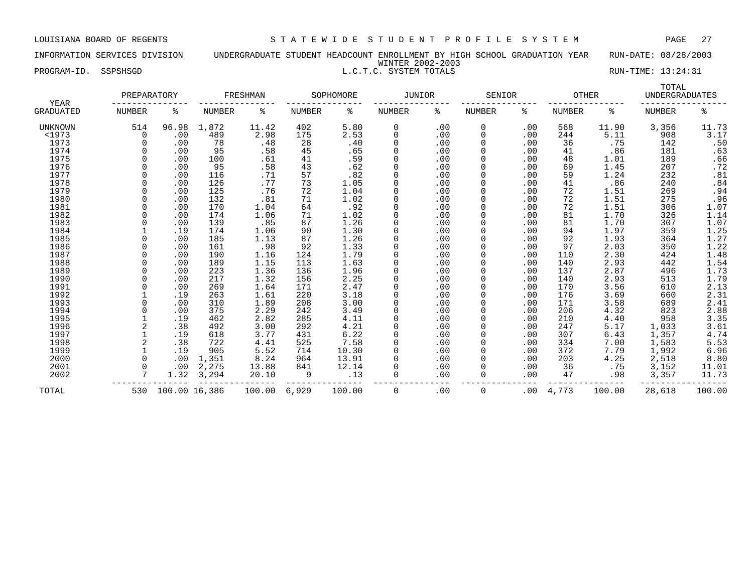INFORMATION SERVICES DIVISION UNDERGRADUATE STUDENT HEADCOUNT ENROLLMENT BY HIGH SCHOOL GRADUATION YEAR RUN-DATE: 08/28/2003 WINTER 2002-2003 PROGRAM-ID. SSPSHSGD L.C.T.C. SYSTEM TOTALS RUN-TIME: 13:24:31

|                                 | PREPARATORY |               |               | FRESHMAN |               | SOPHOMORE | <b>JUNIOR</b> |     | SENIOR        |     | <b>OTHER</b> |        | TOTAL<br><b>UNDERGRADUATES</b> |                         |
|---------------------------------|-------------|---------------|---------------|----------|---------------|-----------|---------------|-----|---------------|-----|--------------|--------|--------------------------------|-------------------------|
| <b>YEAR</b><br><b>GRADUATED</b> | NUMBER      | ႜ             | <b>NUMBER</b> | ႜ        | <b>NUMBER</b> | ႜ         | NUMBER        | ႜ   | <b>NUMBER</b> | ႜ   | NUMBER       | ႜ      | <b>NUMBER</b>                  | ႜ                       |
| UNKNOWN                         | 514         | 96.98         | 1,872         | 11.42    | 402           | 5.80      | 0             | .00 | 0             | .00 | 568          | 11.90  | 3,356                          | 11.73                   |
| $1973$                          | 0           | .00           | 489           | 2.98     | 175           | 2.53      | 0             | .00 | 0             | .00 | 244          | 5.11   | 908                            | 3.17                    |
| 1973                            |             | .00           | 78            | .48      | 28            | .40       | 0             | .00 | $\Omega$      | .00 | 36           | .75    | 142                            | .50                     |
| 1974                            |             | .00           | 95            | .58      | 45            | .65       | 0             | .00 |               | .00 | 41           | .86    | 181                            | .63                     |
| 1975                            |             | .00           | 100           | .61      | 41            | .59       | 0             | .00 |               | .00 | 48           | 1.01   | 189                            | .66                     |
| 1976                            |             | .00           | 95            | .58      | 43            | .62       | 0             | .00 |               | .00 | 69           | 1.45   | 207                            | .72                     |
| 1977                            |             | .00           | 116           | .71      | 57            | .82       | 0             | .00 |               | .00 | 59           | 1.24   | 232                            | .81                     |
| 1978                            |             | .00           | 126           | .77      | 73            | 1.05      | $\mathbf 0$   | .00 |               | .00 | 41           | .86    | 240                            |                         |
| 1979                            |             | .00           | 125           | .76      | 72            | 1.04      | $\Omega$      | .00 |               | .00 | 72           | 1.51   | 269                            |                         |
| 1980                            |             | .00           | 132           | .81      | 71            | 1.02      | 0             | .00 |               | .00 | 72           | 1.51   | 275                            | $.84$<br>$.94$<br>$.96$ |
| 1981                            |             | .00           | 170           | 1.04     | 64            | .92       | $\mathbf 0$   | .00 |               | .00 | 72           | 1.51   | 306                            | 1.07                    |
| 1982                            |             | .00           | 174           | 1.06     | 71            | 1.02      | 0             | .00 |               | .00 | 81           | 1.70   | 326                            | 1.14                    |
| 1983                            |             | .00           | 139           | .85      | 87            | 1.26      | 0             | .00 |               | .00 | 81           | 1.70   | 307                            | 1.07                    |
| 1984                            |             | .19           | 174           | 1.06     | 90            | 1.30      | $\mathbf 0$   | .00 |               | .00 | 94           | 1.97   | 359                            | 1.25                    |
| 1985                            |             | .00           | 185           | 1.13     | 87            | 1.26      | 0             | .00 |               | .00 | 92           | 1.93   | 364                            | 1.27                    |
| 1986                            |             | .00           | 161           | .98      | 92            | 1.33      | $\mathbf 0$   | .00 |               | .00 | 97           | 2.03   | 350                            | 1.22                    |
| 1987                            |             | .00           | 190           | 1.16     | 124           | 1.79      | 0             | .00 |               | .00 | 110          | 2.30   | 424                            | 1.48                    |
| 1988                            |             | .00           | 189           | 1.15     | 113           | 1.63      | 0             | .00 |               | .00 | 140          | 2.93   | 442                            | 1.54                    |
| 1989                            |             | .00           | 223           | 1.36     | 136           | 1.96      | $\Omega$      | .00 |               | .00 | 137          | 2.87   | 496                            | 1.73                    |
| 1990                            |             | .00           | 217           | 1.32     | 156           | 2.25      | 0             | .00 |               | .00 | 140          | 2.93   | 513                            | 1.79                    |
| 1991                            |             | .00           | 269           | 1.64     | 171           | 2.47      | 0             | .00 |               | .00 | 170          | 3.56   | 610                            | 2.13                    |
| 1992                            |             | .19           | 263           | 1.61     | 220           | 3.18      | 0             | .00 |               | .00 | 176          | 3.69   | 660                            | 2.31                    |
| 1993                            |             | .00           | 310           | 1.89     | 208           | 3.00      | $\mathbf 0$   | .00 |               | .00 | 171          | 3.58   | 689                            | 2.41                    |
| 1994                            |             | .00           | 375           | 2.29     | 242           | 3.49      | $\Omega$      | .00 |               | .00 | 206          | 4.32   | 823                            | 2.88                    |
| 1995                            |             | .19           | 462           | 2.82     | 285           | 4.11      | $\Omega$      | .00 |               | .00 | 210          | 4.40   | 958                            | 3.35                    |
| 1996                            |             | .38           | 492           | 3.00     | 292           | 4.21      | 0             | .00 |               | .00 | 247          | 5.17   | 1,033                          | 3.61                    |
| 1997                            |             | .19           | 618           | 3.77     | 431           | 6.22      | 0             | .00 |               | .00 | 307          | 6.43   | 1,357                          | 4.74                    |
| 1998                            |             | .38           | 722           | 4.41     | 525           | 7.58      | 0             | .00 |               | .00 | 334          | 7.00   | 1,583                          | 5.53                    |
| 1999                            |             | .19           | 905           | 5.52     | 714           | 10.30     | 0             | .00 | 0             | .00 | 372          | 7.79   | 1,992                          | 6.96                    |
| 2000                            |             | .00           | 1,351         | 8.24     | 964           | 13.91     | 0             | .00 |               | .00 | 203          | 4.25   | 2,518                          | 8.80                    |
| 2001                            |             | .00           | 2,275         | 13.88    | 841           | 12.14     |               | .00 |               | .00 | 36           | .75    | 3,152                          | 11.01                   |
| 2002                            |             | 1.32          | 3,294         | 20.10    | 9             | .13       | $\Omega$      | .00 | 0             | .00 | 47           | .98    | 3,357                          | 11.73                   |
| TOTAL                           | 530         | 100.00 16,386 |               | 100.00   | 6,929         | 100.00    | $\Omega$      | .00 | 0             | .00 | 4,773        | 100.00 | 28,618                         | 100.00                  |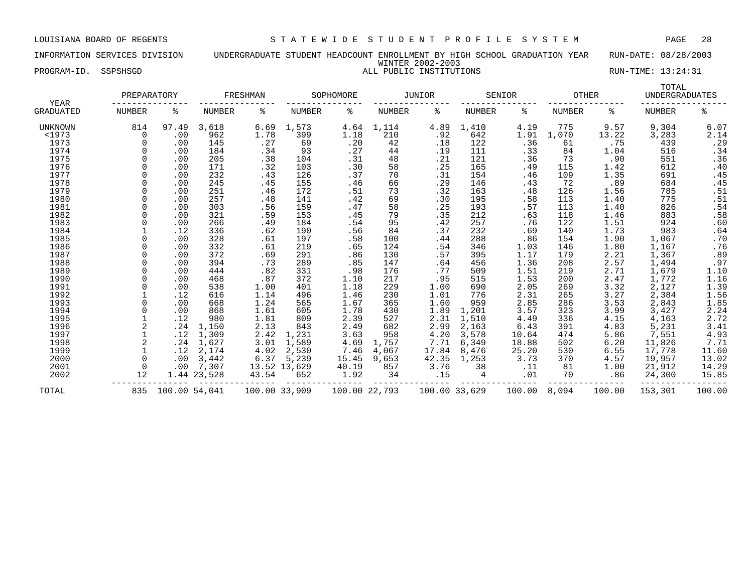## INFORMATION SERVICES DIVISION UNDERGRADUATE STUDENT HEADCOUNT ENROLLMENT BY HIGH SCHOOL GRADUATION YEAR RUN-DATE: 08/28/2003 WINTER 2002-2003

|                     |          | WINTER 2002-2003        |                    |
|---------------------|----------|-------------------------|--------------------|
| PROGRAM-ID.<br>-⊥∟. | SSPSHSGD | ALL PUBLIC INSTITUTIONS | RUN-TIME: 13:24:31 |

|                                 | PREPARATORY   |               |               | FRESHMAN      |               | SOPHOMORE     |        | JUNIOR        |               | SENIOR | <b>OTHER</b>  |        | TOTAL<br><b>UNDERGRADUATES</b> |                            |
|---------------------------------|---------------|---------------|---------------|---------------|---------------|---------------|--------|---------------|---------------|--------|---------------|--------|--------------------------------|----------------------------|
| <b>YEAR</b><br><b>GRADUATED</b> | <b>NUMBER</b> | ႜ             | <b>NUMBER</b> | ႜ             | <b>NUMBER</b> | ిక            | NUMBER | ిం            | <b>NUMBER</b> | နွ     | <b>NUMBER</b> | ႜ      | <b>NUMBER</b>                  | နွ                         |
| UNKNOWN                         | 814           | 97.49         | 3,618         | 6.69          | 1,573         | 4.64          | 1,114  | 4.89          | 1,410         | 4.19   | 775           | 9.57   | 9,304                          | 6.07                       |
| <1973                           | 0             | .00           | 962           | 1.78          | 399           | 1.18          | 210    | .92           | 642           | 1.91   | 1,070         | 13.22  | 3,283                          | 2.14                       |
| 1973                            |               | .00           | 145           | .27           | 69            | .20           | 42     | .18           | 122           | .36    | 61            | .75    | 439                            | .29                        |
| 1974                            |               | .00           | 184           | .34           | 93            | .27           | 44     | .19           | 111           | .33    | 84            | 1.04   | 516                            | .34                        |
| 1975                            |               | .00           | 205           | .38           | 104           | .31           | 48     | .21           | 121           | .36    | 73            | .90    | 551                            | .36                        |
| 1976                            |               | .00           | 171           | .32           | 103           | .30           | 58     | .25           | 165           | .49    | 115           | 1.42   | 612                            | .40                        |
| 1977                            |               | .00           | 232           | .43           | 126           | .37           | 70     | .31           | 154           | .46    | 109           | 1.35   | 691                            | .45                        |
| 1978                            |               | .00           | 245           | .45           | 155           | .46           | 66     | .29           | 146           | .43    | 72            | .89    | 684                            | .45                        |
| 1979                            |               | .00           | 251           | .46           | 172           | .51           | 73     | .32           | 163           | .48    | 126           | 1.56   | 785                            | .51                        |
| 1980                            | $\Omega$      | .00           | 257           | .48           | 141           | .42           | 69     | .30           | 195           | .58    | 113           | 1.40   | 775                            | .51                        |
| 1981                            |               | .00           | 303           | .56           | 159           | .47           | 58     | .25           | 193           | .57    | 113           | 1.40   | 826                            | .54                        |
| 1982                            |               | .00           | 321           | .59           | 153           | .45           | 79     | .35           | 212           | .63    | 118           | 1.46   | 883                            | .58                        |
| 1983                            |               | .00           | 266           | .49           | 184           | .54           | 95     | .42           | 257           | .76    | 122           | 1.51   | 924                            | .60                        |
| 1984                            |               | .12           | 336           | .62           | 190           | .56           | 84     | .37           | 232           | .69    | 140           | 1.73   | 983                            | .64                        |
| 1985                            |               | .00           | 328           | .61           | 197           | .58           | 100    | .44           | 288           | .86    | 154           | 1.90   | 1,067                          | .70                        |
| 1986                            |               | .00           | 332           | .61           | 219           | .65           | 124    | .54           | 346           | 1.03   | 146           | 1.80   | 1,167                          | .76                        |
| 1987                            |               | .00           | 372           | .69           | 291           | .86           | 130    | .57           | 395           | 1.17   | 179           | 2.21   | 1,367                          | .89                        |
| 1988                            |               | .00           | 394           | .73           | 289           | .85           | 147    | .64           | 456           | 1.36   | 208           | 2.57   | 1,494                          | .97                        |
| 1989                            |               | .00           | 444           | .82           | 331           | .98           | 176    | .77           | 509           | 1.51   | 219           | 2.71   | 1,679                          | 1.10                       |
| 1990                            |               | .00           | 468           | .87           | 372           | 1.10          | 217    | .95           | 515           | 1.53   | 200           | 2.47   | 1,772                          | 1.16                       |
| 1991                            |               | .00           | 538           | 1.00          | 401           | 1.18          | 229    | 1.00          | 690           | 2.05   | 269           | 3.32   | 2,127                          | $1.39$<br>$1.56$           |
| 1992                            |               | .12           | 616           | 1.14          | 496           | 1.46          | 230    | 1.01          | 776           | 2.31   | 265           | 3.27   | 2,384                          |                            |
| 1993                            |               | .00           | 668           | 1.24          | 565           | 1.67          | 365    | 1.60          | 959           | 2.85   | 286           | 3.53   | 2,843                          |                            |
| 1994                            |               | .00           | 868           | 1.61          | 605           | 1.78          | 430    | 1.89          | 1,201         | 3.57   | 323           | 3.99   | 3,427                          | $1.85$<br>$2.24$<br>$2.72$ |
| 1995                            |               | .12           | 980           | 1.81          | 809           | 2.39          | 527    | 2.31          | 1,510         | 4.49   | 336           | 4.15   | 4,163                          |                            |
| 1996                            |               | .24           | 1,150         | 2.13          | 843           | 2.49          | 682    | 2.99          | 2,163         | 6.43   | 391           | 4.83   | 5,231                          | 3.41                       |
| 1997                            |               | .12           | 1,309         | 2.42          | 1,231         | 3.63          | 958    | 4.20          | 3,578         | 10.64  | 474           | 5.86   | 7,551                          | 4.93                       |
| 1998                            |               | .24           | 1,627         | 3.01          | 1,589         | 4.69          | 1,757  | 7.71          | 6,349         | 18.88  | 502           | 6.20   | 11,826                         | 7.71                       |
| 1999                            |               | .12           | 2,174         | 4.02          | 2,530         | 7.46          | 4,067  | 17.84         | 8,476         | 25.20  | 530           | 6.55   | 17,778                         | 11.60                      |
| 2000                            | $\Omega$      | .00           | 3,442         | 6.37          | 5,239         | 15.45         | 9,653  | 42.35         | 1,253         | 3.73   | 370           | 4.57   | 19,957                         | 13.02                      |
| 2001                            | $\Omega$      | .00           | 7,307         |               | 13.52 13,629  | 40.19         | 857    | 3.76          | 38            | .11    | 81            | 1.00   | 21,912                         | 14.29                      |
| 2002                            | 12            |               | 1.44 23,528   | 43.54         | 652           | 1.92          | 34     | .15           | 4             | .01    | 70            | .86    | 24,300                         | 15.85                      |
| TOTAL                           | 835           | 100.00 54,041 |               | 100.00 33,909 |               | 100.00 22,793 |        | 100.00 33,629 |               | 100.00 | 8,094         | 100.00 | 153,301                        | 100.00                     |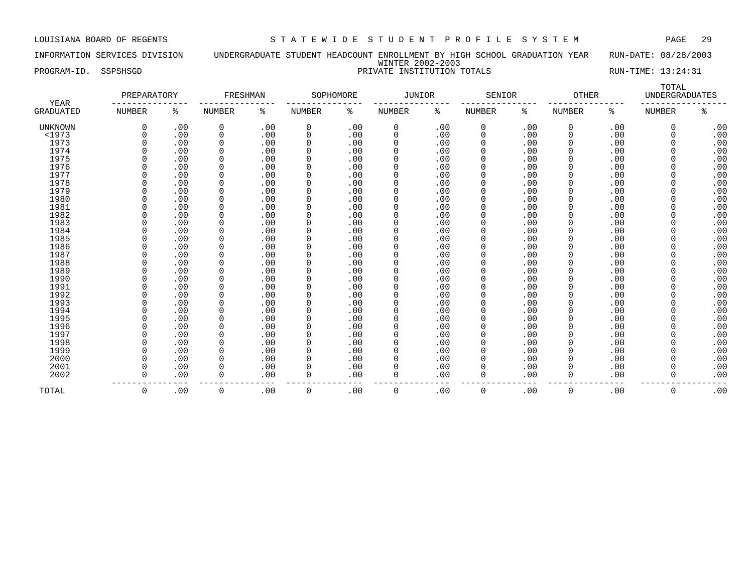INFORMATION SERVICES DIVISION UNDERGRADUATE STUDENT HEADCOUNT ENROLLMENT BY HIGH SCHOOL GRADUATION YEAR RUN-DATE: 08/28/2003 WINTER 2002-2003 PROGRAM-ID. SSPSHSGD **PRIVATE INSTITUTION TOTALS** RUN-TIME: 13:24:31

| <b>YEAR</b>      | PREPARATORY   |     | FRESHMAN      |      |               | SOPHOMORE | JUNIOR      |     | SENIOR        |     | <b>OTHER</b>  |     | TOTAL<br><b>UNDERGRADUATES</b> |     |
|------------------|---------------|-----|---------------|------|---------------|-----------|-------------|-----|---------------|-----|---------------|-----|--------------------------------|-----|
| <b>GRADUATED</b> | <b>NUMBER</b> | ႜ   | <b>NUMBER</b> | ႜ    | <b>NUMBER</b> | ి         | NUMBER      | ి   | <b>NUMBER</b> | နွ  | <b>NUMBER</b> | ႜ   | <b>NUMBER</b>                  | နွ  |
| <b>UNKNOWN</b>   |               | .00 | 0             | .00  | 0             | .00       | 0           | .00 | 0             | .00 | 0             | .00 | $\Omega$                       | .00 |
| <1973            |               | .00 | 0             | .00  | $\Omega$      | .00       | $\Omega$    | .00 | 0             | .00 | 0             | .00 | $\Omega$                       | .00 |
| 1973             |               | .00 | $\mathbf 0$   | .00  |               | .00       | $\Omega$    | .00 | 0             | .00 | $\Omega$      | .00 | $\Omega$                       | .00 |
| 1974             |               | .00 | $\mathbf 0$   | .00  |               | .00       | 0           | .00 |               | .00 | 0             | .00 | $\Omega$                       | .00 |
| 1975             |               | .00 | 0             | .00  |               | .00       | $\Omega$    | .00 |               | .00 | 0             | .00 | $\Omega$                       | .00 |
| 1976             |               | .00 | $\mathbf 0$   | .00  |               | .00       | $\mathbf 0$ | .00 |               | .00 | 0             | .00 | $\Omega$                       | .00 |
| 1977             |               | .00 | 0             | .00  |               | .00       | 0           | .00 | 0             | .00 | 0             | .00 | $\Omega$                       | .00 |
| 1978             |               | .00 | $\mathbf 0$   | .00  |               | .00       | $\mathbf 0$ | .00 | 0             | .00 | 0             | .00 | $\Omega$                       | .00 |
| 1979             |               | .00 | $\mathbf 0$   | .00  |               | .00       | $\Omega$    | .00 | 0             | .00 | $\Omega$      | .00 | $\Omega$                       | .00 |
| 1980             |               | .00 | 0             | .00  |               | .00       | $\Omega$    | .00 | 0             | .00 | $\Omega$      | .00 | $\Omega$                       | .00 |
| 1981             |               | .00 | 0             | .00  |               | .00       | $\Omega$    | .00 |               | .00 | 0             | .00 | $\Omega$                       | .00 |
| 1982             |               | .00 | 0             | .00  |               | .00       | $\mathbf 0$ | .00 |               | .00 | 0             | .00 | $\Omega$                       | .00 |
| 1983             |               | .00 | 0             | .00  |               | .00       | $\mathbf 0$ | .00 |               | .00 | 0             | .00 | $\Omega$                       | .00 |
| 1984             |               | .00 | $\Omega$      | .00  |               | .00       | $\Omega$    | .00 |               | .00 | 0             | .00 | $\Omega$                       | .00 |
| 1985             |               | .00 | $\Omega$      | .00  |               | .00       | $\Omega$    | .00 | 0             | .00 | $\Omega$      | .00 | $\Omega$                       | .00 |
| 1986             |               | .00 | $\Omega$      | .00  |               | .00       | $\Omega$    | .00 |               | .00 | O             | .00 | $\Omega$                       | .00 |
| 1987             |               | .00 | $\mathbf 0$   | .00  |               | .00       | $\Omega$    | .00 |               | .00 | 0             | .00 | $\Omega$                       | .00 |
| 1988             |               | .00 | $\mathbf 0$   | .00  |               | .00       | $\Omega$    | .00 |               | .00 | O             | .00 | $\Omega$                       | .00 |
| 1989             |               | .00 | 0             | .00  |               | .00       | $\Omega$    | .00 |               | .00 | O             | .00 | $\Omega$                       | .00 |
| 1990             |               | .00 | $\mathbf 0$   | .00  |               | .00       | 0           | .00 |               | .00 | 0             | .00 | $\Omega$                       | .00 |
| 1991             |               | .00 | 0             | .00  |               | .00       | 0           | .00 |               | .00 | 0             | .00 | $\Omega$                       | .00 |
| 1992             |               | .00 | 0             | .00  |               | .00       | $\mathbf 0$ | .00 |               | .00 | 0             | .00 | $\Omega$                       | .00 |
| 1993             |               | .00 | 0             | .00  |               | .00       | $\mathbf 0$ | .00 |               | .00 | 0             | .00 | $\Omega$                       | .00 |
| 1994             |               | .00 | 0             | .00  |               | .00       | 0           | .00 | 0             | .00 | $\Omega$      | .00 | $\Omega$                       | .00 |
| 1995             |               | .00 | 0             | .00  | $\Omega$      | .00       | $\mathbf 0$ | .00 | 0             | .00 | 0             | .00 | $\Omega$                       | .00 |
| 1996             |               | .00 | 0             | .00  | $\Omega$      | .00       | $\mathbf 0$ | .00 | 0             | .00 | 0             | .00 | $\Omega$                       | .00 |
| 1997             |               | .00 | 0             | .00  |               | .00       | $\Omega$    | .00 |               | .00 | $\Omega$      | .00 | $\Omega$                       | .00 |
| 1998             |               | .00 | 0             | .00  |               | .00       | $\Omega$    | .00 |               | .00 | 0             | .00 | $\Omega$                       | .00 |
| 1999             |               | .00 | $\mathbf 0$   | .00  |               | .00       | $\mathbf 0$ | .00 |               | .00 | $\Omega$      | .00 | $\Omega$                       | .00 |
| 2000             |               | .00 | $\Omega$      | .00  |               | .00       | $\Omega$    | .00 |               | .00 | 0             | .00 | $\Omega$                       | .00 |
| 2001             |               | .00 | 0             | .00  |               | .00       | $\Omega$    | .00 |               | .00 | 0             | .00 | $\Omega$                       | .00 |
| 2002             |               | .00 | 0             | .00  | $\Omega$      | .00       | $\Omega$    | .00 | $\Omega$      | .00 | 0             | .00 | $\Omega$                       | .00 |
| TOTAL            | $\Omega$      | .00 | $\Omega$      | .00. | $\Omega$      | .00.      | $\Omega$    | .00 | $\Omega$      | .00 | $\Omega$      | .00 | $\Omega$                       | .00 |